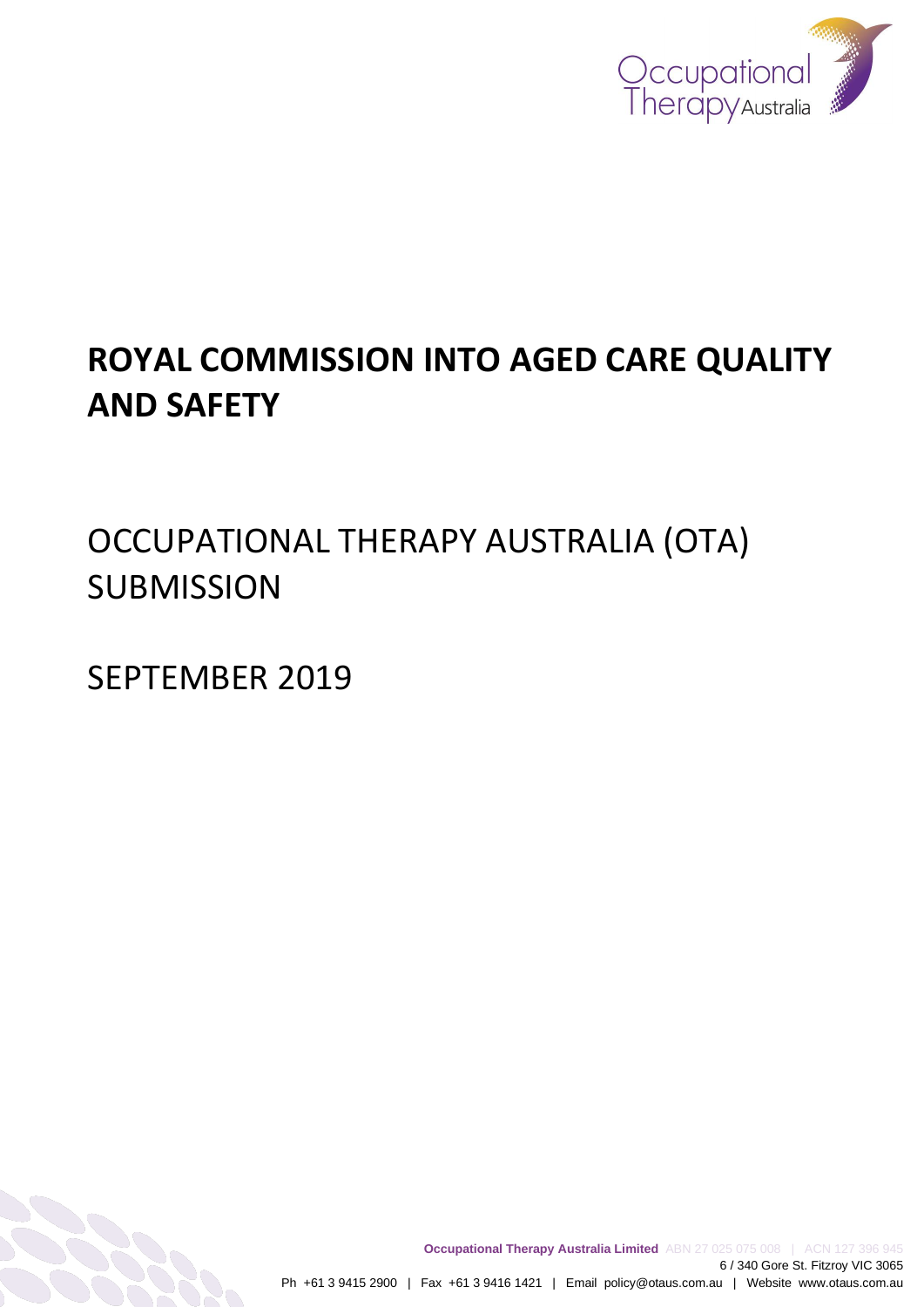

# **ROYAL COMMISSION INTO AGED CARE QUALITY AND SAFETY**

OCCUPATIONAL THERAPY AUSTRALIA (OTA) **SUBMISSION** 

SEPTEMBER 2019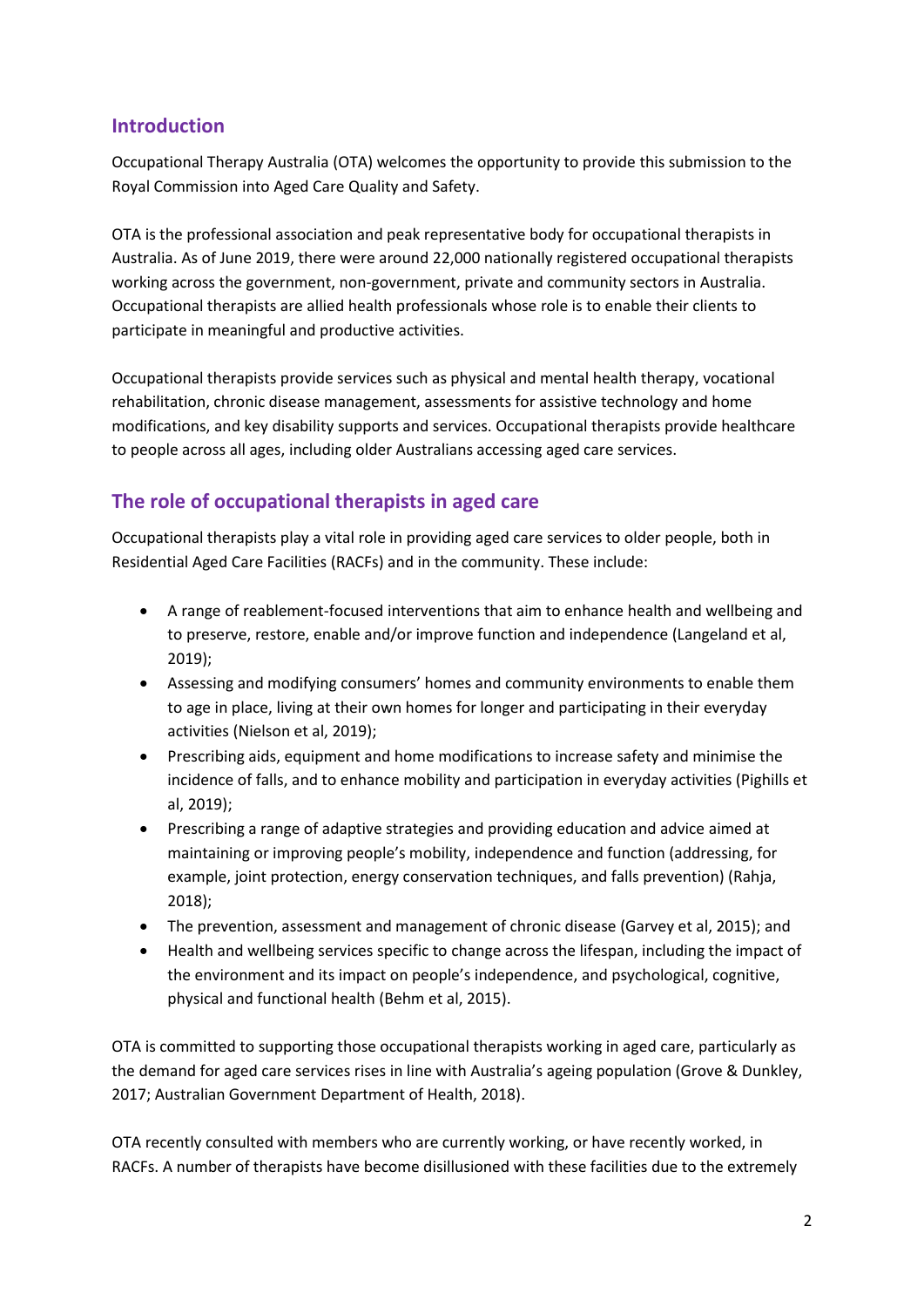# **Introduction**

Occupational Therapy Australia (OTA) welcomes the opportunity to provide this submission to the Royal Commission into Aged Care Quality and Safety.

OTA is the professional association and peak representative body for occupational therapists in Australia. As of June 2019, there were around 22,000 nationally registered occupational therapists working across the government, non-government, private and community sectors in Australia. Occupational therapists are allied health professionals whose role is to enable their clients to participate in meaningful and productive activities.

Occupational therapists provide services such as physical and mental health therapy, vocational rehabilitation, chronic disease management, assessments for assistive technology and home modifications, and key disability supports and services. Occupational therapists provide healthcare to people across all ages, including older Australians accessing aged care services.

# **The role of occupational therapists in aged care**

Occupational therapists play a vital role in providing aged care services to older people, both in Residential Aged Care Facilities (RACFs) and in the community. These include:

- A range of reablement-focused interventions that aim to enhance health and wellbeing and to preserve, restore, enable and/or improve function and independence (Langeland et al, 2019);
- Assessing and modifying consumers' homes and community environments to enable them to age in place, living at their own homes for longer and participating in their everyday activities (Nielson et al, 2019);
- Prescribing aids, equipment and home modifications to increase safety and minimise the incidence of falls, and to enhance mobility and participation in everyday activities (Pighills et al, 2019);
- Prescribing a range of adaptive strategies and providing education and advice aimed at maintaining or improving people's mobility, independence and function (addressing, for example, joint protection, energy conservation techniques, and falls prevention) (Rahja, 2018);
- The prevention, assessment and management of chronic disease (Garvey et al, 2015); and
- Health and wellbeing services specific to change across the lifespan, including the impact of the environment and its impact on people's independence, and psychological, cognitive, physical and functional health (Behm et al, 2015).

OTA is committed to supporting those occupational therapists working in aged care, particularly as the demand for aged care services rises in line with Australia's ageing population (Grove & Dunkley, 2017; Australian Government Department of Health, 2018).

OTA recently consulted with members who are currently working, or have recently worked, in RACFs. A number of therapists have become disillusioned with these facilities due to the extremely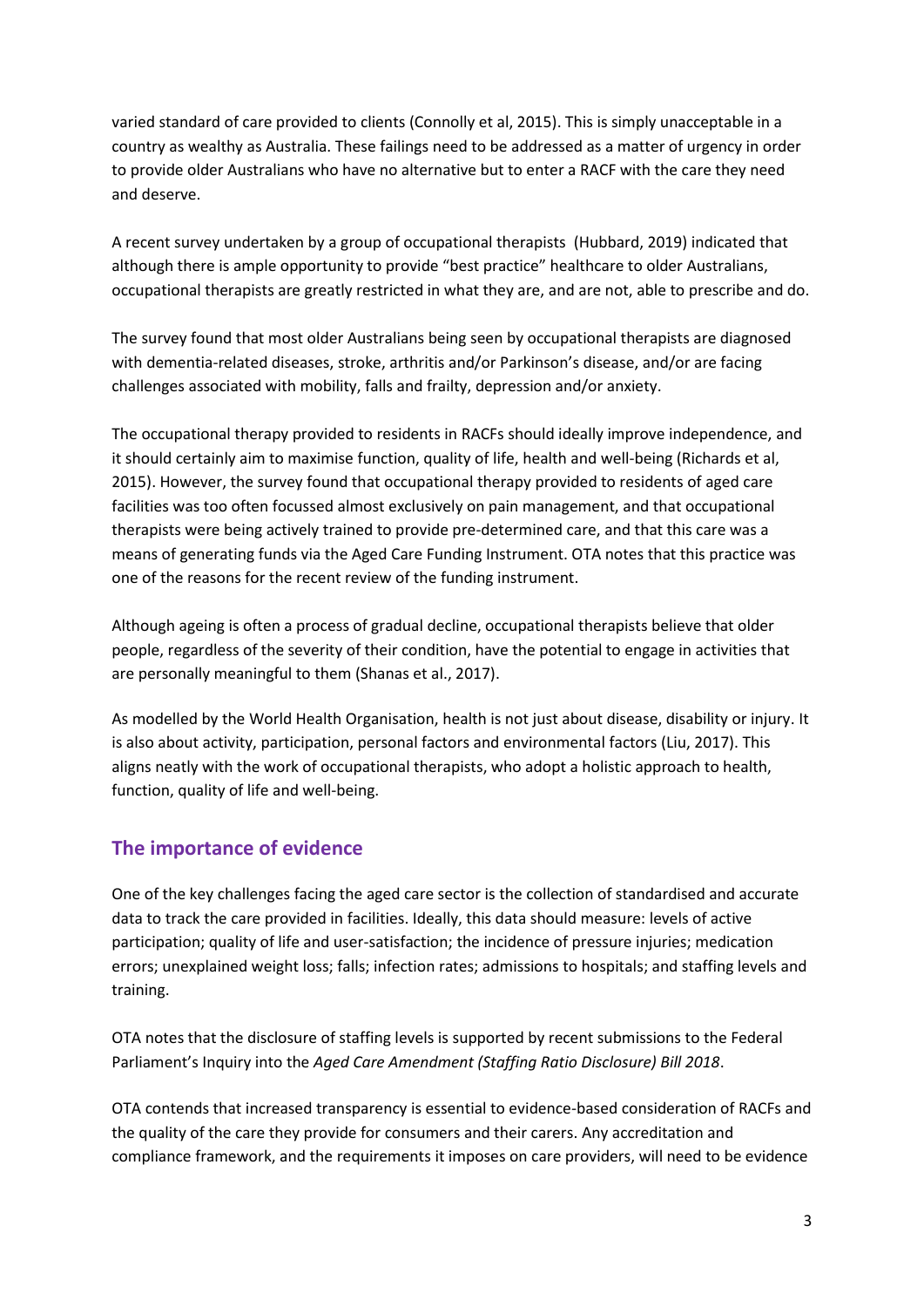varied standard of care provided to clients (Connolly et al, 2015). This is simply unacceptable in a country as wealthy as Australia. These failings need to be addressed as a matter of urgency in order to provide older Australians who have no alternative but to enter a RACF with the care they need and deserve.

A recent survey undertaken by a group of occupational therapists (Hubbard, 2019) indicated that although there is ample opportunity to provide "best practice" healthcare to older Australians, occupational therapists are greatly restricted in what they are, and are not, able to prescribe and do.

The survey found that most older Australians being seen by occupational therapists are diagnosed with dementia-related diseases, stroke, arthritis and/or Parkinson's disease, and/or are facing challenges associated with mobility, falls and frailty, depression and/or anxiety.

The occupational therapy provided to residents in RACFs should ideally improve independence, and it should certainly aim to maximise function, quality of life, health and well-being (Richards et al, 2015). However, the survey found that occupational therapy provided to residents of aged care facilities was too often focussed almost exclusively on pain management, and that occupational therapists were being actively trained to provide pre-determined care, and that this care was a means of generating funds via the Aged Care Funding Instrument. OTA notes that this practice was one of the reasons for the recent review of the funding instrument.

Although ageing is often a process of gradual decline, occupational therapists believe that older people, regardless of the severity of their condition, have the potential to engage in activities that are personally meaningful to them (Shanas et al., 2017).

As modelled by the World Health Organisation, health is not just about disease, disability or injury. It is also about activity, participation, personal factors and environmental factors (Liu, 2017). This aligns neatly with the work of occupational therapists, who adopt a holistic approach to health, function, quality of life and well-being.

# **The importance of evidence**

One of the key challenges facing the aged care sector is the collection of standardised and accurate data to track the care provided in facilities. Ideally, this data should measure: levels of active participation; quality of life and user-satisfaction; the incidence of pressure injuries; medication errors; unexplained weight loss; falls; infection rates; admissions to hospitals; and staffing levels and training.

OTA notes that the disclosure of staffing levels is supported by recent submissions to the Federal Parliament's Inquiry into the *Aged Care Amendment (Staffing Ratio Disclosure) Bill 2018*.

OTA contends that increased transparency is essential to evidence-based consideration of RACFs and the quality of the care they provide for consumers and their carers. Any accreditation and compliance framework, and the requirements it imposes on care providers, will need to be evidence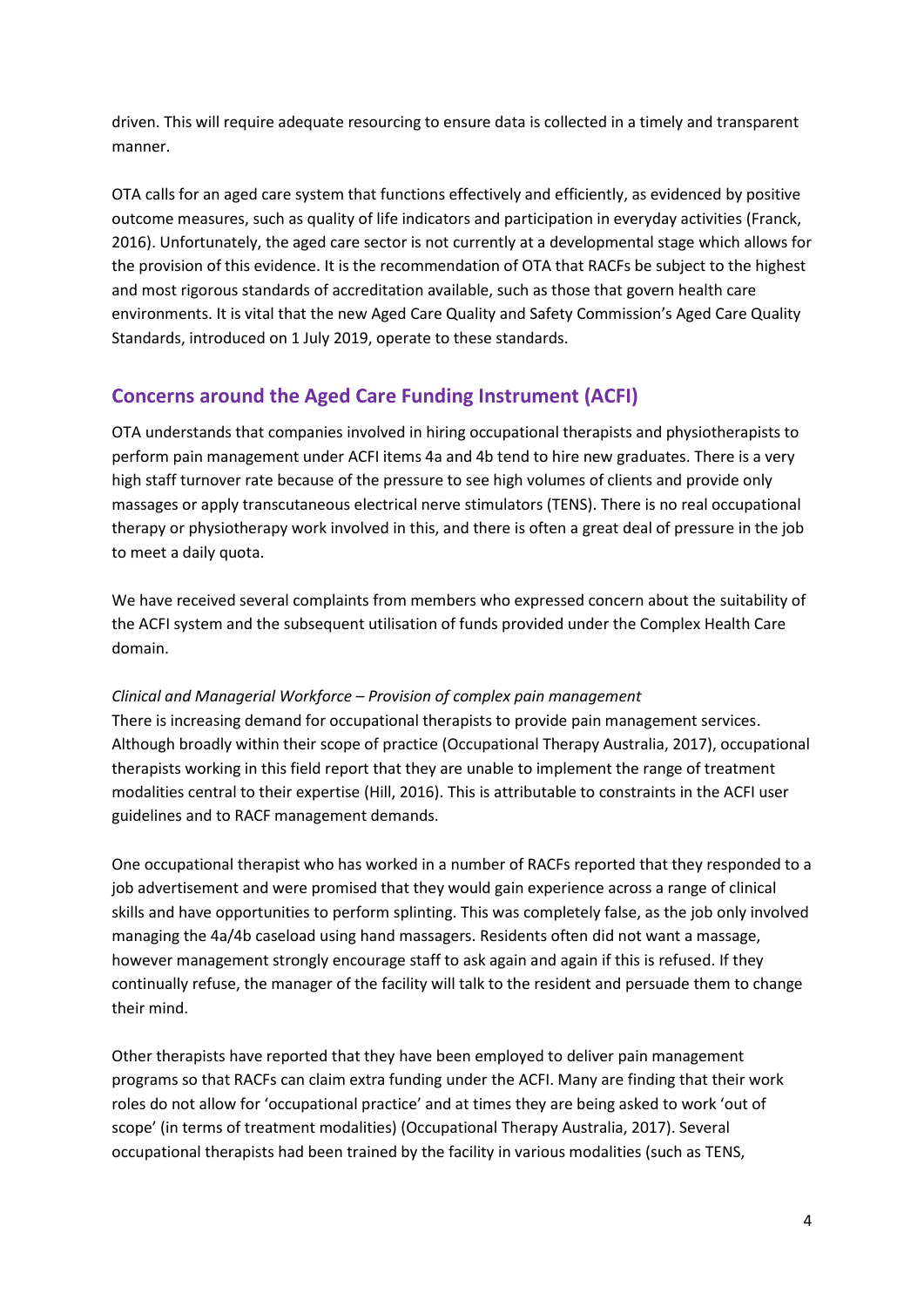driven. This will require adequate resourcing to ensure data is collected in a timely and transparent manner.

OTA calls for an aged care system that functions effectively and efficiently, as evidenced by positive outcome measures, such as quality of life indicators and participation in everyday activities (Franck, 2016). Unfortunately, the aged care sector is not currently at a developmental stage which allows for the provision of this evidence. It is the recommendation of OTA that RACFs be subject to the highest and most rigorous standards of accreditation available, such as those that govern health care environments. It is vital that the new Aged Care Quality and Safety Commission's Aged Care Quality Standards, introduced on 1 July 2019, operate to these standards.

# **Concerns around the Aged Care Funding Instrument (ACFI)**

OTA understands that companies involved in hiring occupational therapists and physiotherapists to perform pain management under ACFI items 4a and 4b tend to hire new graduates. There is a very high staff turnover rate because of the pressure to see high volumes of clients and provide only massages or apply transcutaneous electrical nerve stimulators (TENS). There is no real occupational therapy or physiotherapy work involved in this, and there is often a great deal of pressure in the job to meet a daily quota.

We have received several complaints from members who expressed concern about the suitability of the ACFI system and the subsequent utilisation of funds provided under the Complex Health Care domain.

#### *Clinical and Managerial Workforce – Provision of complex pain management*

There is increasing demand for occupational therapists to provide pain management services. Although broadly within their scope of practice (Occupational Therapy Australia, 2017), occupational therapists working in this field report that they are unable to implement the range of treatment modalities central to their expertise (Hill, 2016). This is attributable to constraints in the ACFI user guidelines and to RACF management demands.

One occupational therapist who has worked in a number of RACFs reported that they responded to a job advertisement and were promised that they would gain experience across a range of clinical skills and have opportunities to perform splinting. This was completely false, as the job only involved managing the 4a/4b caseload using hand massagers. Residents often did not want a massage, however management strongly encourage staff to ask again and again if this is refused. If they continually refuse, the manager of the facility will talk to the resident and persuade them to change their mind.

Other therapists have reported that they have been employed to deliver pain management programs so that RACFs can claim extra funding under the ACFI. Many are finding that their work roles do not allow for 'occupational practice' and at times they are being asked to work 'out of scope' (in terms of treatment modalities) (Occupational Therapy Australia, 2017). Several occupational therapists had been trained by the facility in various modalities (such as TENS,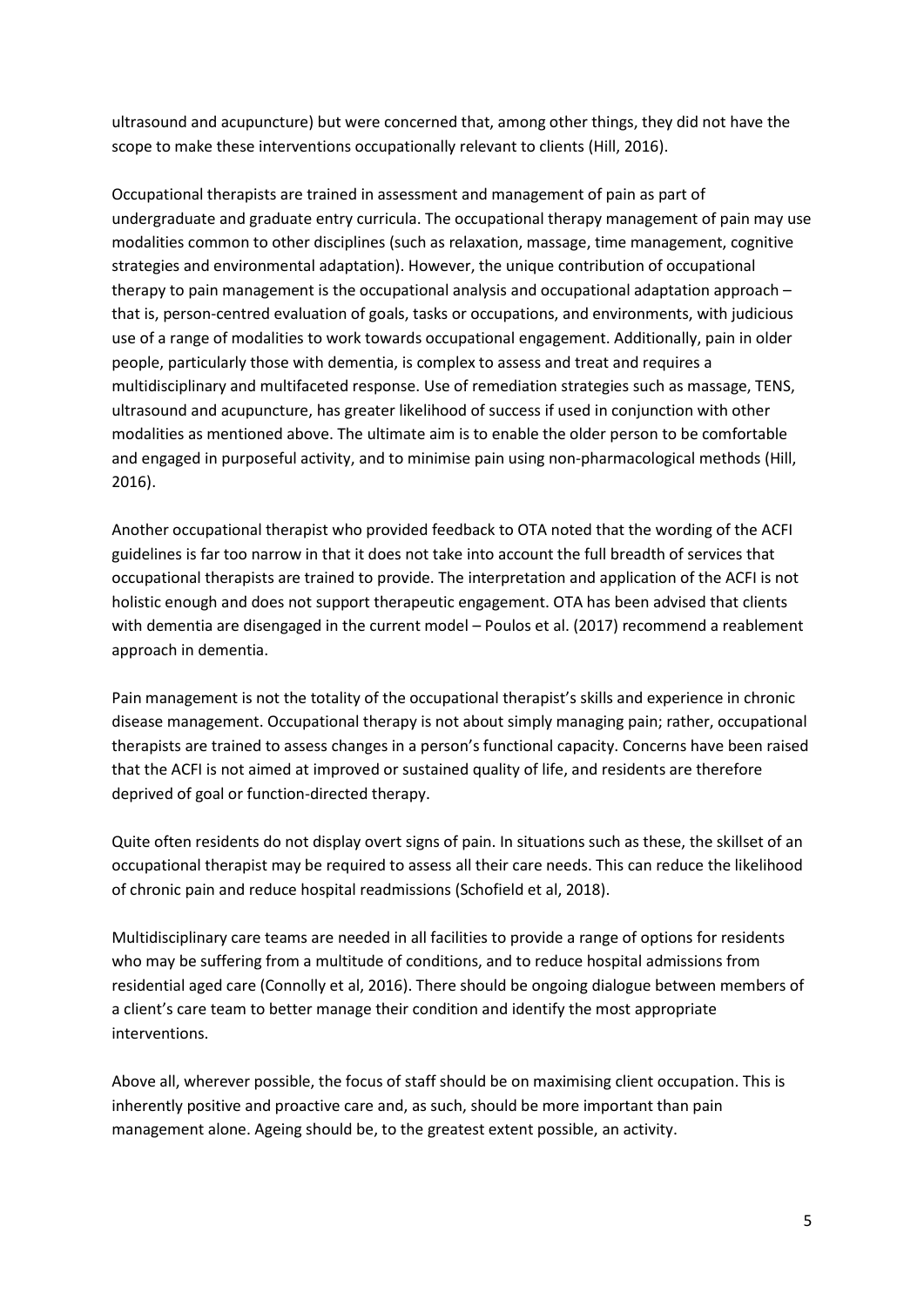ultrasound and acupuncture) but were concerned that, among other things, they did not have the scope to make these interventions occupationally relevant to clients (Hill, 2016).

Occupational therapists are trained in assessment and management of pain as part of undergraduate and graduate entry curricula. The occupational therapy management of pain may use modalities common to other disciplines (such as relaxation, massage, time management, cognitive strategies and environmental adaptation). However, the unique contribution of occupational therapy to pain management is the occupational analysis and occupational adaptation approach – that is, person-centred evaluation of goals, tasks or occupations, and environments, with judicious use of a range of modalities to work towards occupational engagement. Additionally, pain in older people, particularly those with dementia, is complex to assess and treat and requires a multidisciplinary and multifaceted response. Use of remediation strategies such as massage, TENS, ultrasound and acupuncture, has greater likelihood of success if used in conjunction with other modalities as mentioned above. The ultimate aim is to enable the older person to be comfortable and engaged in purposeful activity, and to minimise pain using non-pharmacological methods (Hill, 2016).

Another occupational therapist who provided feedback to OTA noted that the wording of the ACFI guidelines is far too narrow in that it does not take into account the full breadth of services that occupational therapists are trained to provide. The interpretation and application of the ACFI is not holistic enough and does not support therapeutic engagement. OTA has been advised that clients with dementia are disengaged in the current model – Poulos et al. (2017) recommend a reablement approach in dementia.

Pain management is not the totality of the occupational therapist's skills and experience in chronic disease management. Occupational therapy is not about simply managing pain; rather, occupational therapists are trained to assess changes in a person's functional capacity. Concerns have been raised that the ACFI is not aimed at improved or sustained quality of life, and residents are therefore deprived of goal or function-directed therapy.

Quite often residents do not display overt signs of pain. In situations such as these, the skillset of an occupational therapist may be required to assess all their care needs. This can reduce the likelihood of chronic pain and reduce hospital readmissions (Schofield et al, 2018).

Multidisciplinary care teams are needed in all facilities to provide a range of options for residents who may be suffering from a multitude of conditions, and to reduce hospital admissions from residential aged care (Connolly et al, 2016). There should be ongoing dialogue between members of a client's care team to better manage their condition and identify the most appropriate interventions.

Above all, wherever possible, the focus of staff should be on maximising client occupation. This is inherently positive and proactive care and, as such, should be more important than pain management alone. Ageing should be, to the greatest extent possible, an activity.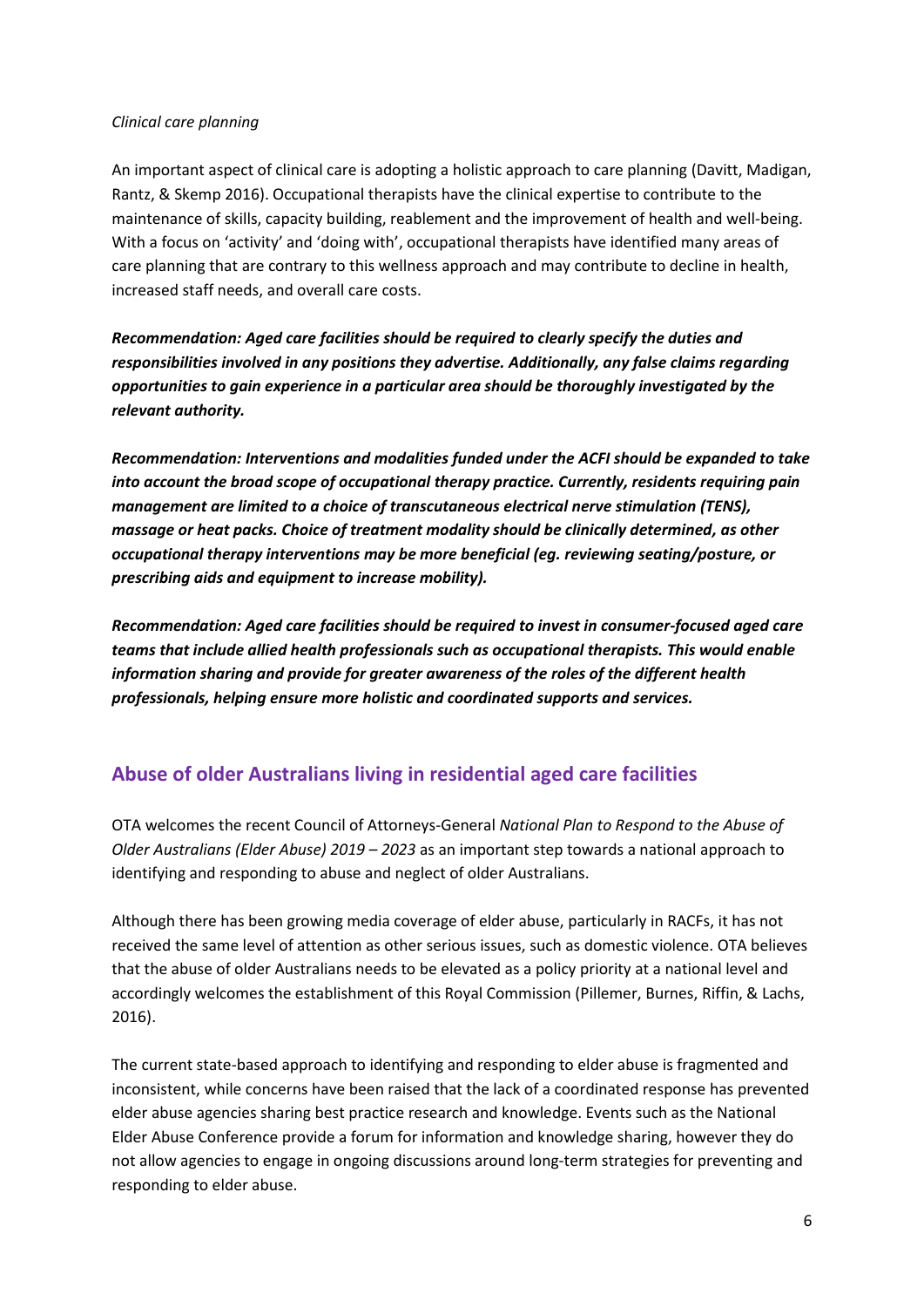#### *Clinical care planning*

An important aspect of clinical care is adopting a holistic approach to care planning (Davitt, Madigan, Rantz, & Skemp 2016). Occupational therapists have the clinical expertise to contribute to the maintenance of skills, capacity building, reablement and the improvement of health and well-being. With a focus on 'activity' and 'doing with', occupational therapists have identified many areas of care planning that are contrary to this wellness approach and may contribute to decline in health, increased staff needs, and overall care costs.

*Recommendation: Aged care facilities should be required to clearly specify the duties and responsibilities involved in any positions they advertise. Additionally, any false claims regarding opportunities to gain experience in a particular area should be thoroughly investigated by the relevant authority.*

*Recommendation: Interventions and modalities funded under the ACFI should be expanded to take into account the broad scope of occupational therapy practice. Currently, residents requiring pain management are limited to a choice of transcutaneous electrical nerve stimulation (TENS), massage or heat packs. Choice of treatment modality should be clinically determined, as other occupational therapy interventions may be more beneficial (eg. reviewing seating/posture, or prescribing aids and equipment to increase mobility).*

*Recommendation: Aged care facilities should be required to invest in consumer-focused aged care teams that include allied health professionals such as occupational therapists. This would enable information sharing and provide for greater awareness of the roles of the different health professionals, helping ensure more holistic and coordinated supports and services.*

# **Abuse of older Australians living in residential aged care facilities**

OTA welcomes the recent Council of Attorneys-General *National Plan to Respond to the Abuse of Older Australians (Elder Abuse) 2019 – 2023* as an important step towards a national approach to identifying and responding to abuse and neglect of older Australians.

Although there has been growing media coverage of elder abuse, particularly in RACFs, it has not received the same level of attention as other serious issues, such as domestic violence. OTA believes that the abuse of older Australians needs to be elevated as a policy priority at a national level and accordingly welcomes the establishment of this Royal Commission (Pillemer, Burnes, Riffin, & Lachs, 2016).

The current state-based approach to identifying and responding to elder abuse is fragmented and inconsistent, while concerns have been raised that the lack of a coordinated response has prevented elder abuse agencies sharing best practice research and knowledge. Events such as the National Elder Abuse Conference provide a forum for information and knowledge sharing, however they do not allow agencies to engage in ongoing discussions around long-term strategies for preventing and responding to elder abuse.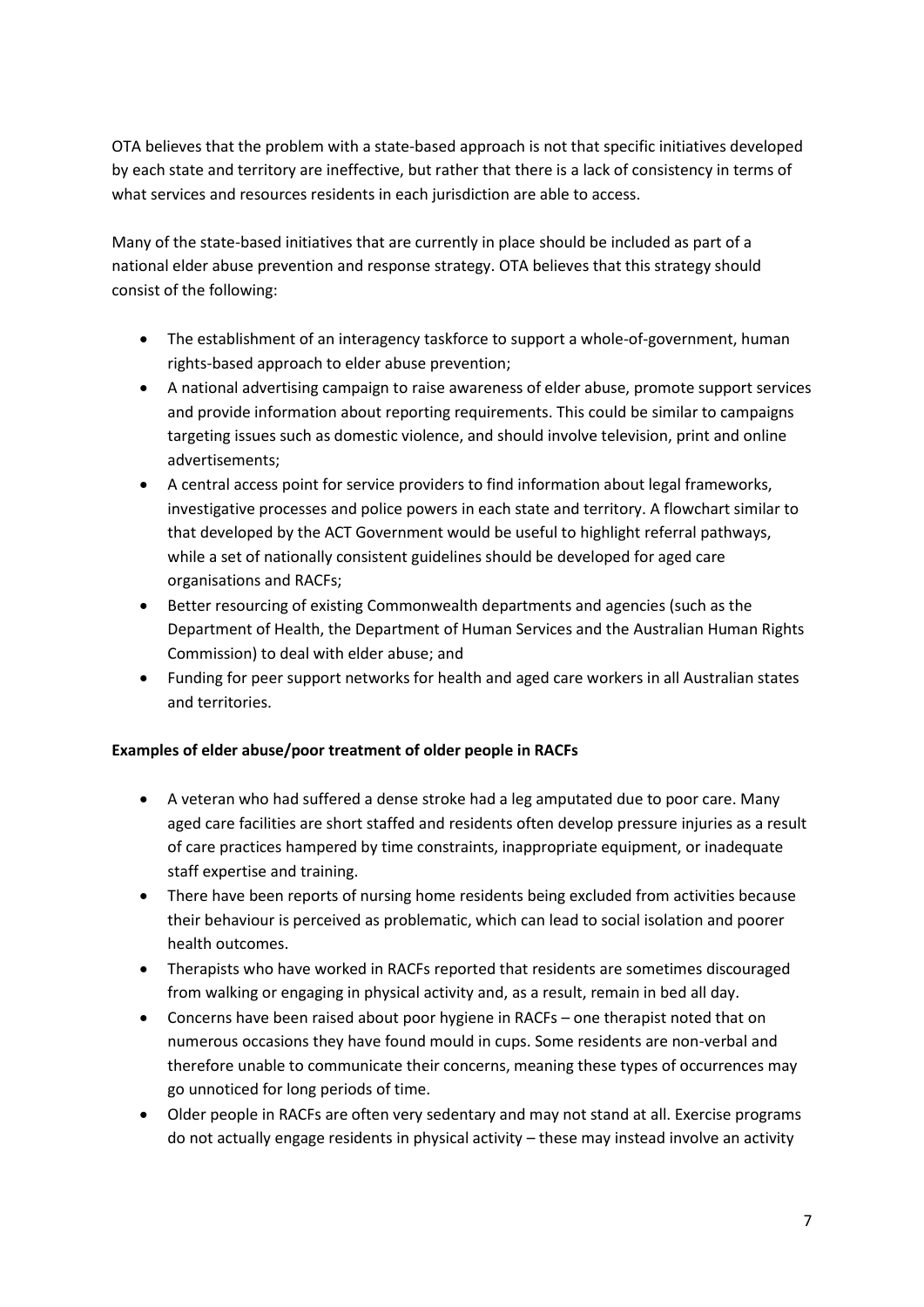OTA believes that the problem with a state-based approach is not that specific initiatives developed by each state and territory are ineffective, but rather that there is a lack of consistency in terms of what services and resources residents in each jurisdiction are able to access.

Many of the state-based initiatives that are currently in place should be included as part of a national elder abuse prevention and response strategy. OTA believes that this strategy should consist of the following:

- The establishment of an interagency taskforce to support a whole-of-government, human rights-based approach to elder abuse prevention;
- A national advertising campaign to raise awareness of elder abuse, promote support services and provide information about reporting requirements. This could be similar to campaigns targeting issues such as domestic violence, and should involve television, print and online advertisements;
- A central access point for service providers to find information about legal frameworks, investigative processes and police powers in each state and territory. A flowchart similar to that developed by the ACT Government would be useful to highlight referral pathways, while a set of nationally consistent guidelines should be developed for aged care organisations and RACFs;
- Better resourcing of existing Commonwealth departments and agencies (such as the Department of Health, the Department of Human Services and the Australian Human Rights Commission) to deal with elder abuse; and
- Funding for peer support networks for health and aged care workers in all Australian states and territories.

### **Examples of elder abuse/poor treatment of older people in RACFs**

- A veteran who had suffered a dense stroke had a leg amputated due to poor care. Many aged care facilities are short staffed and residents often develop pressure injuries as a result of care practices hampered by time constraints, inappropriate equipment, or inadequate staff expertise and training.
- There have been reports of nursing home residents being excluded from activities because their behaviour is perceived as problematic, which can lead to social isolation and poorer health outcomes.
- Therapists who have worked in RACFs reported that residents are sometimes discouraged from walking or engaging in physical activity and, as a result, remain in bed all day.
- Concerns have been raised about poor hygiene in RACFs one therapist noted that on numerous occasions they have found mould in cups. Some residents are non-verbal and therefore unable to communicate their concerns, meaning these types of occurrences may go unnoticed for long periods of time.
- Older people in RACFs are often very sedentary and may not stand at all. Exercise programs do not actually engage residents in physical activity – these may instead involve an activity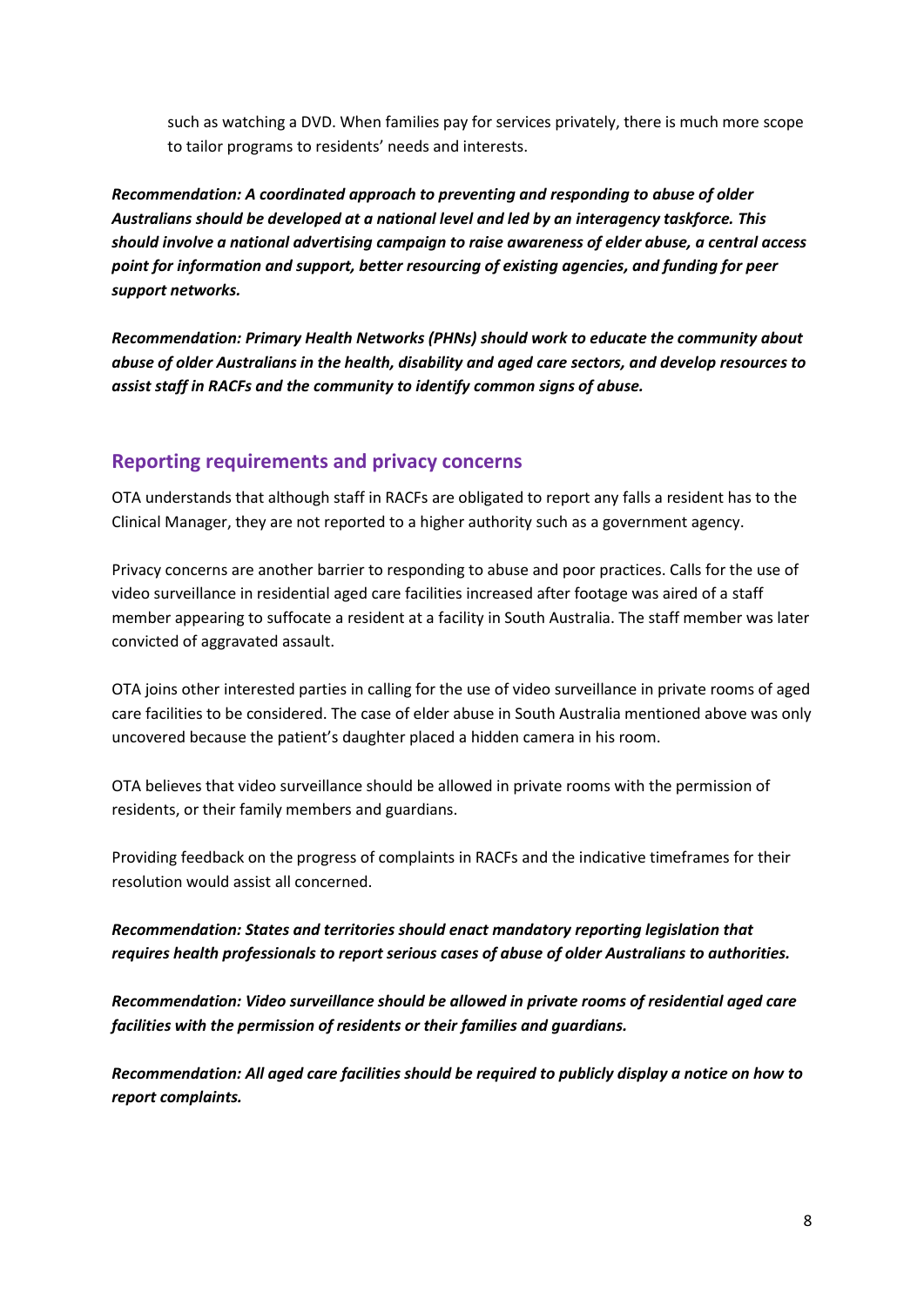such as watching a DVD. When families pay for services privately, there is much more scope to tailor programs to residents' needs and interests.

*Recommendation: A coordinated approach to preventing and responding to abuse of older Australians should be developed at a national level and led by an interagency taskforce. This should involve a national advertising campaign to raise awareness of elder abuse, a central access point for information and support, better resourcing of existing agencies, and funding for peer support networks.*

*Recommendation: Primary Health Networks (PHNs) should work to educate the community about abuse of older Australians in the health, disability and aged care sectors, and develop resources to assist staff in RACFs and the community to identify common signs of abuse.*

### **Reporting requirements and privacy concerns**

OTA understands that although staff in RACFs are obligated to report any falls a resident has to the Clinical Manager, they are not reported to a higher authority such as a government agency.

Privacy concerns are another barrier to responding to abuse and poor practices. Calls for the use of video surveillance in residential aged care facilities increased after footage was aired of a staff member appearing to suffocate a resident at a facility in South Australia. The staff member was later convicted of aggravated assault.

OTA joins other interested parties in calling for the use of video surveillance in private rooms of aged care facilities to be considered. The case of elder abuse in South Australia mentioned above was only uncovered because the patient's daughter placed a hidden camera in his room.

OTA believes that video surveillance should be allowed in private rooms with the permission of residents, or their family members and guardians.

Providing feedback on the progress of complaints in RACFs and the indicative timeframes for their resolution would assist all concerned.

### *Recommendation: States and territories should enact mandatory reporting legislation that requires health professionals to report serious cases of abuse of older Australians to authorities.*

*Recommendation: Video surveillance should be allowed in private rooms of residential aged care facilities with the permission of residents or their families and guardians.*

*Recommendation: All aged care facilities should be required to publicly display a notice on how to report complaints.*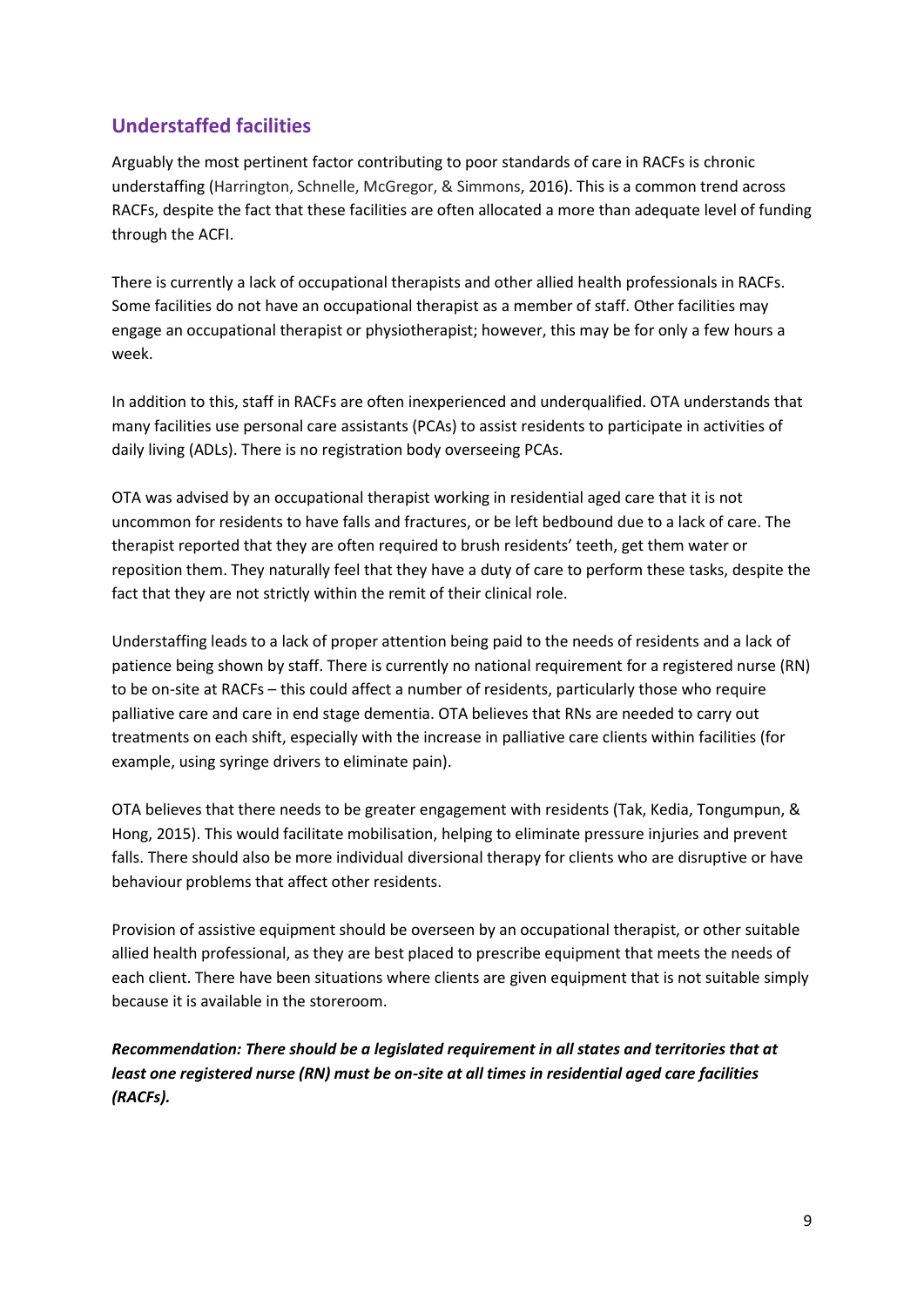# **Understaffed facilities**

Arguably the most pertinent factor contributing to poor standards of care in RACFs is chronic understaffing (Harrington, Schnelle, McGregor, & Simmons, 2016). This is a common trend across RACFs, despite the fact that these facilities are often allocated a more than adequate level of funding through the ACFI.

There is currently a lack of occupational therapists and other allied health professionals in RACFs. Some facilities do not have an occupational therapist as a member of staff. Other facilities may engage an occupational therapist or physiotherapist; however, this may be for only a few hours a week.

In addition to this, staff in RACFs are often inexperienced and underqualified. OTA understands that many facilities use personal care assistants (PCAs) to assist residents to participate in activities of daily living (ADLs). There is no registration body overseeing PCAs.

OTA was advised by an occupational therapist working in residential aged care that it is not uncommon for residents to have falls and fractures, or be left bedbound due to a lack of care. The therapist reported that they are often required to brush residents' teeth, get them water or reposition them. They naturally feel that they have a duty of care to perform these tasks, despite the fact that they are not strictly within the remit of their clinical role.

Understaffing leads to a lack of proper attention being paid to the needs of residents and a lack of patience being shown by staff. There is currently no national requirement for a registered nurse (RN) to be on-site at RACFs – this could affect a number of residents, particularly those who require palliative care and care in end stage dementia. OTA believes that RNs are needed to carry out treatments on each shift, especially with the increase in palliative care clients within facilities (for example, using syringe drivers to eliminate pain).

OTA believes that there needs to be greater engagement with residents (Tak, Kedia, Tongumpun, & Hong, 2015). This would facilitate mobilisation, helping to eliminate pressure injuries and prevent falls. There should also be more individual diversional therapy for clients who are disruptive or have behaviour problems that affect other residents.

Provision of assistive equipment should be overseen by an occupational therapist, or other suitable allied health professional, as they are best placed to prescribe equipment that meets the needs of each client. There have been situations where clients are given equipment that is not suitable simply because it is available in the storeroom.

*Recommendation: There should be a legislated requirement in all states and territories that at least one registered nurse (RN) must be on-site at all times in residential aged care facilities (RACFs).*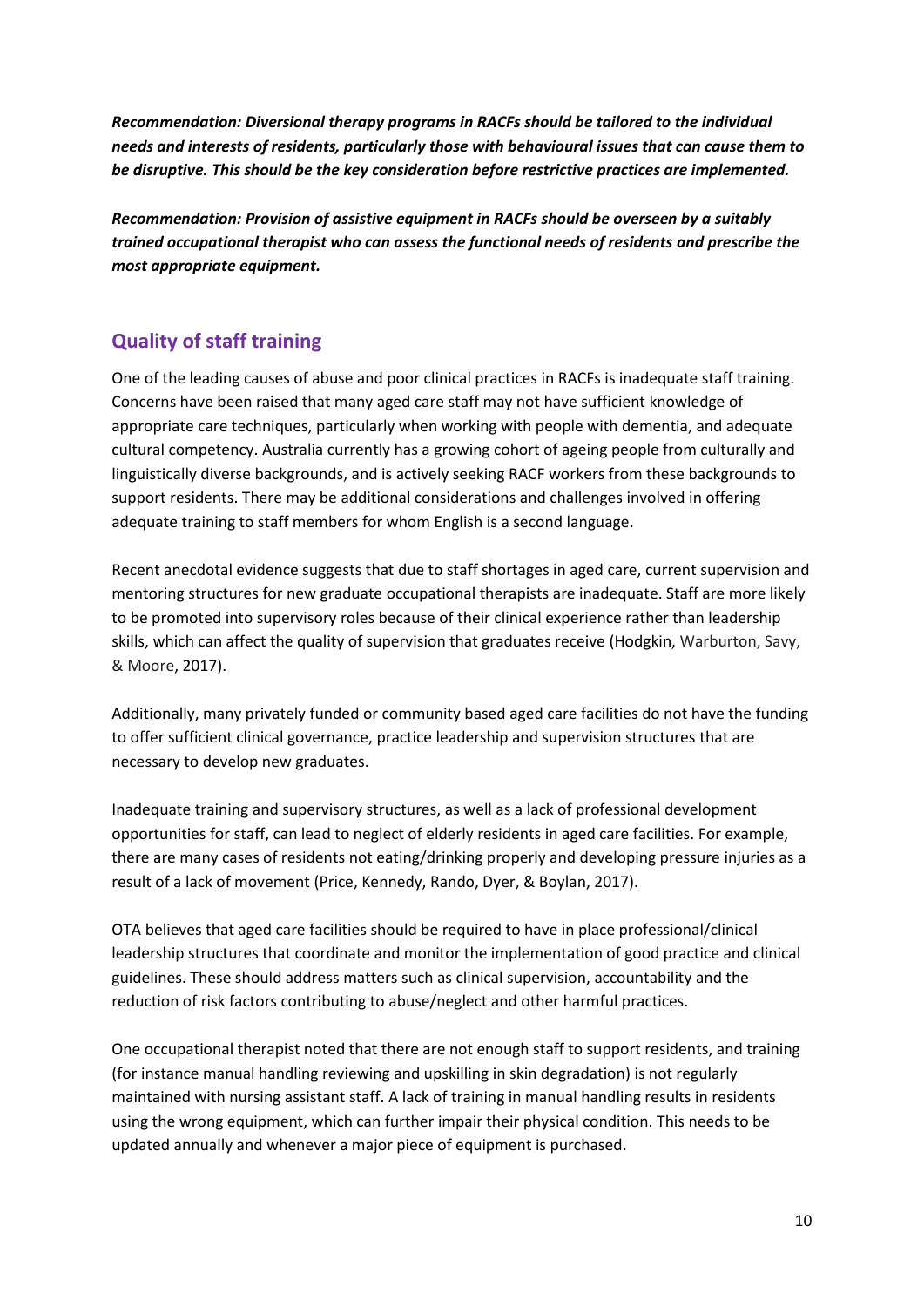*Recommendation: Diversional therapy programs in RACFs should be tailored to the individual needs and interests of residents, particularly those with behavioural issues that can cause them to be disruptive. This should be the key consideration before restrictive practices are implemented.*

*Recommendation: Provision of assistive equipment in RACFs should be overseen by a suitably trained occupational therapist who can assess the functional needs of residents and prescribe the most appropriate equipment.*

# **Quality of staff training**

One of the leading causes of abuse and poor clinical practices in RACFs is inadequate staff training. Concerns have been raised that many aged care staff may not have sufficient knowledge of appropriate care techniques, particularly when working with people with dementia, and adequate cultural competency. Australia currently has a growing cohort of ageing people from culturally and linguistically diverse backgrounds, and is actively seeking RACF workers from these backgrounds to support residents. There may be additional considerations and challenges involved in offering adequate training to staff members for whom English is a second language.

Recent anecdotal evidence suggests that due to staff shortages in aged care, current supervision and mentoring structures for new graduate occupational therapists are inadequate. Staff are more likely to be promoted into supervisory roles because of their clinical experience rather than leadership skills, which can affect the quality of supervision that graduates receive (Hodgkin, Warburton, Savy, & Moore, 2017).

Additionally, many privately funded or community based aged care facilities do not have the funding to offer sufficient clinical governance, practice leadership and supervision structures that are necessary to develop new graduates.

Inadequate training and supervisory structures, as well as a lack of professional development opportunities for staff, can lead to neglect of elderly residents in aged care facilities. For example, there are many cases of residents not eating/drinking properly and developing pressure injuries as a result of a lack of movement (Price, Kennedy, Rando, Dyer, & Boylan, 2017).

OTA believes that aged care facilities should be required to have in place professional/clinical leadership structures that coordinate and monitor the implementation of good practice and clinical guidelines. These should address matters such as clinical supervision, accountability and the reduction of risk factors contributing to abuse/neglect and other harmful practices.

One occupational therapist noted that there are not enough staff to support residents, and training (for instance manual handling reviewing and upskilling in skin degradation) is not regularly maintained with nursing assistant staff. A lack of training in manual handling results in residents using the wrong equipment, which can further impair their physical condition. This needs to be updated annually and whenever a major piece of equipment is purchased.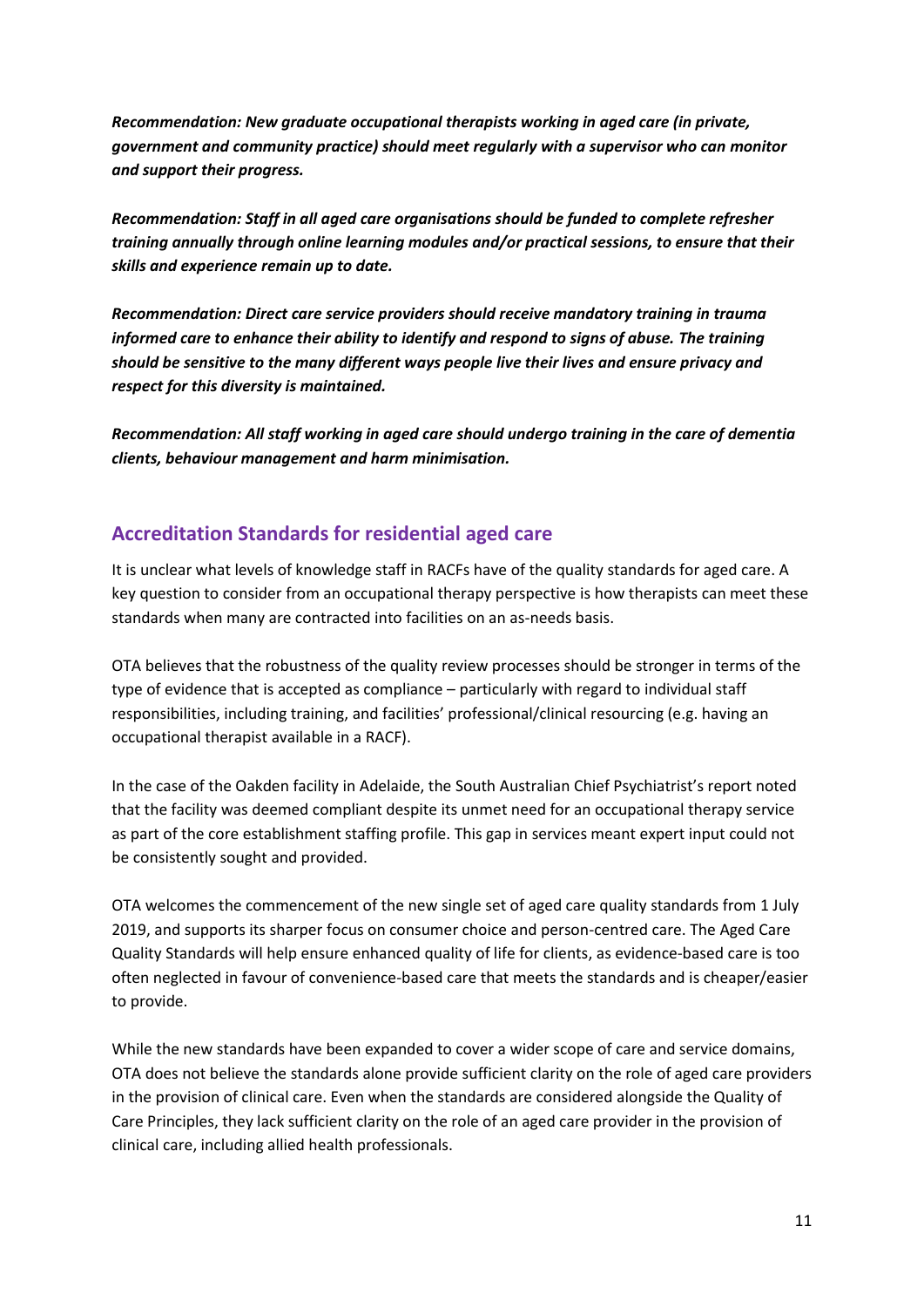*Recommendation: New graduate occupational therapists working in aged care (in private, government and community practice) should meet regularly with a supervisor who can monitor and support their progress.*

*Recommendation: Staff in all aged care organisations should be funded to complete refresher training annually through online learning modules and/or practical sessions, to ensure that their skills and experience remain up to date.*

*Recommendation: Direct care service providers should receive mandatory training in trauma informed care to enhance their ability to identify and respond to signs of abuse. The training should be sensitive to the many different ways people live their lives and ensure privacy and respect for this diversity is maintained.*

*Recommendation: All staff working in aged care should undergo training in the care of dementia clients, behaviour management and harm minimisation.*

# **Accreditation Standards for residential aged care**

It is unclear what levels of knowledge staff in RACFs have of the quality standards for aged care. A key question to consider from an occupational therapy perspective is how therapists can meet these standards when many are contracted into facilities on an as-needs basis.

OTA believes that the robustness of the quality review processes should be stronger in terms of the type of evidence that is accepted as compliance – particularly with regard to individual staff responsibilities, including training, and facilities' professional/clinical resourcing (e.g. having an occupational therapist available in a RACF).

In the case of the Oakden facility in Adelaide, the South Australian Chief Psychiatrist's report noted that the facility was deemed compliant despite its unmet need for an occupational therapy service as part of the core establishment staffing profile. This gap in services meant expert input could not be consistently sought and provided.

OTA welcomes the commencement of the new single set of aged care quality standards from 1 July 2019, and supports its sharper focus on consumer choice and person-centred care. The Aged Care Quality Standards will help ensure enhanced quality of life for clients, as evidence-based care is too often neglected in favour of convenience-based care that meets the standards and is cheaper/easier to provide.

While the new standards have been expanded to cover a wider scope of care and service domains, OTA does not believe the standards alone provide sufficient clarity on the role of aged care providers in the provision of clinical care. Even when the standards are considered alongside the Quality of Care Principles, they lack sufficient clarity on the role of an aged care provider in the provision of clinical care, including allied health professionals.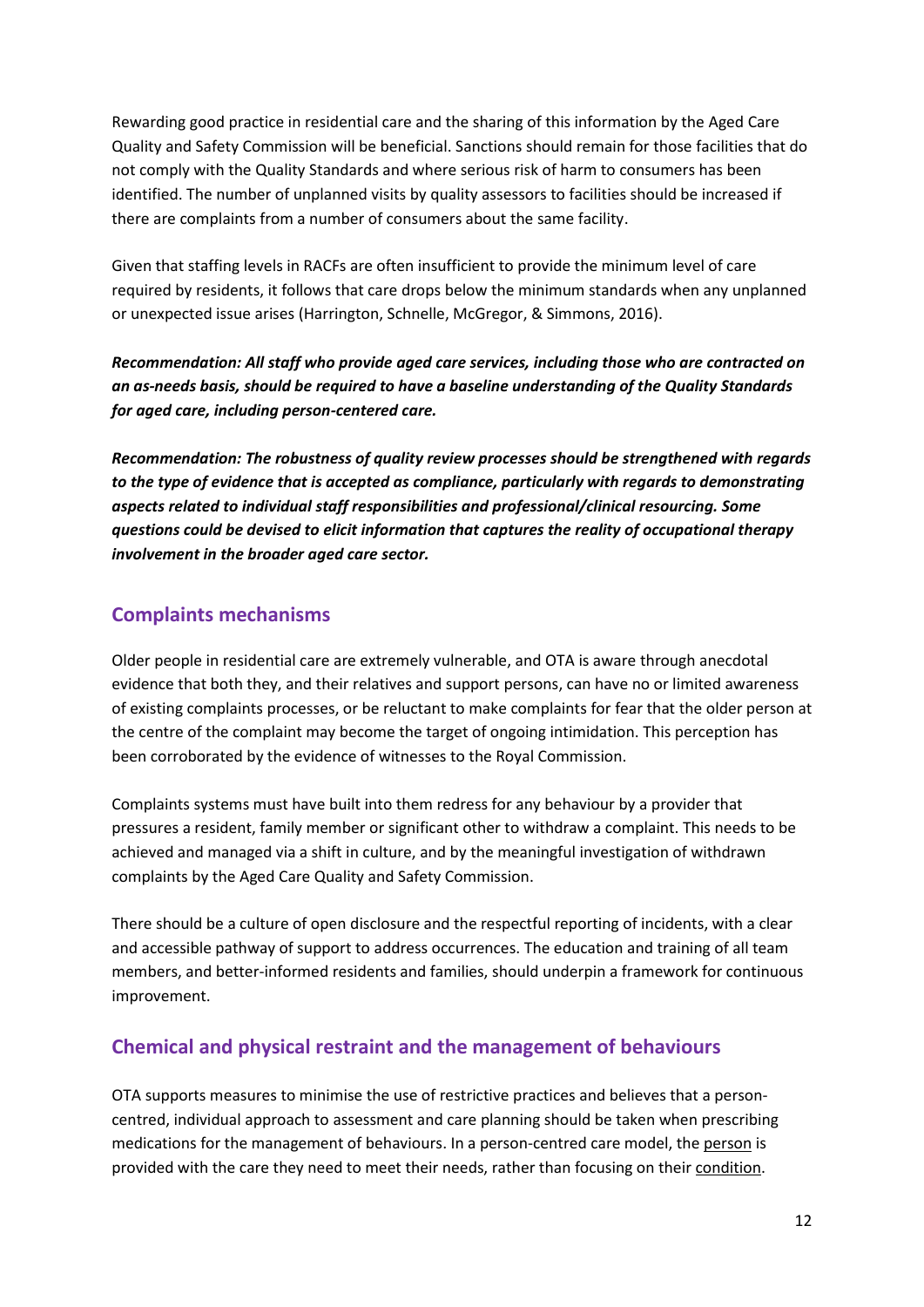Rewarding good practice in residential care and the sharing of this information by the Aged Care Quality and Safety Commission will be beneficial. Sanctions should remain for those facilities that do not comply with the Quality Standards and where serious risk of harm to consumers has been identified. The number of unplanned visits by quality assessors to facilities should be increased if there are complaints from a number of consumers about the same facility.

Given that staffing levels in RACFs are often insufficient to provide the minimum level of care required by residents, it follows that care drops below the minimum standards when any unplanned or unexpected issue arises (Harrington, Schnelle, McGregor, & Simmons, 2016).

*Recommendation: All staff who provide aged care services, including those who are contracted on an as-needs basis, should be required to have a baseline understanding of the Quality Standards for aged care, including person-centered care.*

*Recommendation: The robustness of quality review processes should be strengthened with regards to the type of evidence that is accepted as compliance, particularly with regards to demonstrating aspects related to individual staff responsibilities and professional/clinical resourcing. Some questions could be devised to elicit information that captures the reality of occupational therapy involvement in the broader aged care sector.*

# **Complaints mechanisms**

Older people in residential care are extremely vulnerable, and OTA is aware through anecdotal evidence that both they, and their relatives and support persons, can have no or limited awareness of existing complaints processes, or be reluctant to make complaints for fear that the older person at the centre of the complaint may become the target of ongoing intimidation. This perception has been corroborated by the evidence of witnesses to the Royal Commission.

Complaints systems must have built into them redress for any behaviour by a provider that pressures a resident, family member or significant other to withdraw a complaint. This needs to be achieved and managed via a shift in culture, and by the meaningful investigation of withdrawn complaints by the Aged Care Quality and Safety Commission.

There should be a culture of open disclosure and the respectful reporting of incidents, with a clear and accessible pathway of support to address occurrences. The education and training of all team members, and better-informed residents and families, should underpin a framework for continuous improvement.

# **Chemical and physical restraint and the management of behaviours**

OTA supports measures to minimise the use of restrictive practices and believes that a personcentred, individual approach to assessment and care planning should be taken when prescribing medications for the management of behaviours. In a person-centred care model, the person is provided with the care they need to meet their needs, rather than focusing on their condition.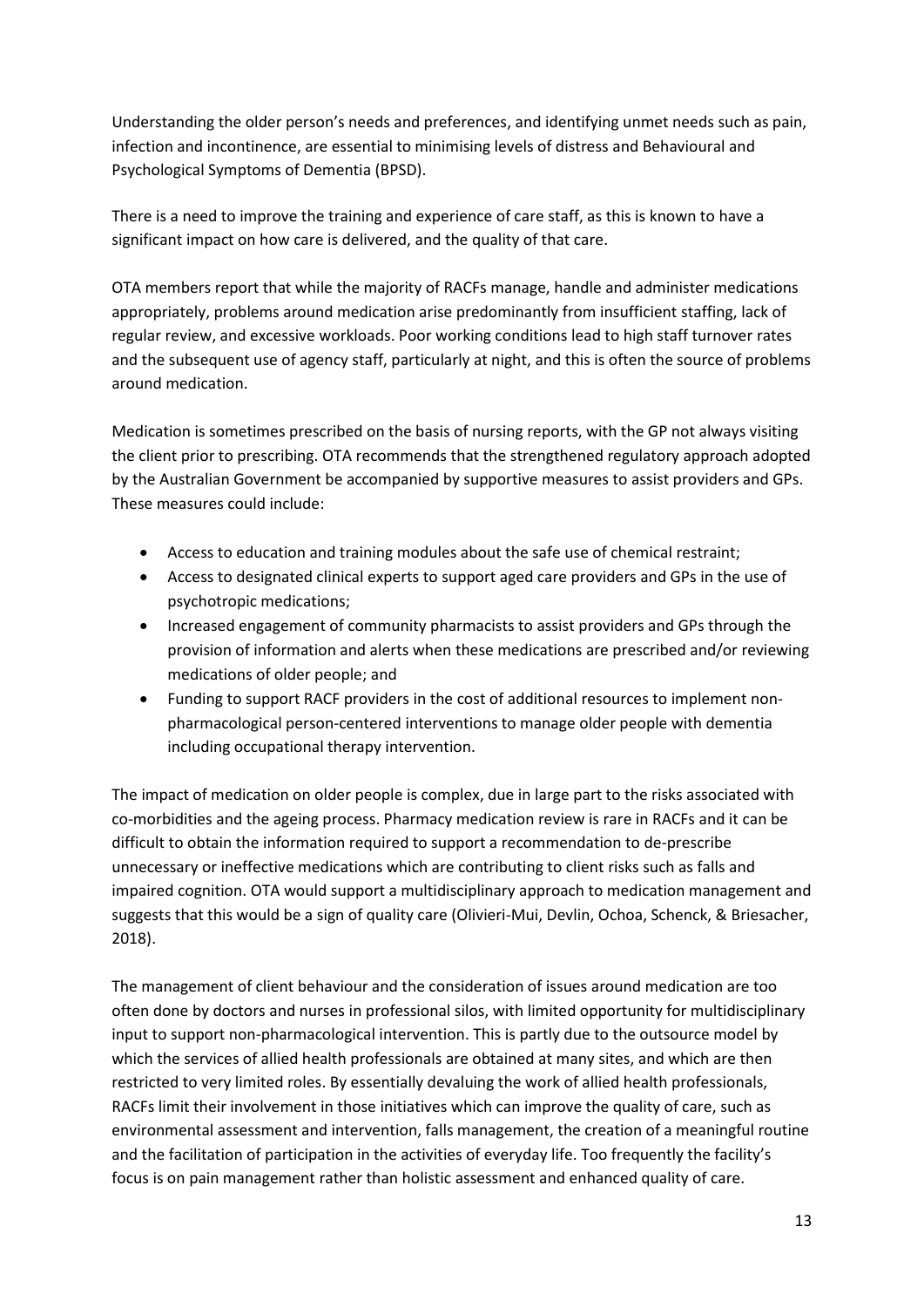Understanding the older person's needs and preferences, and identifying unmet needs such as pain, infection and incontinence, are essential to minimising levels of distress and Behavioural and Psychological Symptoms of Dementia (BPSD).

There is a need to improve the training and experience of care staff, as this is known to have a significant impact on how care is delivered, and the quality of that care.

OTA members report that while the majority of RACFs manage, handle and administer medications appropriately, problems around medication arise predominantly from insufficient staffing, lack of regular review, and excessive workloads. Poor working conditions lead to high staff turnover rates and the subsequent use of agency staff, particularly at night, and this is often the source of problems around medication.

Medication is sometimes prescribed on the basis of nursing reports, with the GP not always visiting the client prior to prescribing. OTA recommends that the strengthened regulatory approach adopted by the Australian Government be accompanied by supportive measures to assist providers and GPs. These measures could include:

- Access to education and training modules about the safe use of chemical restraint;
- Access to designated clinical experts to support aged care providers and GPs in the use of psychotropic medications;
- Increased engagement of community pharmacists to assist providers and GPs through the provision of information and alerts when these medications are prescribed and/or reviewing medications of older people; and
- Funding to support RACF providers in the cost of additional resources to implement nonpharmacological person-centered interventions to manage older people with dementia including occupational therapy intervention.

The impact of medication on older people is complex, due in large part to the risks associated with co-morbidities and the ageing process. Pharmacy medication review is rare in RACFs and it can be difficult to obtain the information required to support a recommendation to de-prescribe unnecessary or ineffective medications which are contributing to client risks such as falls and impaired cognition. OTA would support a multidisciplinary approach to medication management and suggests that this would be a sign of quality care (Olivieri-Mui, Devlin, Ochoa, Schenck, & Briesacher, 2018).

The management of client behaviour and the consideration of issues around medication are too often done by doctors and nurses in professional silos, with limited opportunity for multidisciplinary input to support non-pharmacological intervention. This is partly due to the outsource model by which the services of allied health professionals are obtained at many sites, and which are then restricted to very limited roles. By essentially devaluing the work of allied health professionals, RACFs limit their involvement in those initiatives which can improve the quality of care, such as environmental assessment and intervention, falls management, the creation of a meaningful routine and the facilitation of participation in the activities of everyday life. Too frequently the facility's focus is on pain management rather than holistic assessment and enhanced quality of care.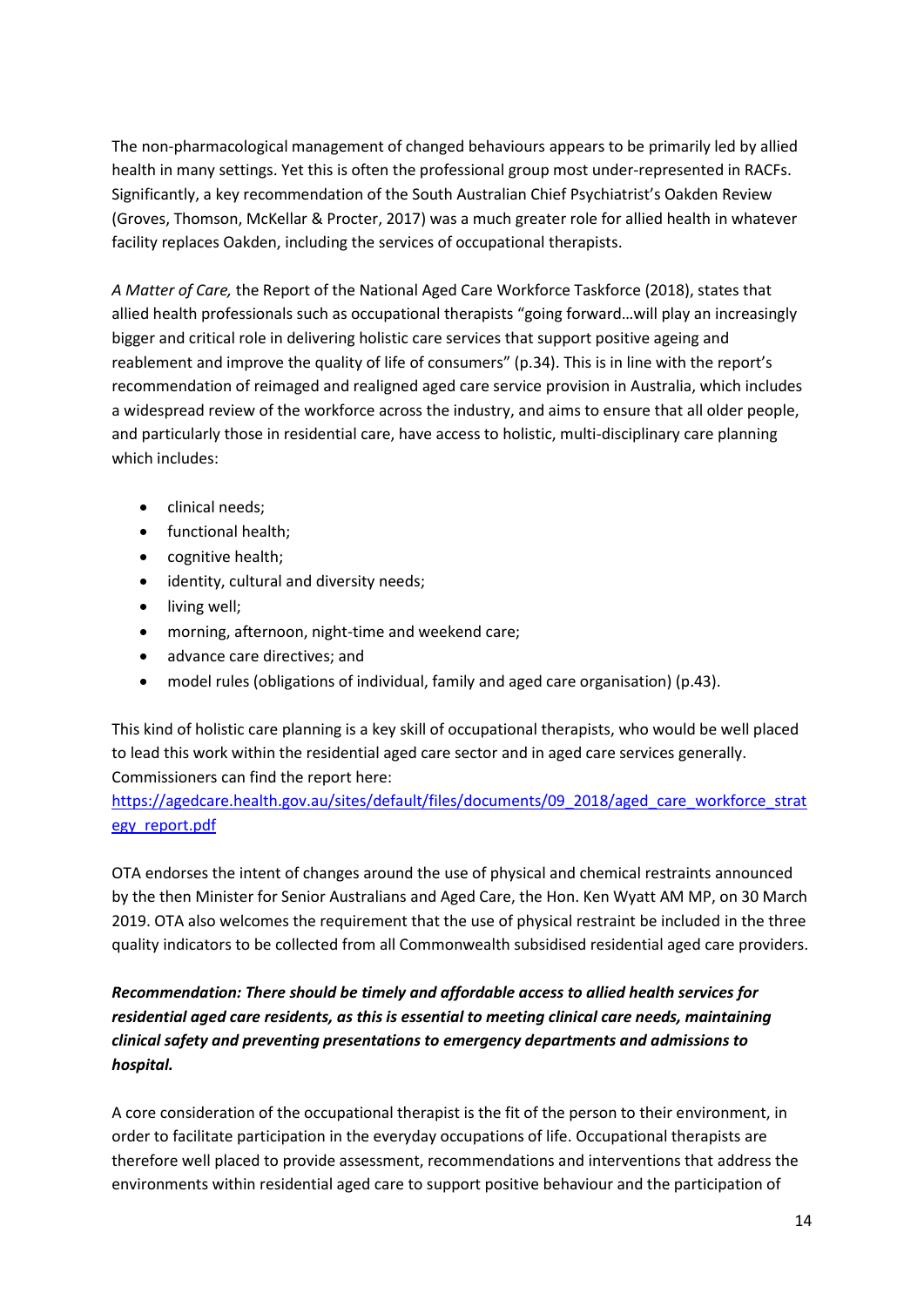The non-pharmacological management of changed behaviours appears to be primarily led by allied health in many settings. Yet this is often the professional group most under-represented in RACFs. Significantly, a key recommendation of the South Australian Chief Psychiatrist's Oakden Review (Groves, Thomson, McKellar & Procter, 2017) was a much greater role for allied health in whatever facility replaces Oakden, including the services of occupational therapists.

*A Matter of Care,* the Report of the National Aged Care Workforce Taskforce (2018), states that allied health professionals such as occupational therapists "going forward…will play an increasingly bigger and critical role in delivering holistic care services that support positive ageing and reablement and improve the quality of life of consumers" (p.34). This is in line with the report's recommendation of reimaged and realigned aged care service provision in Australia, which includes a widespread review of the workforce across the industry, and aims to ensure that all older people, and particularly those in residential care, have access to holistic, multi-disciplinary care planning which includes:

- clinical needs:
- functional health;
- cognitive health;
- identity, cultural and diversity needs;
- living well;
- morning, afternoon, night-time and weekend care;
- advance care directives; and
- model rules (obligations of individual, family and aged care organisation) (p.43).

This kind of holistic care planning is a key skill of occupational therapists, who would be well placed to lead this work within the residential aged care sector and in aged care services generally. Commissioners can find the report here:

[https://agedcare.health.gov.au/sites/default/files/documents/09\\_2018/aged\\_care\\_workforce\\_strat](https://agedcare.health.gov.au/sites/default/files/documents/09_2018/aged_care_workforce_strategy_report.pdf) [egy\\_report.pdf](https://agedcare.health.gov.au/sites/default/files/documents/09_2018/aged_care_workforce_strategy_report.pdf)

OTA endorses the intent of changes around the use of physical and chemical restraints announced by the then Minister for Senior Australians and Aged Care, the Hon. Ken Wyatt AM MP, on 30 March 2019. OTA also welcomes the requirement that the use of physical restraint be included in the three quality indicators to be collected from all Commonwealth subsidised residential aged care providers.

# *Recommendation: There should be timely and affordable access to allied health services for residential aged care residents, as this is essential to meeting clinical care needs, maintaining clinical safety and preventing presentations to emergency departments and admissions to hospital.*

A core consideration of the occupational therapist is the fit of the person to their environment, in order to facilitate participation in the everyday occupations of life. Occupational therapists are therefore well placed to provide assessment, recommendations and interventions that address the environments within residential aged care to support positive behaviour and the participation of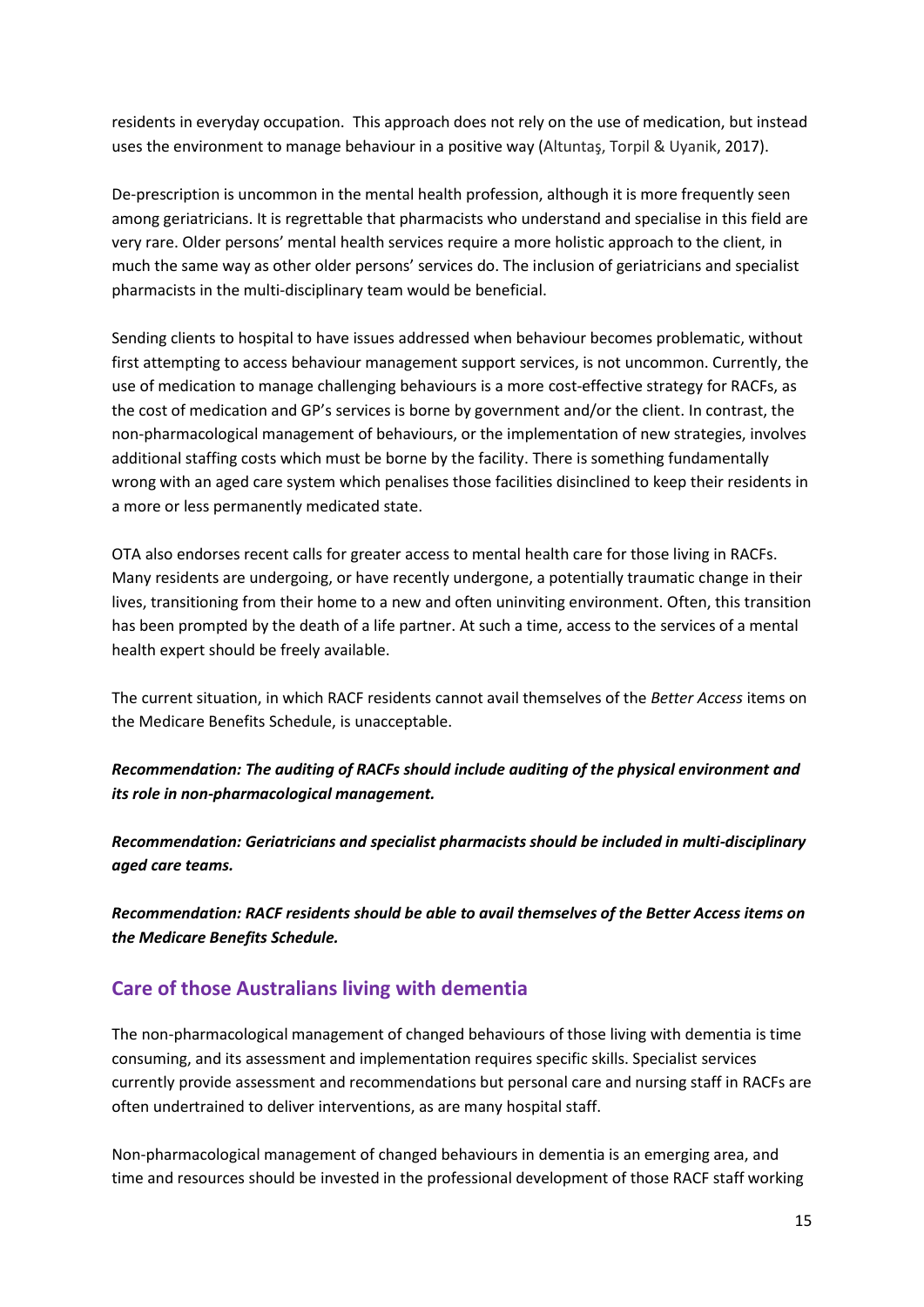residents in everyday occupation. This approach does not rely on the use of medication, but instead uses the environment to manage behaviour in a positive way (Altuntaş, Torpil & Uyanik, 2017).

De-prescription is uncommon in the mental health profession, although it is more frequently seen among geriatricians. It is regrettable that pharmacists who understand and specialise in this field are very rare. Older persons' mental health services require a more holistic approach to the client, in much the same way as other older persons' services do. The inclusion of geriatricians and specialist pharmacists in the multi-disciplinary team would be beneficial.

Sending clients to hospital to have issues addressed when behaviour becomes problematic, without first attempting to access behaviour management support services, is not uncommon. Currently, the use of medication to manage challenging behaviours is a more cost-effective strategy for RACFs, as the cost of medication and GP's services is borne by government and/or the client. In contrast, the non-pharmacological management of behaviours, or the implementation of new strategies, involves additional staffing costs which must be borne by the facility. There is something fundamentally wrong with an aged care system which penalises those facilities disinclined to keep their residents in a more or less permanently medicated state.

OTA also endorses recent calls for greater access to mental health care for those living in RACFs. Many residents are undergoing, or have recently undergone, a potentially traumatic change in their lives, transitioning from their home to a new and often uninviting environment. Often, this transition has been prompted by the death of a life partner. At such a time, access to the services of a mental health expert should be freely available.

The current situation, in which RACF residents cannot avail themselves of the *Better Access* items on the Medicare Benefits Schedule, is unacceptable.

*Recommendation: The auditing of RACFs should include auditing of the physical environment and its role in non-pharmacological management.*

*Recommendation: Geriatricians and specialist pharmacists should be included in multi-disciplinary aged care teams.*

*Recommendation: RACF residents should be able to avail themselves of the Better Access items on the Medicare Benefits Schedule.*

# **Care of those Australians living with dementia**

The non-pharmacological management of changed behaviours of those living with dementia is time consuming, and its assessment and implementation requires specific skills. Specialist services currently provide assessment and recommendations but personal care and nursing staff in RACFs are often undertrained to deliver interventions, as are many hospital staff.

Non-pharmacological management of changed behaviours in dementia is an emerging area, and time and resources should be invested in the professional development of those RACF staff working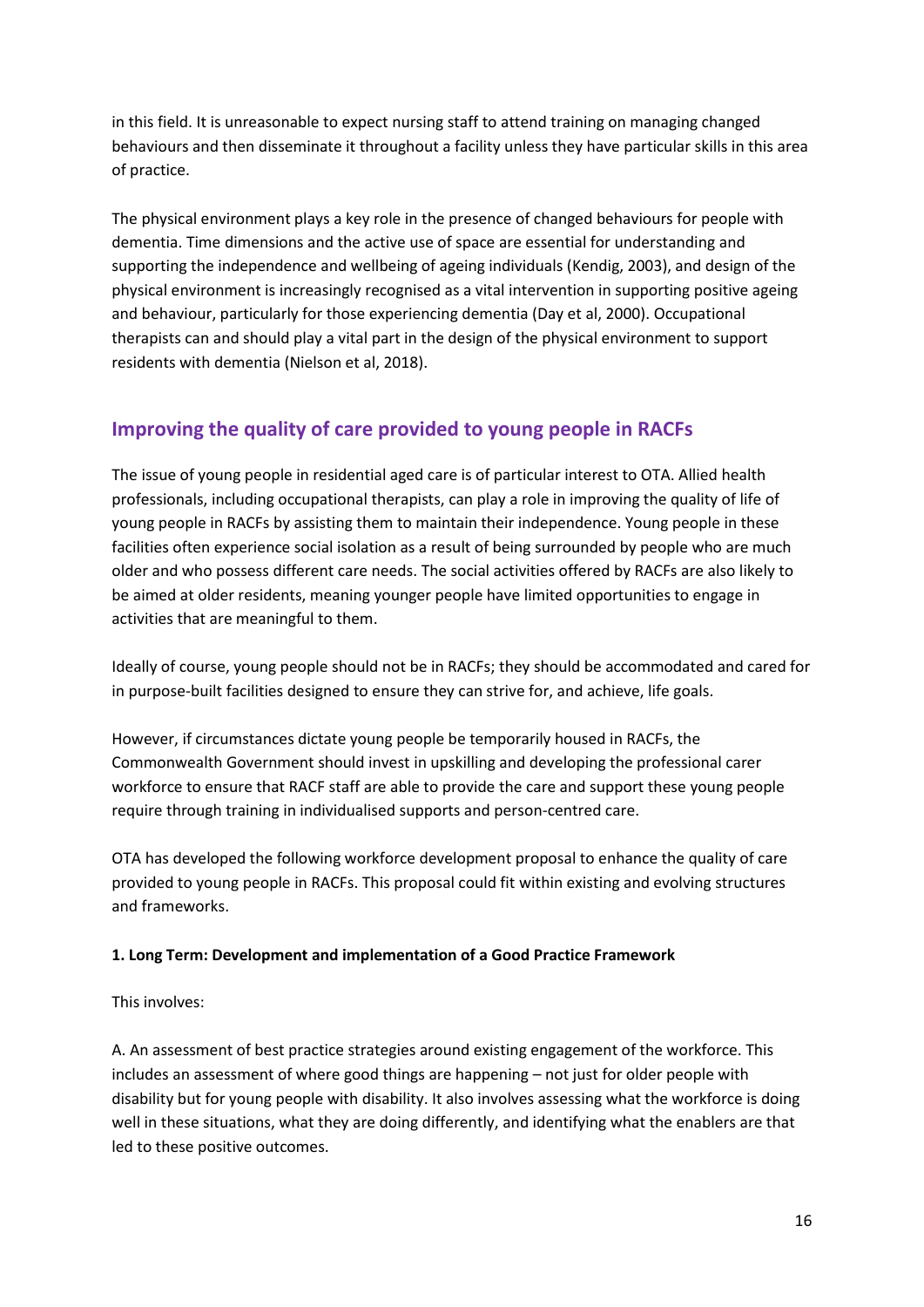in this field. It is unreasonable to expect nursing staff to attend training on managing changed behaviours and then disseminate it throughout a facility unless they have particular skills in this area of practice.

The physical environment plays a key role in the presence of changed behaviours for people with dementia. Time dimensions and the active use of space are essential for understanding and supporting the independence and wellbeing of ageing individuals (Kendig, 2003), and design of the physical environment is increasingly recognised as a vital intervention in supporting positive ageing and behaviour, particularly for those experiencing dementia (Day et al, 2000). Occupational therapists can and should play a vital part in the design of the physical environment to support residents with dementia (Nielson et al, 2018).

# **Improving the quality of care provided to young people in RACFs**

The issue of young people in residential aged care is of particular interest to OTA. Allied health professionals, including occupational therapists, can play a role in improving the quality of life of young people in RACFs by assisting them to maintain their independence. Young people in these facilities often experience social isolation as a result of being surrounded by people who are much older and who possess different care needs. The social activities offered by RACFs are also likely to be aimed at older residents, meaning younger people have limited opportunities to engage in activities that are meaningful to them.

Ideally of course, young people should not be in RACFs; they should be accommodated and cared for in purpose-built facilities designed to ensure they can strive for, and achieve, life goals.

However, if circumstances dictate young people be temporarily housed in RACFs, the Commonwealth Government should invest in upskilling and developing the professional carer workforce to ensure that RACF staff are able to provide the care and support these young people require through training in individualised supports and person-centred care.

OTA has developed the following workforce development proposal to enhance the quality of care provided to young people in RACFs. This proposal could fit within existing and evolving structures and frameworks.

#### **1. Long Term: Development and implementation of a Good Practice Framework**

#### This involves:

A. An assessment of best practice strategies around existing engagement of the workforce. This includes an assessment of where good things are happening – not just for older people with disability but for young people with disability. It also involves assessing what the workforce is doing well in these situations, what they are doing differently, and identifying what the enablers are that led to these positive outcomes.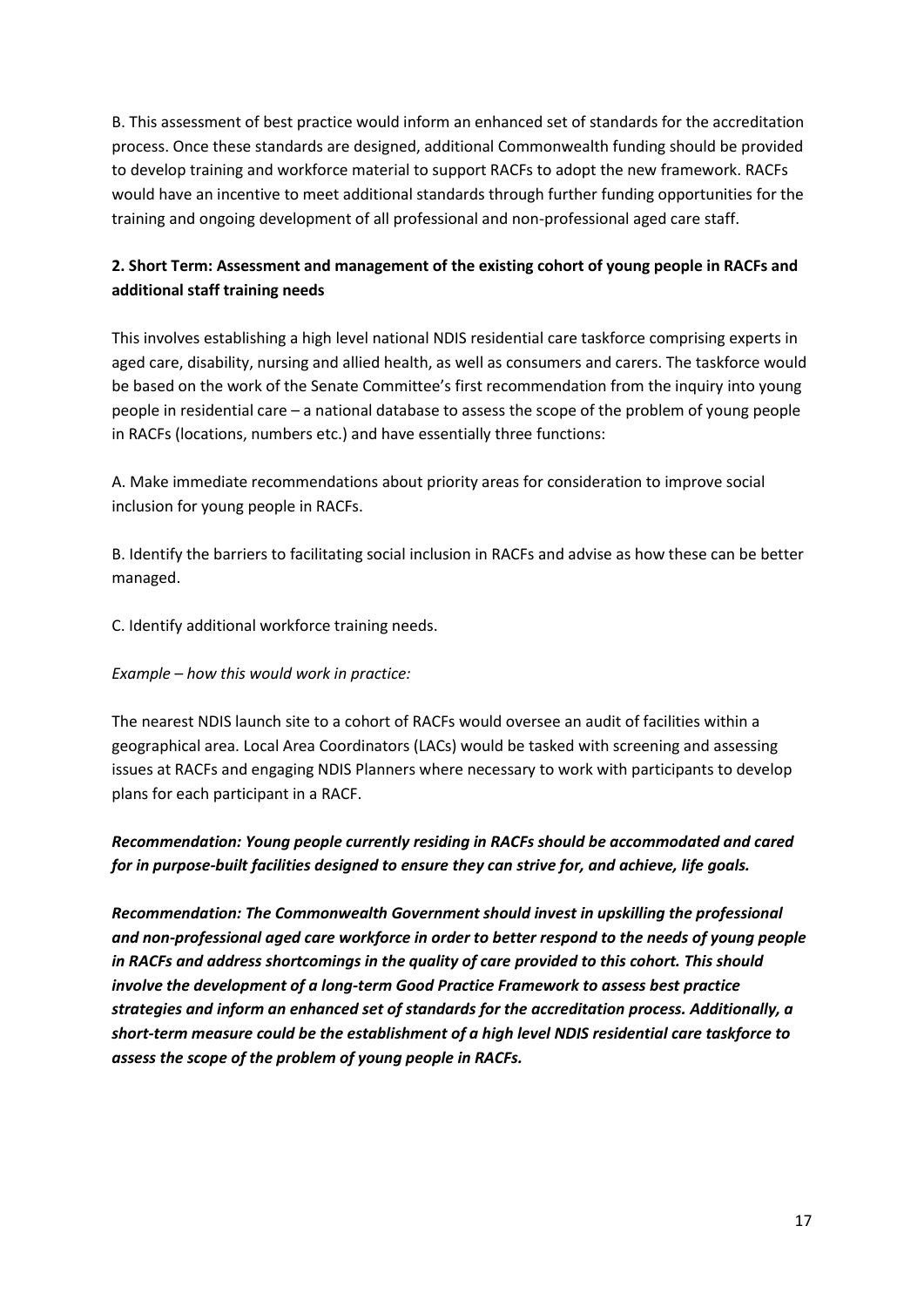B. This assessment of best practice would inform an enhanced set of standards for the accreditation process. Once these standards are designed, additional Commonwealth funding should be provided to develop training and workforce material to support RACFs to adopt the new framework. RACFs would have an incentive to meet additional standards through further funding opportunities for the training and ongoing development of all professional and non-professional aged care staff.

### **2. Short Term: Assessment and management of the existing cohort of young people in RACFs and additional staff training needs**

This involves establishing a high level national NDIS residential care taskforce comprising experts in aged care, disability, nursing and allied health, as well as consumers and carers. The taskforce would be based on the work of the Senate Committee's first recommendation from the inquiry into young people in residential care – a national database to assess the scope of the problem of young people in RACFs (locations, numbers etc.) and have essentially three functions:

A. Make immediate recommendations about priority areas for consideration to improve social inclusion for young people in RACFs.

B. Identify the barriers to facilitating social inclusion in RACFs and advise as how these can be better managed.

C. Identify additional workforce training needs.

*Example – how this would work in practice:*

The nearest NDIS launch site to a cohort of RACFs would oversee an audit of facilities within a geographical area. Local Area Coordinators (LACs) would be tasked with screening and assessing issues at RACFs and engaging NDIS Planners where necessary to work with participants to develop plans for each participant in a RACF.

### *Recommendation: Young people currently residing in RACFs should be accommodated and cared for in purpose-built facilities designed to ensure they can strive for, and achieve, life goals.*

*Recommendation: The Commonwealth Government should invest in upskilling the professional and non-professional aged care workforce in order to better respond to the needs of young people in RACFs and address shortcomings in the quality of care provided to this cohort. This should involve the development of a long-term Good Practice Framework to assess best practice strategies and inform an enhanced set of standards for the accreditation process. Additionally, a short-term measure could be the establishment of a high level NDIS residential care taskforce to assess the scope of the problem of young people in RACFs.*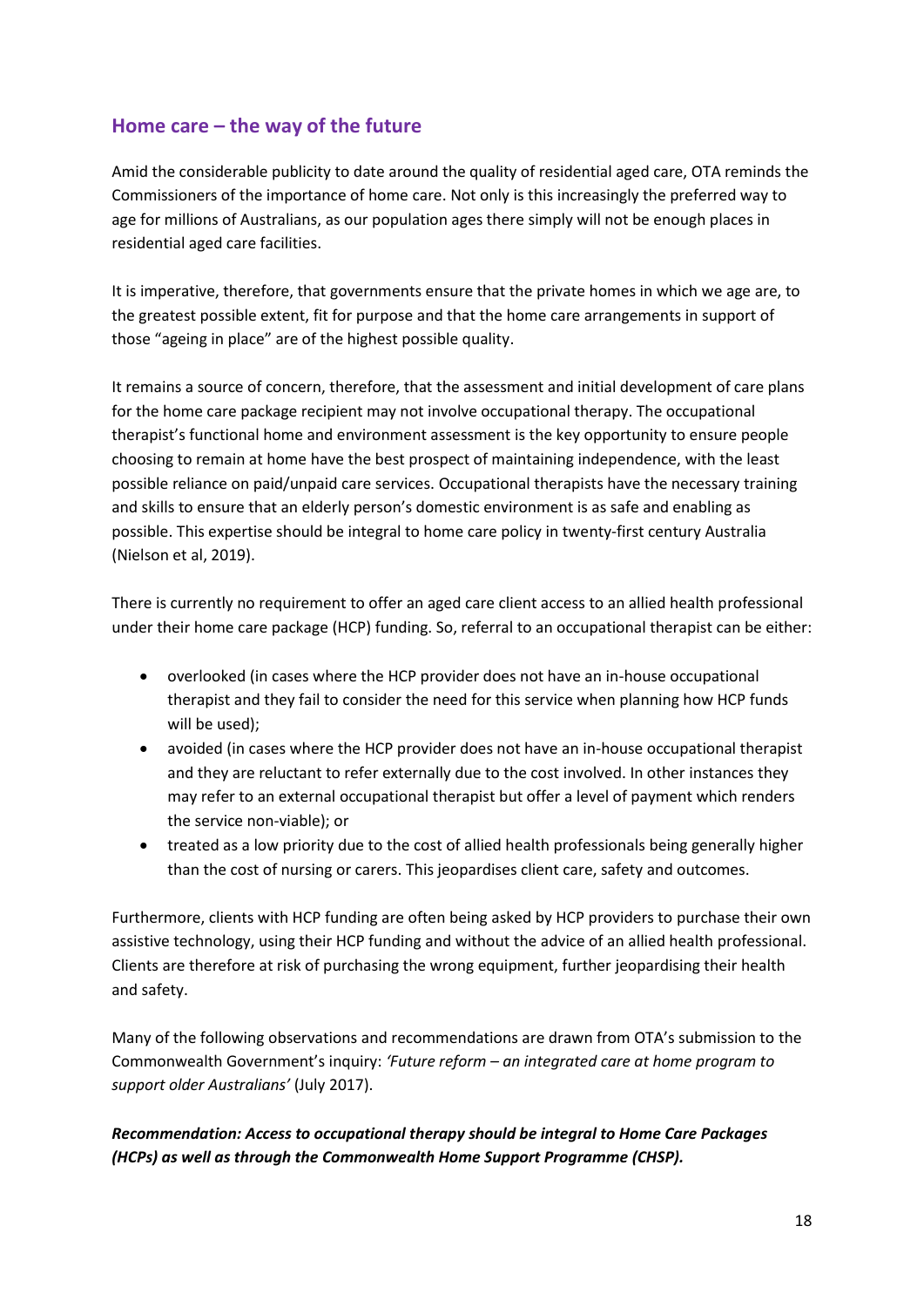# **Home care – the way of the future**

Amid the considerable publicity to date around the quality of residential aged care, OTA reminds the Commissioners of the importance of home care. Not only is this increasingly the preferred way to age for millions of Australians, as our population ages there simply will not be enough places in residential aged care facilities.

It is imperative, therefore, that governments ensure that the private homes in which we age are, to the greatest possible extent, fit for purpose and that the home care arrangements in support of those "ageing in place" are of the highest possible quality.

It remains a source of concern, therefore, that the assessment and initial development of care plans for the home care package recipient may not involve occupational therapy. The occupational therapist's functional home and environment assessment is the key opportunity to ensure people choosing to remain at home have the best prospect of maintaining independence, with the least possible reliance on paid/unpaid care services. Occupational therapists have the necessary training and skills to ensure that an elderly person's domestic environment is as safe and enabling as possible. This expertise should be integral to home care policy in twenty-first century Australia (Nielson et al, 2019).

There is currently no requirement to offer an aged care client access to an allied health professional under their home care package (HCP) funding. So, referral to an occupational therapist can be either:

- overlooked (in cases where the HCP provider does not have an in-house occupational therapist and they fail to consider the need for this service when planning how HCP funds will be used);
- avoided (in cases where the HCP provider does not have an in-house occupational therapist and they are reluctant to refer externally due to the cost involved. In other instances they may refer to an external occupational therapist but offer a level of payment which renders the service non-viable); or
- treated as a low priority due to the cost of allied health professionals being generally higher than the cost of nursing or carers. This jeopardises client care, safety and outcomes.

Furthermore, clients with HCP funding are often being asked by HCP providers to purchase their own assistive technology, using their HCP funding and without the advice of an allied health professional. Clients are therefore at risk of purchasing the wrong equipment, further jeopardising their health and safety.

Many of the following observations and recommendations are drawn from OTA's submission to the Commonwealth Government's inquiry: *'Future reform – an integrated care at home program to support older Australians'* (July 2017).

### *Recommendation: Access to occupational therapy should be integral to Home Care Packages (HCPs) as well as through the Commonwealth Home Support Programme (CHSP).*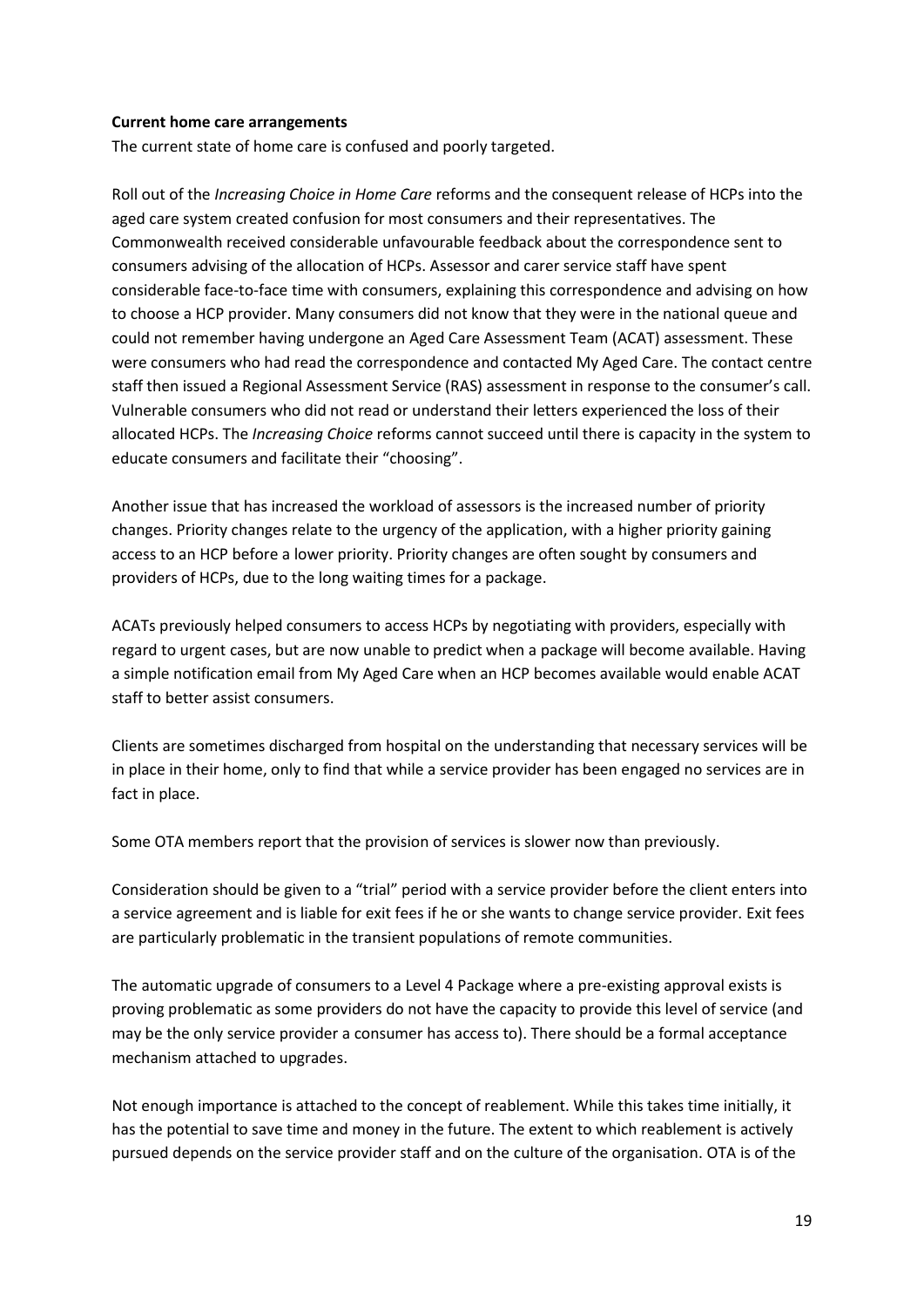#### **Current home care arrangements**

The current state of home care is confused and poorly targeted.

Roll out of the *Increasing Choice in Home Care* reforms and the consequent release of HCPs into the aged care system created confusion for most consumers and their representatives. The Commonwealth received considerable unfavourable feedback about the correspondence sent to consumers advising of the allocation of HCPs. Assessor and carer service staff have spent considerable face-to-face time with consumers, explaining this correspondence and advising on how to choose a HCP provider. Many consumers did not know that they were in the national queue and could not remember having undergone an Aged Care Assessment Team (ACAT) assessment. These were consumers who had read the correspondence and contacted My Aged Care. The contact centre staff then issued a Regional Assessment Service (RAS) assessment in response to the consumer's call. Vulnerable consumers who did not read or understand their letters experienced the loss of their allocated HCPs. The *Increasing Choice* reforms cannot succeed until there is capacity in the system to educate consumers and facilitate their "choosing".

Another issue that has increased the workload of assessors is the increased number of priority changes. Priority changes relate to the urgency of the application, with a higher priority gaining access to an HCP before a lower priority. Priority changes are often sought by consumers and providers of HCPs, due to the long waiting times for a package.

ACATs previously helped consumers to access HCPs by negotiating with providers, especially with regard to urgent cases, but are now unable to predict when a package will become available. Having a simple notification email from My Aged Care when an HCP becomes available would enable ACAT staff to better assist consumers.

Clients are sometimes discharged from hospital on the understanding that necessary services will be in place in their home, only to find that while a service provider has been engaged no services are in fact in place.

Some OTA members report that the provision of services is slower now than previously.

Consideration should be given to a "trial" period with a service provider before the client enters into a service agreement and is liable for exit fees if he or she wants to change service provider. Exit fees are particularly problematic in the transient populations of remote communities.

The automatic upgrade of consumers to a Level 4 Package where a pre-existing approval exists is proving problematic as some providers do not have the capacity to provide this level of service (and may be the only service provider a consumer has access to). There should be a formal acceptance mechanism attached to upgrades.

Not enough importance is attached to the concept of reablement. While this takes time initially, it has the potential to save time and money in the future. The extent to which reablement is actively pursued depends on the service provider staff and on the culture of the organisation. OTA is of the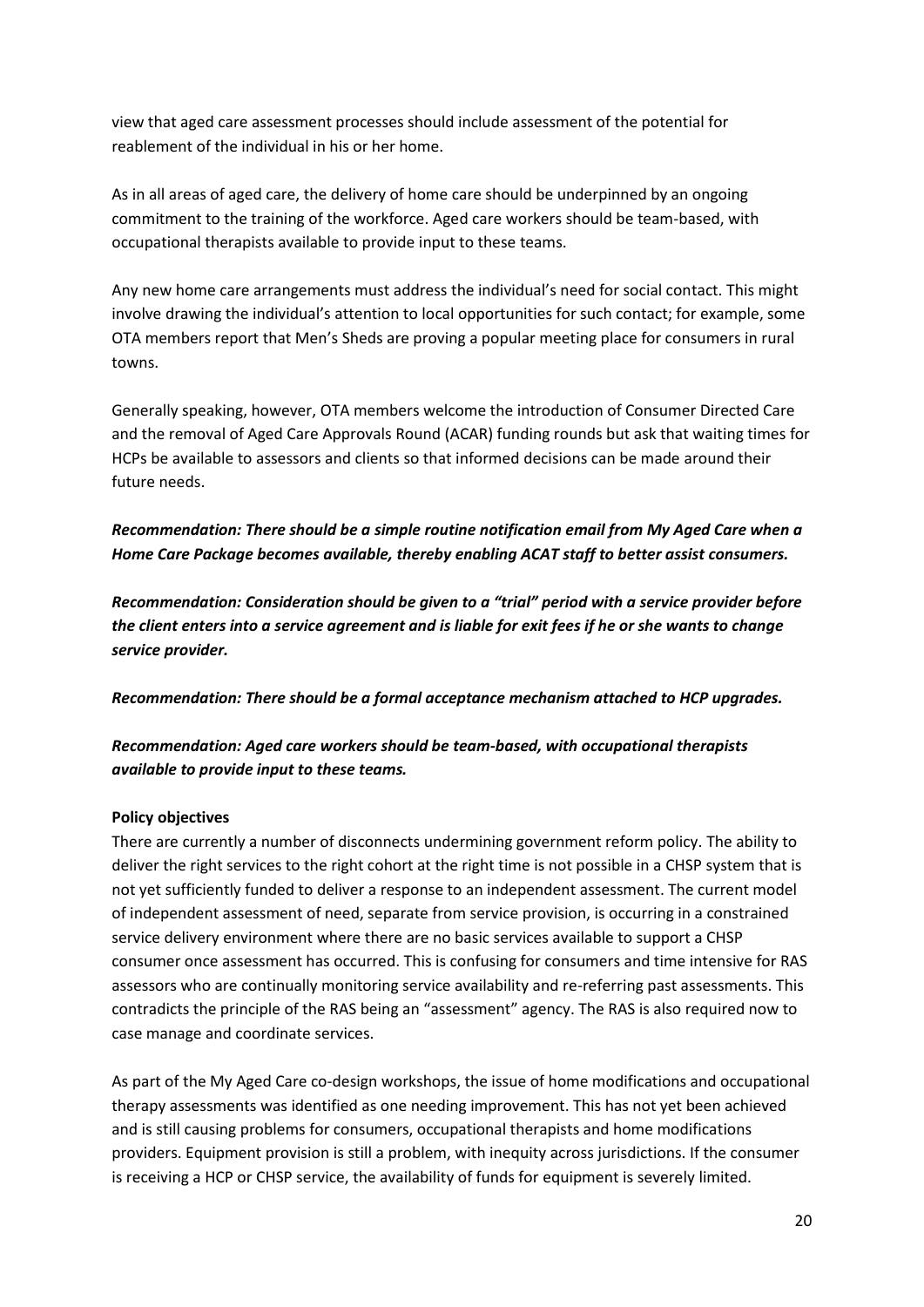view that aged care assessment processes should include assessment of the potential for reablement of the individual in his or her home.

As in all areas of aged care, the delivery of home care should be underpinned by an ongoing commitment to the training of the workforce. Aged care workers should be team-based, with occupational therapists available to provide input to these teams.

Any new home care arrangements must address the individual's need for social contact. This might involve drawing the individual's attention to local opportunities for such contact; for example, some OTA members report that Men's Sheds are proving a popular meeting place for consumers in rural towns.

Generally speaking, however, OTA members welcome the introduction of Consumer Directed Care and the removal of Aged Care Approvals Round (ACAR) funding rounds but ask that waiting times for HCPs be available to assessors and clients so that informed decisions can be made around their future needs.

### *Recommendation: There should be a simple routine notification email from My Aged Care when a Home Care Package becomes available, thereby enabling ACAT staff to better assist consumers.*

*Recommendation: Consideration should be given to a "trial" period with a service provider before the client enters into a service agreement and is liable for exit fees if he or she wants to change service provider.*

*Recommendation: There should be a formal acceptance mechanism attached to HCP upgrades.*

### *Recommendation: Aged care workers should be team-based, with occupational therapists available to provide input to these teams.*

### **Policy objectives**

There are currently a number of disconnects undermining government reform policy. The ability to deliver the right services to the right cohort at the right time is not possible in a CHSP system that is not yet sufficiently funded to deliver a response to an independent assessment. The current model of independent assessment of need, separate from service provision, is occurring in a constrained service delivery environment where there are no basic services available to support a CHSP consumer once assessment has occurred. This is confusing for consumers and time intensive for RAS assessors who are continually monitoring service availability and re-referring past assessments. This contradicts the principle of the RAS being an "assessment" agency. The RAS is also required now to case manage and coordinate services.

As part of the My Aged Care co-design workshops, the issue of home modifications and occupational therapy assessments was identified as one needing improvement. This has not yet been achieved and is still causing problems for consumers, occupational therapists and home modifications providers. Equipment provision is still a problem, with inequity across jurisdictions. If the consumer is receiving a HCP or CHSP service, the availability of funds for equipment is severely limited.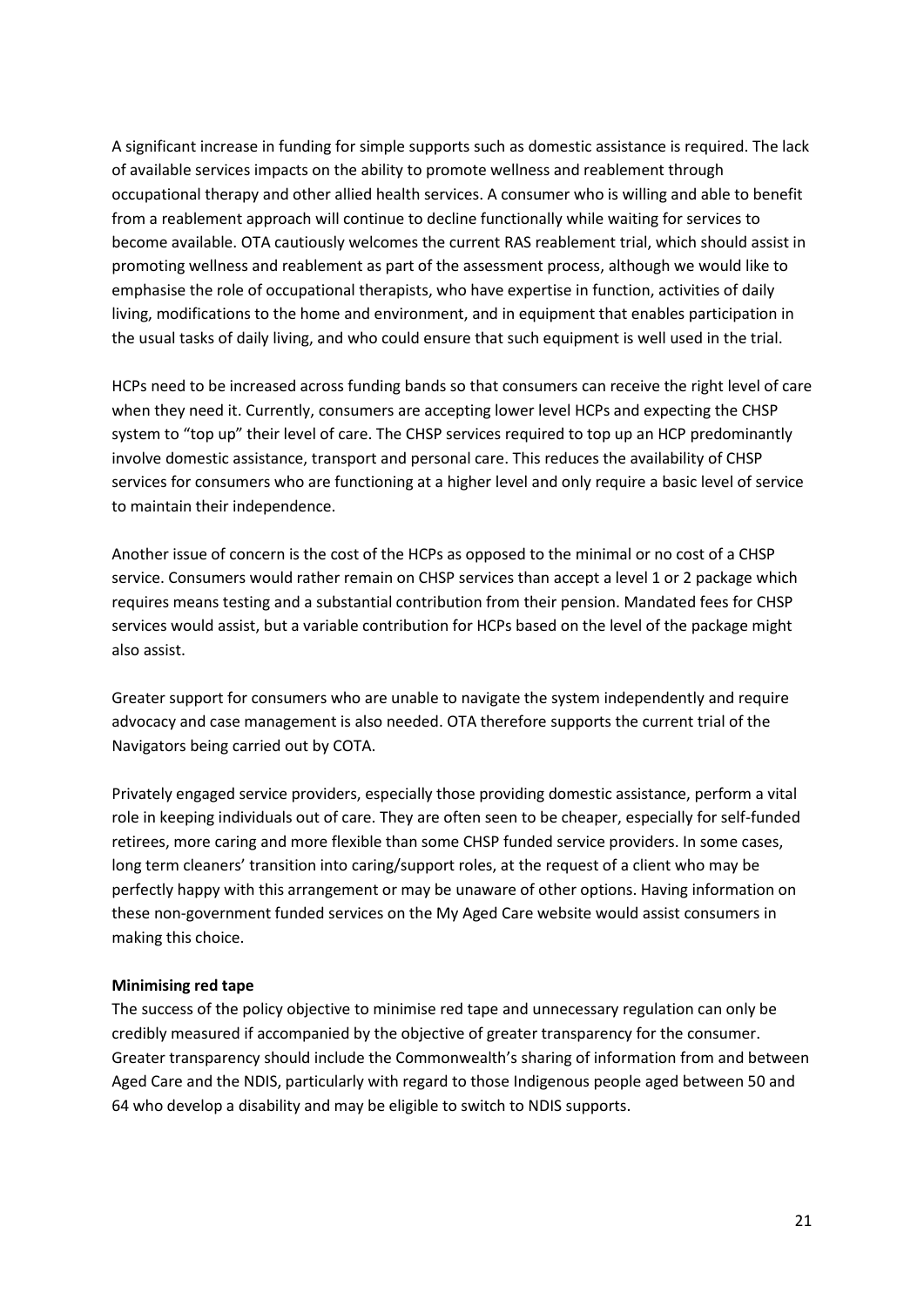A significant increase in funding for simple supports such as domestic assistance is required. The lack of available services impacts on the ability to promote wellness and reablement through occupational therapy and other allied health services. A consumer who is willing and able to benefit from a reablement approach will continue to decline functionally while waiting for services to become available. OTA cautiously welcomes the current RAS reablement trial, which should assist in promoting wellness and reablement as part of the assessment process, although we would like to emphasise the role of occupational therapists, who have expertise in function, activities of daily living, modifications to the home and environment, and in equipment that enables participation in the usual tasks of daily living, and who could ensure that such equipment is well used in the trial.

HCPs need to be increased across funding bands so that consumers can receive the right level of care when they need it. Currently, consumers are accepting lower level HCPs and expecting the CHSP system to "top up" their level of care. The CHSP services required to top up an HCP predominantly involve domestic assistance, transport and personal care. This reduces the availability of CHSP services for consumers who are functioning at a higher level and only require a basic level of service to maintain their independence.

Another issue of concern is the cost of the HCPs as opposed to the minimal or no cost of a CHSP service. Consumers would rather remain on CHSP services than accept a level 1 or 2 package which requires means testing and a substantial contribution from their pension. Mandated fees for CHSP services would assist, but a variable contribution for HCPs based on the level of the package might also assist.

Greater support for consumers who are unable to navigate the system independently and require advocacy and case management is also needed. OTA therefore supports the current trial of the Navigators being carried out by COTA.

Privately engaged service providers, especially those providing domestic assistance, perform a vital role in keeping individuals out of care. They are often seen to be cheaper, especially for self-funded retirees, more caring and more flexible than some CHSP funded service providers. In some cases, long term cleaners' transition into caring/support roles, at the request of a client who may be perfectly happy with this arrangement or may be unaware of other options. Having information on these non-government funded services on the My Aged Care website would assist consumers in making this choice.

#### **Minimising red tape**

The success of the policy objective to minimise red tape and unnecessary regulation can only be credibly measured if accompanied by the objective of greater transparency for the consumer. Greater transparency should include the Commonwealth's sharing of information from and between Aged Care and the NDIS, particularly with regard to those Indigenous people aged between 50 and 64 who develop a disability and may be eligible to switch to NDIS supports.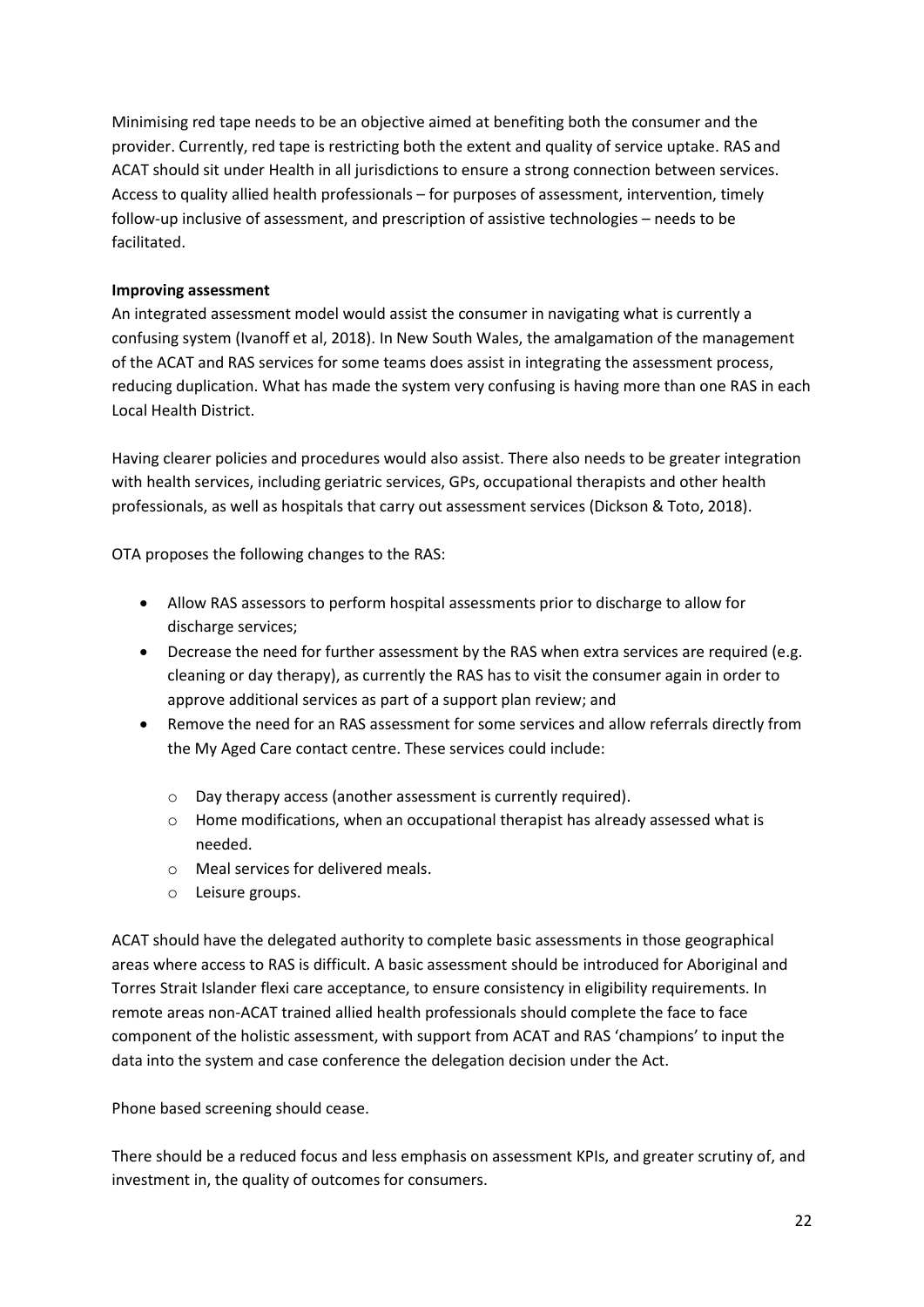Minimising red tape needs to be an objective aimed at benefiting both the consumer and the provider. Currently, red tape is restricting both the extent and quality of service uptake. RAS and ACAT should sit under Health in all jurisdictions to ensure a strong connection between services. Access to quality allied health professionals – for purposes of assessment, intervention, timely follow-up inclusive of assessment, and prescription of assistive technologies – needs to be facilitated.

#### **Improving assessment**

An integrated assessment model would assist the consumer in navigating what is currently a confusing system (Ivanoff et al, 2018). In New South Wales, the amalgamation of the management of the ACAT and RAS services for some teams does assist in integrating the assessment process, reducing duplication. What has made the system very confusing is having more than one RAS in each Local Health District.

Having clearer policies and procedures would also assist. There also needs to be greater integration with health services, including geriatric services, GPs, occupational therapists and other health professionals, as well as hospitals that carry out assessment services (Dickson & Toto, 2018).

OTA proposes the following changes to the RAS:

- Allow RAS assessors to perform hospital assessments prior to discharge to allow for discharge services;
- Decrease the need for further assessment by the RAS when extra services are required (e.g. cleaning or day therapy), as currently the RAS has to visit the consumer again in order to approve additional services as part of a support plan review; and
- Remove the need for an RAS assessment for some services and allow referrals directly from the My Aged Care contact centre. These services could include:
	- o Day therapy access (another assessment is currently required).
	- o Home modifications, when an occupational therapist has already assessed what is needed.
	- o Meal services for delivered meals.
	- o Leisure groups.

ACAT should have the delegated authority to complete basic assessments in those geographical areas where access to RAS is difficult. A basic assessment should be introduced for Aboriginal and Torres Strait Islander flexi care acceptance, to ensure consistency in eligibility requirements. In remote areas non-ACAT trained allied health professionals should complete the face to face component of the holistic assessment, with support from ACAT and RAS 'champions' to input the data into the system and case conference the delegation decision under the Act.

Phone based screening should cease.

There should be a reduced focus and less emphasis on assessment KPIs, and greater scrutiny of, and investment in, the quality of outcomes for consumers.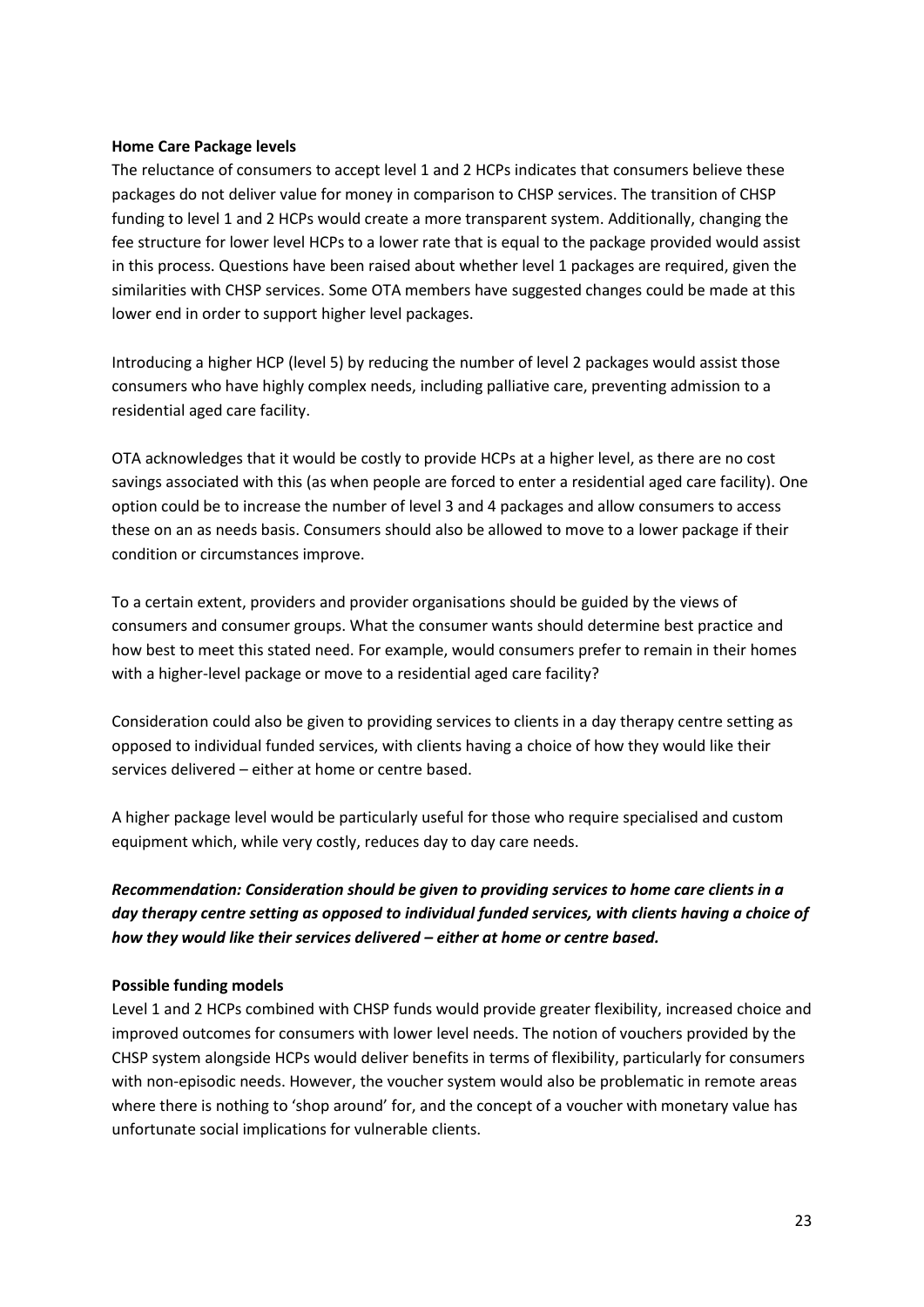#### **Home Care Package levels**

The reluctance of consumers to accept level 1 and 2 HCPs indicates that consumers believe these packages do not deliver value for money in comparison to CHSP services. The transition of CHSP funding to level 1 and 2 HCPs would create a more transparent system. Additionally, changing the fee structure for lower level HCPs to a lower rate that is equal to the package provided would assist in this process. Questions have been raised about whether level 1 packages are required, given the similarities with CHSP services. Some OTA members have suggested changes could be made at this lower end in order to support higher level packages.

Introducing a higher HCP (level 5) by reducing the number of level 2 packages would assist those consumers who have highly complex needs, including palliative care, preventing admission to a residential aged care facility.

OTA acknowledges that it would be costly to provide HCPs at a higher level, as there are no cost savings associated with this (as when people are forced to enter a residential aged care facility). One option could be to increase the number of level 3 and 4 packages and allow consumers to access these on an as needs basis. Consumers should also be allowed to move to a lower package if their condition or circumstances improve.

To a certain extent, providers and provider organisations should be guided by the views of consumers and consumer groups. What the consumer wants should determine best practice and how best to meet this stated need. For example, would consumers prefer to remain in their homes with a higher-level package or move to a residential aged care facility?

Consideration could also be given to providing services to clients in a day therapy centre setting as opposed to individual funded services, with clients having a choice of how they would like their services delivered – either at home or centre based.

A higher package level would be particularly useful for those who require specialised and custom equipment which, while very costly, reduces day to day care needs.

### *Recommendation: Consideration should be given to providing services to home care clients in a day therapy centre setting as opposed to individual funded services, with clients having a choice of how they would like their services delivered – either at home or centre based.*

#### **Possible funding models**

Level 1 and 2 HCPs combined with CHSP funds would provide greater flexibility, increased choice and improved outcomes for consumers with lower level needs. The notion of vouchers provided by the CHSP system alongside HCPs would deliver benefits in terms of flexibility, particularly for consumers with non-episodic needs. However, the voucher system would also be problematic in remote areas where there is nothing to 'shop around' for, and the concept of a voucher with monetary value has unfortunate social implications for vulnerable clients.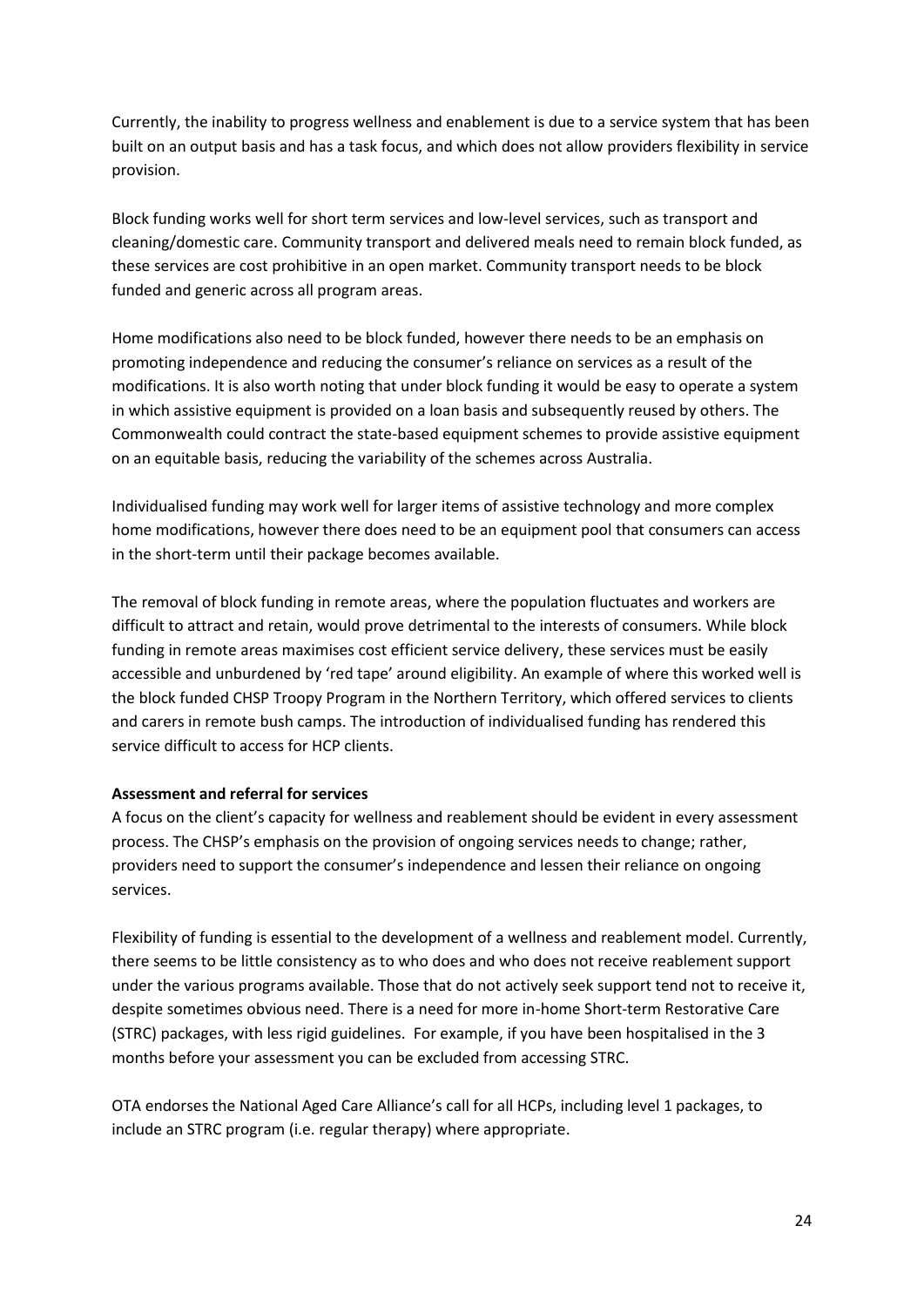Currently, the inability to progress wellness and enablement is due to a service system that has been built on an output basis and has a task focus, and which does not allow providers flexibility in service provision.

Block funding works well for short term services and low-level services, such as transport and cleaning/domestic care. Community transport and delivered meals need to remain block funded, as these services are cost prohibitive in an open market. Community transport needs to be block funded and generic across all program areas.

Home modifications also need to be block funded, however there needs to be an emphasis on promoting independence and reducing the consumer's reliance on services as a result of the modifications. It is also worth noting that under block funding it would be easy to operate a system in which assistive equipment is provided on a loan basis and subsequently reused by others. The Commonwealth could contract the state-based equipment schemes to provide assistive equipment on an equitable basis, reducing the variability of the schemes across Australia.

Individualised funding may work well for larger items of assistive technology and more complex home modifications, however there does need to be an equipment pool that consumers can access in the short-term until their package becomes available.

The removal of block funding in remote areas, where the population fluctuates and workers are difficult to attract and retain, would prove detrimental to the interests of consumers. While block funding in remote areas maximises cost efficient service delivery, these services must be easily accessible and unburdened by 'red tape' around eligibility. An example of where this worked well is the block funded CHSP Troopy Program in the Northern Territory, which offered services to clients and carers in remote bush camps. The introduction of individualised funding has rendered this service difficult to access for HCP clients.

#### **Assessment and referral for services**

A focus on the client's capacity for wellness and reablement should be evident in every assessment process. The CHSP's emphasis on the provision of ongoing services needs to change; rather, providers need to support the consumer's independence and lessen their reliance on ongoing services.

Flexibility of funding is essential to the development of a wellness and reablement model. Currently, there seems to be little consistency as to who does and who does not receive reablement support under the various programs available. Those that do not actively seek support tend not to receive it, despite sometimes obvious need. There is a need for more in-home Short-term Restorative Care (STRC) packages, with less rigid guidelines. For example, if you have been hospitalised in the 3 months before your assessment you can be excluded from accessing STRC.

OTA endorses the National Aged Care Alliance's call for all HCPs, including level 1 packages, to include an STRC program (i.e. regular therapy) where appropriate.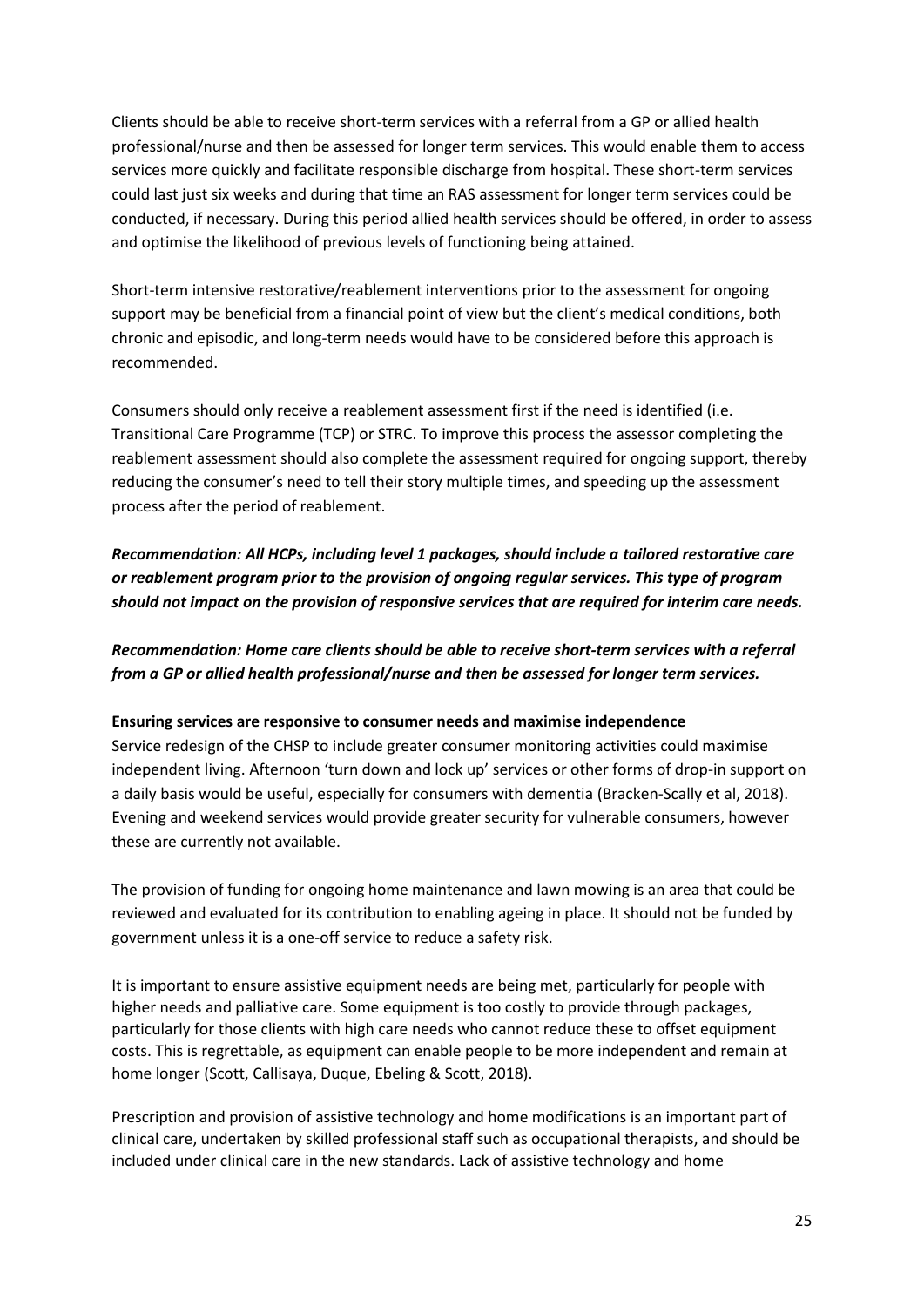Clients should be able to receive short-term services with a referral from a GP or allied health professional/nurse and then be assessed for longer term services. This would enable them to access services more quickly and facilitate responsible discharge from hospital. These short-term services could last just six weeks and during that time an RAS assessment for longer term services could be conducted, if necessary. During this period allied health services should be offered, in order to assess and optimise the likelihood of previous levels of functioning being attained.

Short-term intensive restorative/reablement interventions prior to the assessment for ongoing support may be beneficial from a financial point of view but the client's medical conditions, both chronic and episodic, and long-term needs would have to be considered before this approach is recommended.

Consumers should only receive a reablement assessment first if the need is identified (i.e. Transitional Care Programme (TCP) or STRC. To improve this process the assessor completing the reablement assessment should also complete the assessment required for ongoing support, thereby reducing the consumer's need to tell their story multiple times, and speeding up the assessment process after the period of reablement.

*Recommendation: All HCPs, including level 1 packages, should include a tailored restorative care or reablement program prior to the provision of ongoing regular services. This type of program should not impact on the provision of responsive services that are required for interim care needs.* 

*Recommendation: Home care clients should be able to receive short-term services with a referral from a GP or allied health professional/nurse and then be assessed for longer term services.*

#### **Ensuring services are responsive to consumer needs and maximise independence**

Service redesign of the CHSP to include greater consumer monitoring activities could maximise independent living. Afternoon 'turn down and lock up' services or other forms of drop-in support on a daily basis would be useful, especially for consumers with dementia (Bracken-Scally et al, 2018). Evening and weekend services would provide greater security for vulnerable consumers, however these are currently not available.

The provision of funding for ongoing home maintenance and lawn mowing is an area that could be reviewed and evaluated for its contribution to enabling ageing in place. It should not be funded by government unless it is a one-off service to reduce a safety risk.

It is important to ensure assistive equipment needs are being met, particularly for people with higher needs and palliative care. Some equipment is too costly to provide through packages, particularly for those clients with high care needs who cannot reduce these to offset equipment costs. This is regrettable, as equipment can enable people to be more independent and remain at home longer (Scott, Callisaya, Duque, Ebeling & Scott, 2018).

Prescription and provision of assistive technology and home modifications is an important part of clinical care, undertaken by skilled professional staff such as occupational therapists, and should be included under clinical care in the new standards. Lack of assistive technology and home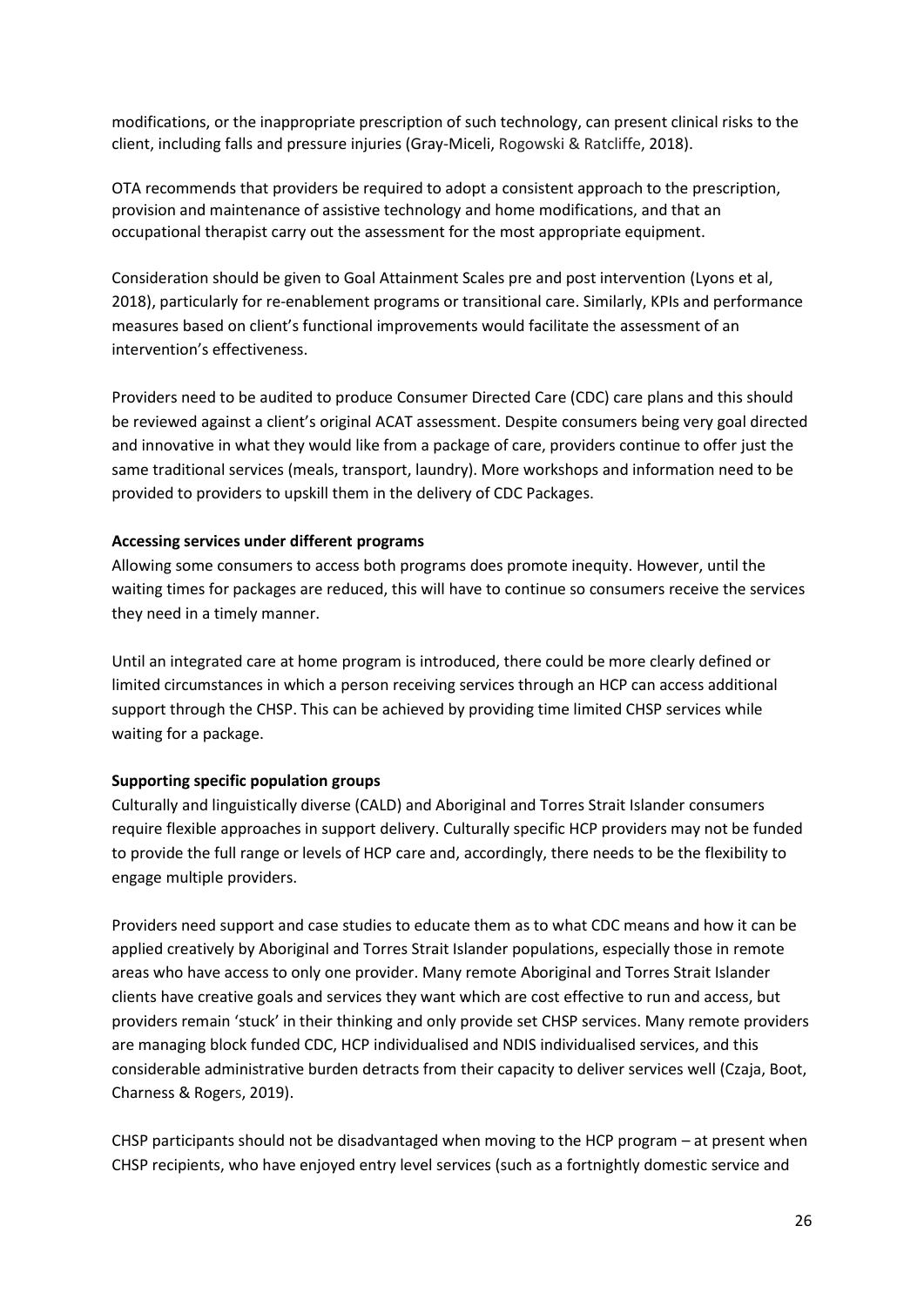modifications, or the inappropriate prescription of such technology, can present clinical risks to the client, including falls and pressure injuries (Gray-Miceli, Rogowski & Ratcliffe, 2018).

OTA recommends that providers be required to adopt a consistent approach to the prescription, provision and maintenance of assistive technology and home modifications, and that an occupational therapist carry out the assessment for the most appropriate equipment.

Consideration should be given to Goal Attainment Scales pre and post intervention (Lyons et al, 2018), particularly for re-enablement programs or transitional care. Similarly, KPIs and performance measures based on client's functional improvements would facilitate the assessment of an intervention's effectiveness.

Providers need to be audited to produce Consumer Directed Care (CDC) care plans and this should be reviewed against a client's original ACAT assessment. Despite consumers being very goal directed and innovative in what they would like from a package of care, providers continue to offer just the same traditional services (meals, transport, laundry). More workshops and information need to be provided to providers to upskill them in the delivery of CDC Packages.

#### **Accessing services under different programs**

Allowing some consumers to access both programs does promote inequity. However, until the waiting times for packages are reduced, this will have to continue so consumers receive the services they need in a timely manner.

Until an integrated care at home program is introduced, there could be more clearly defined or limited circumstances in which a person receiving services through an HCP can access additional support through the CHSP. This can be achieved by providing time limited CHSP services while waiting for a package.

#### **Supporting specific population groups**

Culturally and linguistically diverse (CALD) and Aboriginal and Torres Strait Islander consumers require flexible approaches in support delivery. Culturally specific HCP providers may not be funded to provide the full range or levels of HCP care and, accordingly, there needs to be the flexibility to engage multiple providers.

Providers need support and case studies to educate them as to what CDC means and how it can be applied creatively by Aboriginal and Torres Strait Islander populations, especially those in remote areas who have access to only one provider. Many remote Aboriginal and Torres Strait Islander clients have creative goals and services they want which are cost effective to run and access, but providers remain 'stuck' in their thinking and only provide set CHSP services. Many remote providers are managing block funded CDC, HCP individualised and NDIS individualised services, and this considerable administrative burden detracts from their capacity to deliver services well (Czaja, Boot, Charness & Rogers, 2019).

CHSP participants should not be disadvantaged when moving to the HCP program – at present when CHSP recipients, who have enjoyed entry level services (such as a fortnightly domestic service and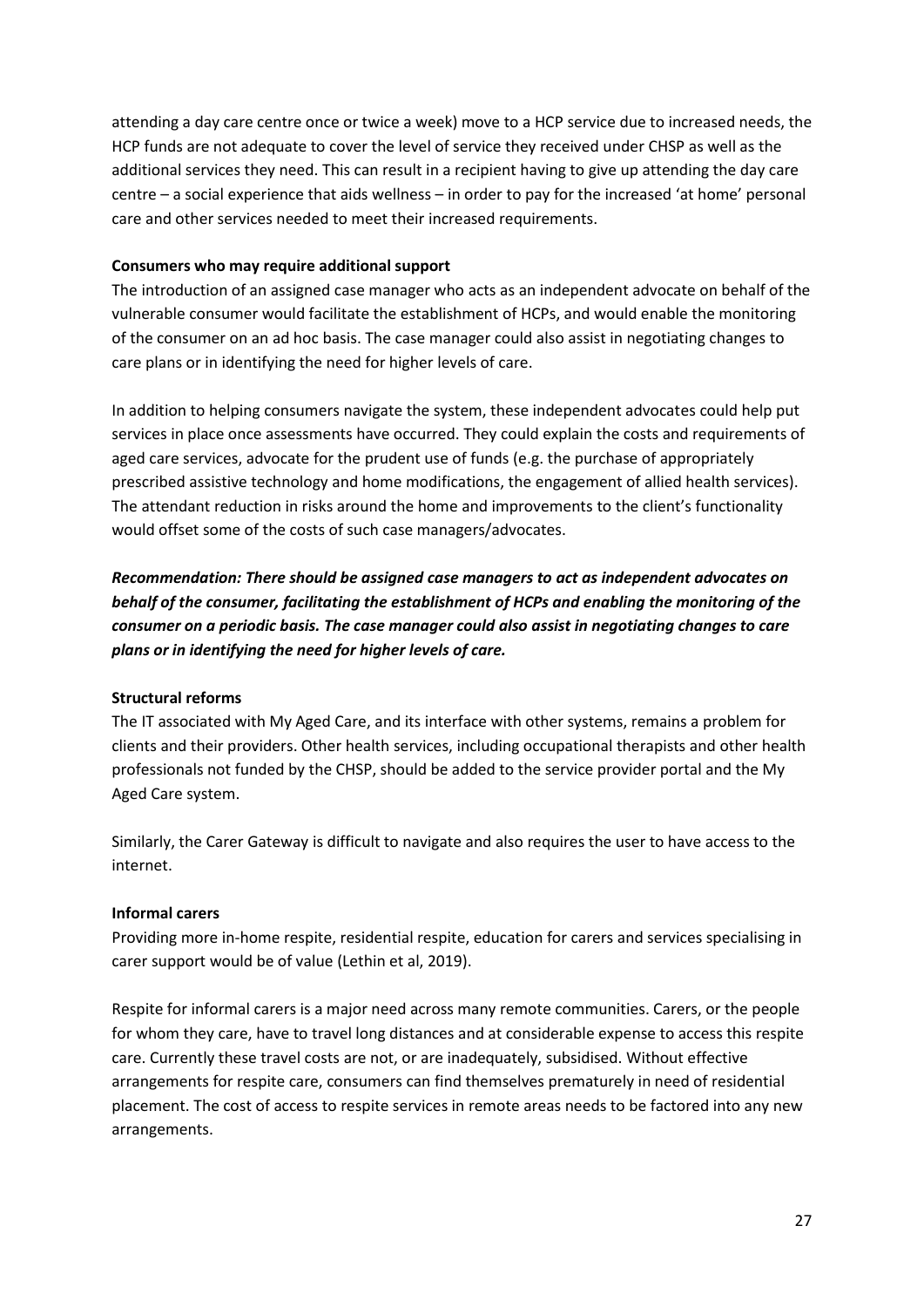attending a day care centre once or twice a week) move to a HCP service due to increased needs, the HCP funds are not adequate to cover the level of service they received under CHSP as well as the additional services they need. This can result in a recipient having to give up attending the day care centre – a social experience that aids wellness – in order to pay for the increased 'at home' personal care and other services needed to meet their increased requirements.

#### **Consumers who may require additional support**

The introduction of an assigned case manager who acts as an independent advocate on behalf of the vulnerable consumer would facilitate the establishment of HCPs, and would enable the monitoring of the consumer on an ad hoc basis. The case manager could also assist in negotiating changes to care plans or in identifying the need for higher levels of care.

In addition to helping consumers navigate the system, these independent advocates could help put services in place once assessments have occurred. They could explain the costs and requirements of aged care services, advocate for the prudent use of funds (e.g. the purchase of appropriately prescribed assistive technology and home modifications, the engagement of allied health services). The attendant reduction in risks around the home and improvements to the client's functionality would offset some of the costs of such case managers/advocates.

*Recommendation: There should be assigned case managers to act as independent advocates on behalf of the consumer, facilitating the establishment of HCPs and enabling the monitoring of the consumer on a periodic basis. The case manager could also assist in negotiating changes to care plans or in identifying the need for higher levels of care.*

#### **Structural reforms**

The IT associated with My Aged Care, and its interface with other systems, remains a problem for clients and their providers. Other health services, including occupational therapists and other health professionals not funded by the CHSP, should be added to the service provider portal and the My Aged Care system.

Similarly, the Carer Gateway is difficult to navigate and also requires the user to have access to the internet.

#### **Informal carers**

Providing more in-home respite, residential respite, education for carers and services specialising in carer support would be of value (Lethin et al, 2019).

Respite for informal carers is a major need across many remote communities. Carers, or the people for whom they care, have to travel long distances and at considerable expense to access this respite care. Currently these travel costs are not, or are inadequately, subsidised. Without effective arrangements for respite care, consumers can find themselves prematurely in need of residential placement. The cost of access to respite services in remote areas needs to be factored into any new arrangements.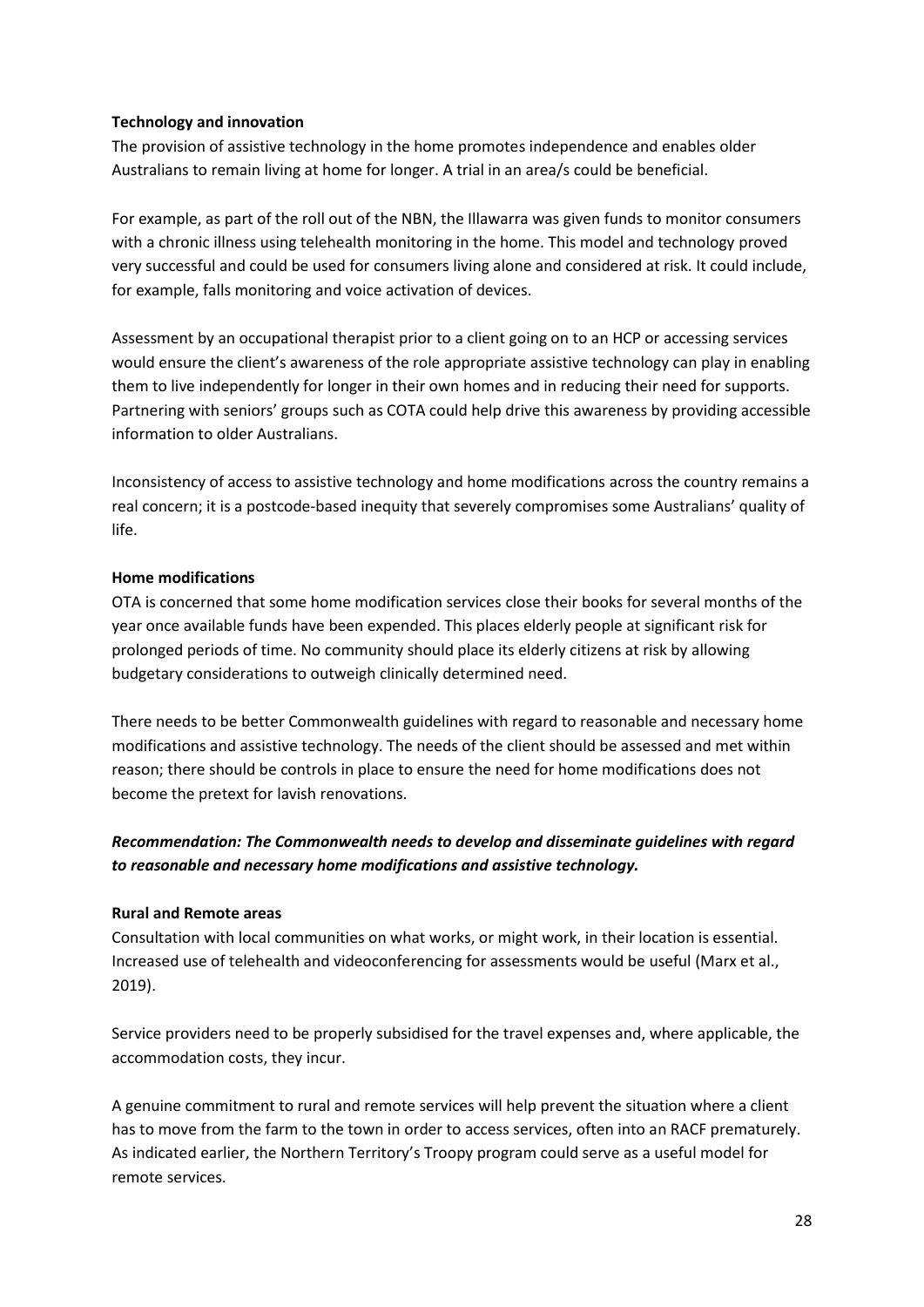#### **Technology and innovation**

The provision of assistive technology in the home promotes independence and enables older Australians to remain living at home for longer. A trial in an area/s could be beneficial.

For example, as part of the roll out of the NBN, the Illawarra was given funds to monitor consumers with a chronic illness using telehealth monitoring in the home. This model and technology proved very successful and could be used for consumers living alone and considered at risk. It could include, for example, falls monitoring and voice activation of devices.

Assessment by an occupational therapist prior to a client going on to an HCP or accessing services would ensure the client's awareness of the role appropriate assistive technology can play in enabling them to live independently for longer in their own homes and in reducing their need for supports. Partnering with seniors' groups such as COTA could help drive this awareness by providing accessible information to older Australians.

Inconsistency of access to assistive technology and home modifications across the country remains a real concern; it is a postcode-based inequity that severely compromises some Australians' quality of life.

#### **Home modifications**

OTA is concerned that some home modification services close their books for several months of the year once available funds have been expended. This places elderly people at significant risk for prolonged periods of time. No community should place its elderly citizens at risk by allowing budgetary considerations to outweigh clinically determined need.

There needs to be better Commonwealth guidelines with regard to reasonable and necessary home modifications and assistive technology. The needs of the client should be assessed and met within reason; there should be controls in place to ensure the need for home modifications does not become the pretext for lavish renovations.

### *Recommendation: The Commonwealth needs to develop and disseminate guidelines with regard to reasonable and necessary home modifications and assistive technology.*

#### **Rural and Remote areas**

Consultation with local communities on what works, or might work, in their location is essential. Increased use of telehealth and videoconferencing for assessments would be useful (Marx et al., 2019).

Service providers need to be properly subsidised for the travel expenses and, where applicable, the accommodation costs, they incur.

A genuine commitment to rural and remote services will help prevent the situation where a client has to move from the farm to the town in order to access services, often into an RACF prematurely. As indicated earlier, the Northern Territory's Troopy program could serve as a useful model for remote services.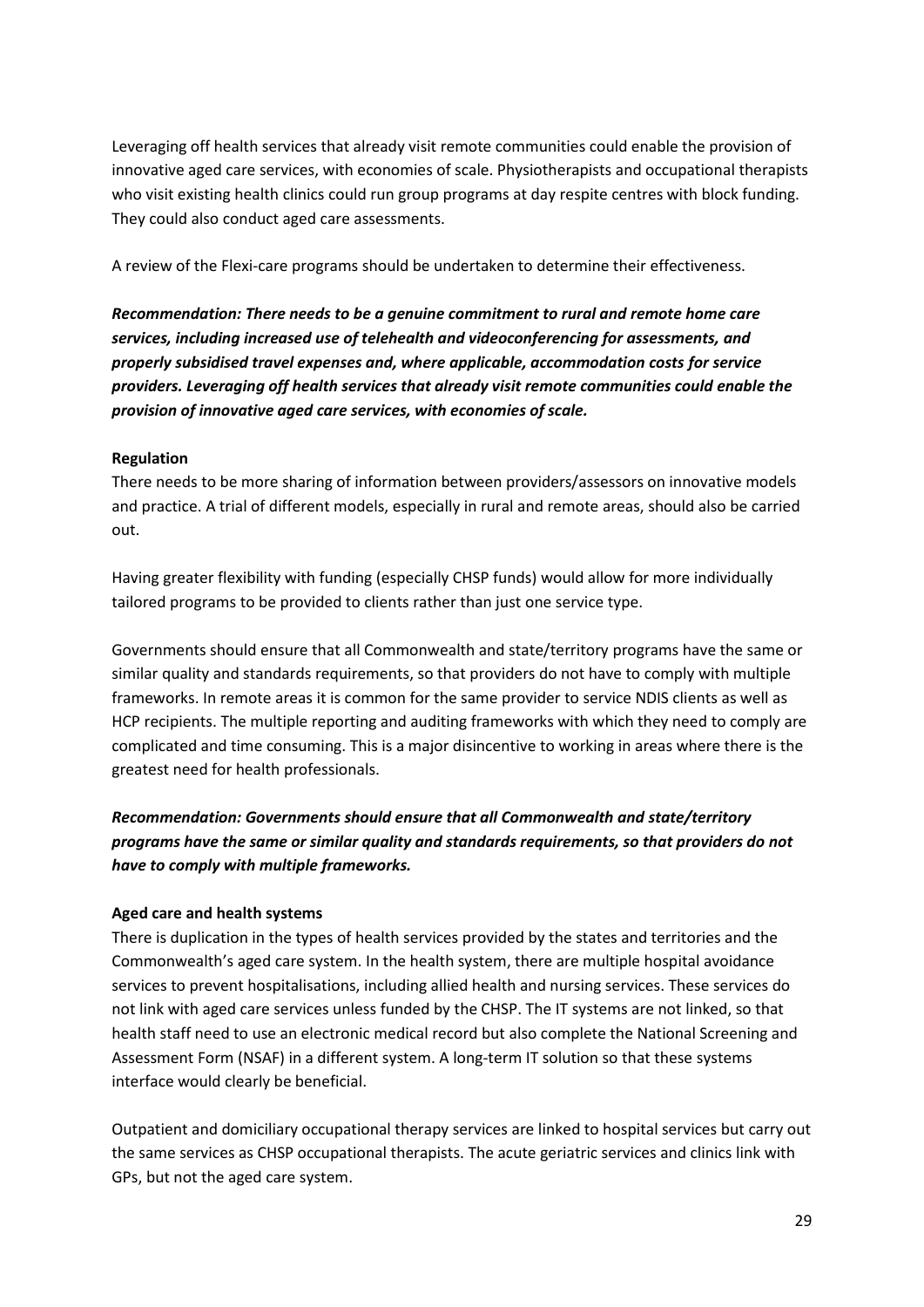Leveraging off health services that already visit remote communities could enable the provision of innovative aged care services, with economies of scale. Physiotherapists and occupational therapists who visit existing health clinics could run group programs at day respite centres with block funding. They could also conduct aged care assessments.

A review of the Flexi-care programs should be undertaken to determine their effectiveness.

*Recommendation: There needs to be a genuine commitment to rural and remote home care services, including increased use of telehealth and videoconferencing for assessments, and properly subsidised travel expenses and, where applicable, accommodation costs for service providers. Leveraging off health services that already visit remote communities could enable the provision of innovative aged care services, with economies of scale.*

#### **Regulation**

There needs to be more sharing of information between providers/assessors on innovative models and practice. A trial of different models, especially in rural and remote areas, should also be carried out.

Having greater flexibility with funding (especially CHSP funds) would allow for more individually tailored programs to be provided to clients rather than just one service type.

Governments should ensure that all Commonwealth and state/territory programs have the same or similar quality and standards requirements, so that providers do not have to comply with multiple frameworks. In remote areas it is common for the same provider to service NDIS clients as well as HCP recipients. The multiple reporting and auditing frameworks with which they need to comply are complicated and time consuming. This is a major disincentive to working in areas where there is the greatest need for health professionals.

# *Recommendation: Governments should ensure that all Commonwealth and state/territory programs have the same or similar quality and standards requirements, so that providers do not have to comply with multiple frameworks.*

#### **Aged care and health systems**

There is duplication in the types of health services provided by the states and territories and the Commonwealth's aged care system. In the health system, there are multiple hospital avoidance services to prevent hospitalisations, including allied health and nursing services. These services do not link with aged care services unless funded by the CHSP. The IT systems are not linked, so that health staff need to use an electronic medical record but also complete the National Screening and Assessment Form (NSAF) in a different system. A long-term IT solution so that these systems interface would clearly be beneficial.

Outpatient and domiciliary occupational therapy services are linked to hospital services but carry out the same services as CHSP occupational therapists. The acute geriatric services and clinics link with GPs, but not the aged care system.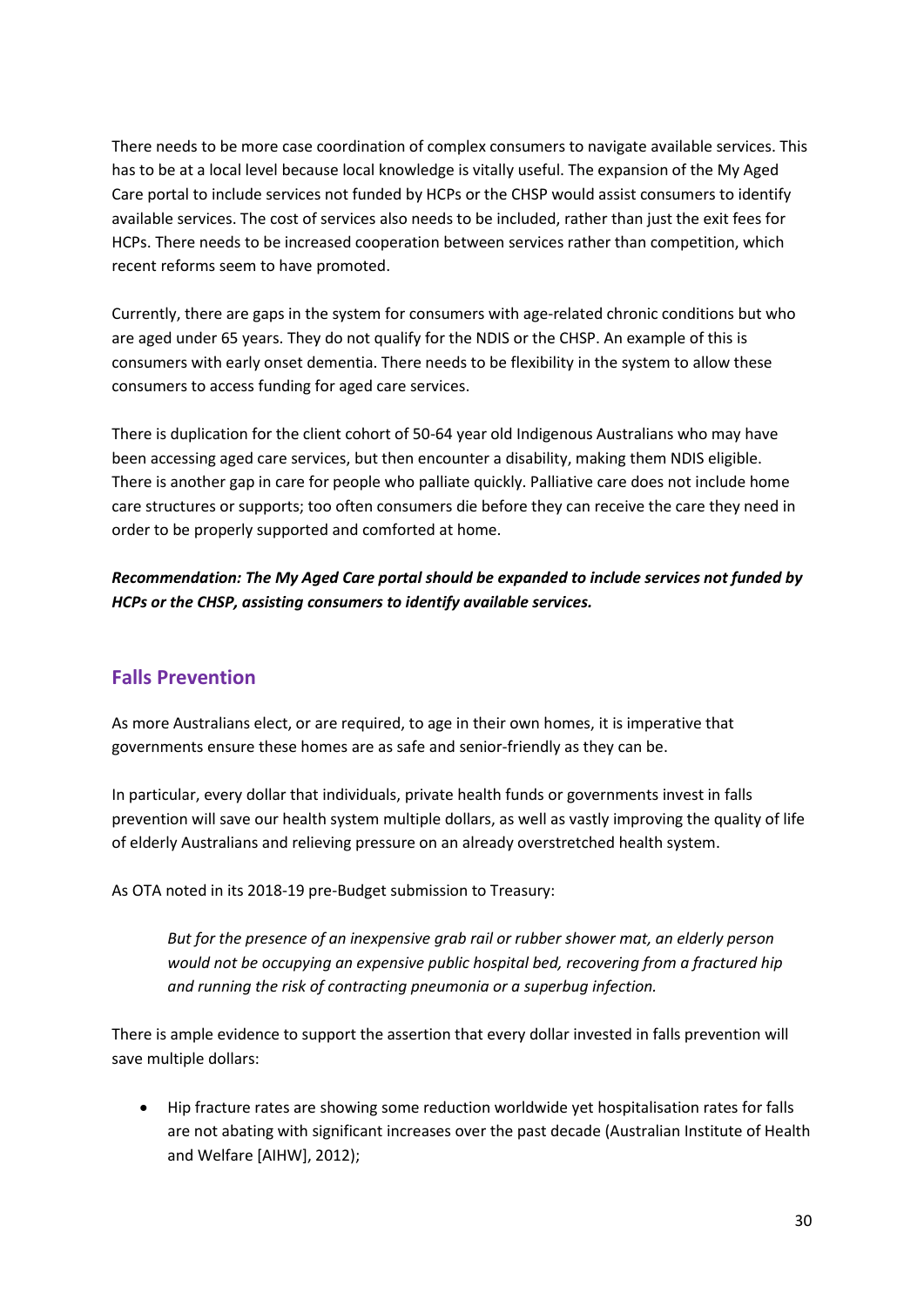There needs to be more case coordination of complex consumers to navigate available services. This has to be at a local level because local knowledge is vitally useful. The expansion of the My Aged Care portal to include services not funded by HCPs or the CHSP would assist consumers to identify available services. The cost of services also needs to be included, rather than just the exit fees for HCPs. There needs to be increased cooperation between services rather than competition, which recent reforms seem to have promoted.

Currently, there are gaps in the system for consumers with age-related chronic conditions but who are aged under 65 years. They do not qualify for the NDIS or the CHSP. An example of this is consumers with early onset dementia. There needs to be flexibility in the system to allow these consumers to access funding for aged care services.

There is duplication for the client cohort of 50-64 year old Indigenous Australians who may have been accessing aged care services, but then encounter a disability, making them NDIS eligible. There is another gap in care for people who palliate quickly. Palliative care does not include home care structures or supports; too often consumers die before they can receive the care they need in order to be properly supported and comforted at home.

*Recommendation: The My Aged Care portal should be expanded to include services not funded by HCPs or the CHSP, assisting consumers to identify available services.*

# **Falls Prevention**

As more Australians elect, or are required, to age in their own homes, it is imperative that governments ensure these homes are as safe and senior-friendly as they can be.

In particular, every dollar that individuals, private health funds or governments invest in falls prevention will save our health system multiple dollars, as well as vastly improving the quality of life of elderly Australians and relieving pressure on an already overstretched health system.

As OTA noted in its 2018-19 pre-Budget submission to Treasury:

*But for the presence of an inexpensive grab rail or rubber shower mat, an elderly person would not be occupying an expensive public hospital bed, recovering from a fractured hip and running the risk of contracting pneumonia or a superbug infection.*

There is ample evidence to support the assertion that every dollar invested in falls prevention will save multiple dollars:

• Hip fracture rates are showing some reduction worldwide yet hospitalisation rates for falls are not abating with significant increases over the past decade (Australian Institute of Health and Welfare [AIHW], 2012);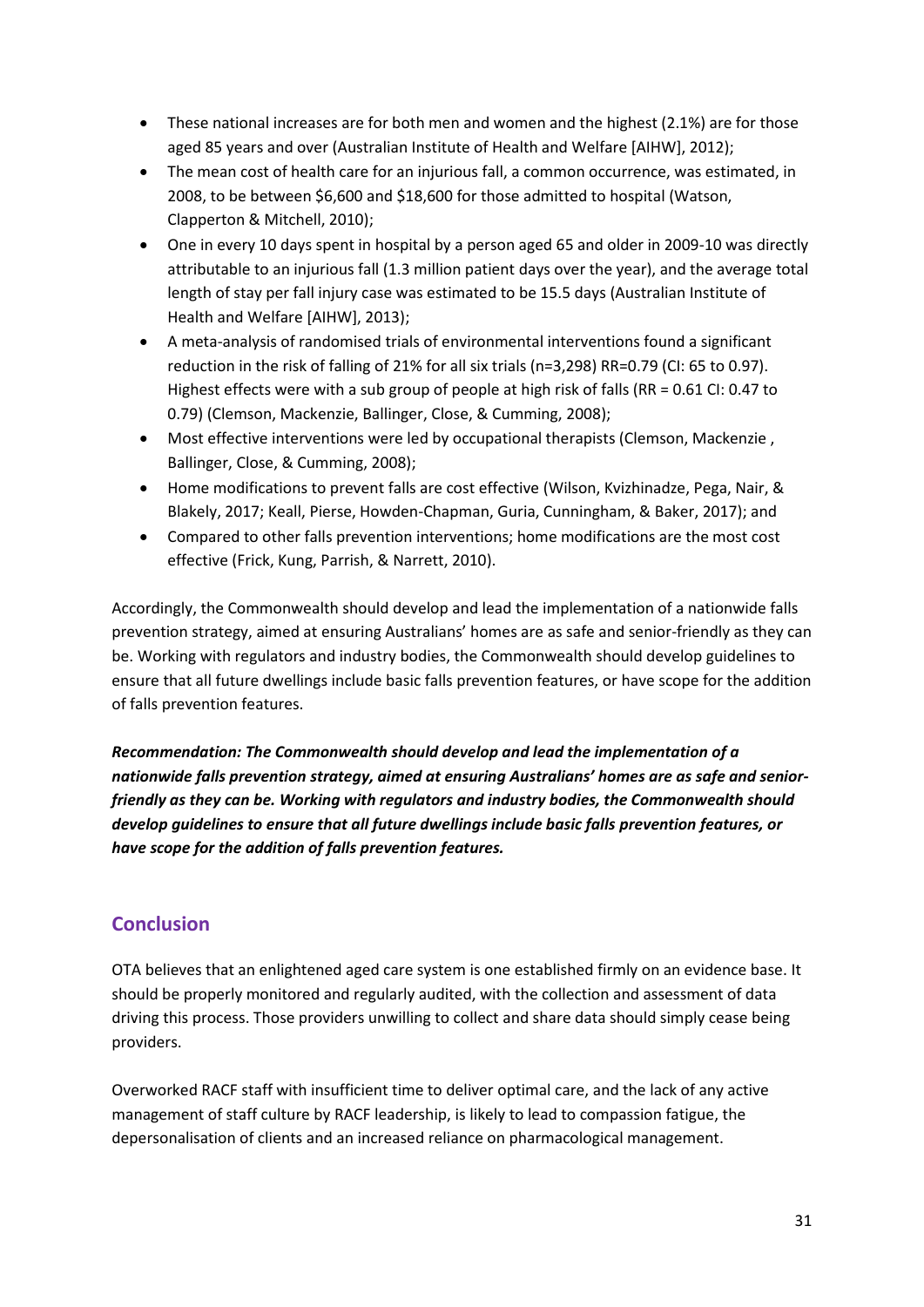- These national increases are for both men and women and the highest (2.1%) are for those aged 85 years and over (Australian Institute of Health and Welfare [AIHW], 2012);
- The mean cost of health care for an injurious fall, a common occurrence, was estimated, in 2008, to be between \$6,600 and \$18,600 for those admitted to hospital (Watson, Clapperton & Mitchell, 2010);
- One in every 10 days spent in hospital by a person aged 65 and older in 2009-10 was directly attributable to an injurious fall (1.3 million patient days over the year), and the average total length of stay per fall injury case was estimated to be 15.5 days (Australian Institute of Health and Welfare [AIHW], 2013);
- A meta-analysis of randomised trials of environmental interventions found a significant reduction in the risk of falling of 21% for all six trials (n=3,298) RR=0.79 (CI: 65 to 0.97). Highest effects were with a sub group of people at high risk of falls (RR = 0.61 CI: 0.47 to 0.79) (Clemson, Mackenzie, Ballinger, Close, & Cumming, 2008);
- Most effective interventions were led by occupational therapists (Clemson, Mackenzie , Ballinger, Close, & Cumming, 2008);
- Home modifications to prevent falls are cost effective (Wilson, Kvizhinadze, Pega, Nair, & Blakely, 2017; Keall, Pierse, Howden-Chapman, Guria, Cunningham, & Baker, 2017); and
- Compared to other falls prevention interventions; home modifications are the most cost effective (Frick, Kung, Parrish, & Narrett, 2010).

Accordingly, the Commonwealth should develop and lead the implementation of a nationwide falls prevention strategy, aimed at ensuring Australians' homes are as safe and senior-friendly as they can be. Working with regulators and industry bodies, the Commonwealth should develop guidelines to ensure that all future dwellings include basic falls prevention features, or have scope for the addition of falls prevention features.

*Recommendation: The Commonwealth should develop and lead the implementation of a nationwide falls prevention strategy, aimed at ensuring Australians' homes are as safe and seniorfriendly as they can be. Working with regulators and industry bodies, the Commonwealth should develop guidelines to ensure that all future dwellings include basic falls prevention features, or have scope for the addition of falls prevention features.*

# **Conclusion**

OTA believes that an enlightened aged care system is one established firmly on an evidence base. It should be properly monitored and regularly audited, with the collection and assessment of data driving this process. Those providers unwilling to collect and share data should simply cease being providers.

Overworked RACF staff with insufficient time to deliver optimal care, and the lack of any active management of staff culture by RACF leadership, is likely to lead to compassion fatigue, the depersonalisation of clients and an increased reliance on pharmacological management.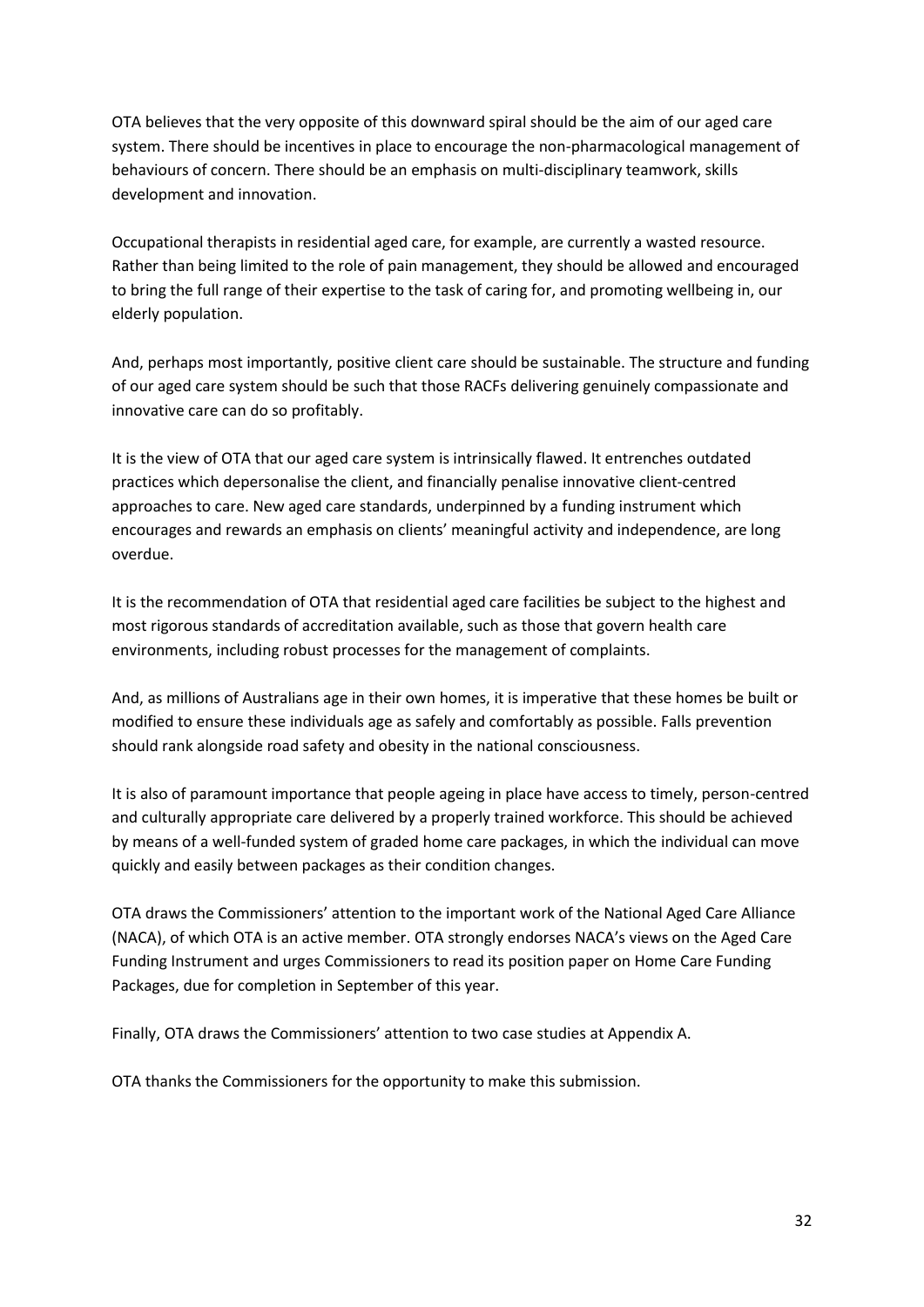OTA believes that the very opposite of this downward spiral should be the aim of our aged care system. There should be incentives in place to encourage the non-pharmacological management of behaviours of concern. There should be an emphasis on multi-disciplinary teamwork, skills development and innovation.

Occupational therapists in residential aged care, for example, are currently a wasted resource. Rather than being limited to the role of pain management, they should be allowed and encouraged to bring the full range of their expertise to the task of caring for, and promoting wellbeing in, our elderly population.

And, perhaps most importantly, positive client care should be sustainable. The structure and funding of our aged care system should be such that those RACFs delivering genuinely compassionate and innovative care can do so profitably.

It is the view of OTA that our aged care system is intrinsically flawed. It entrenches outdated practices which depersonalise the client, and financially penalise innovative client-centred approaches to care. New aged care standards, underpinned by a funding instrument which encourages and rewards an emphasis on clients' meaningful activity and independence, are long overdue.

It is the recommendation of OTA that residential aged care facilities be subject to the highest and most rigorous standards of accreditation available, such as those that govern health care environments, including robust processes for the management of complaints.

And, as millions of Australians age in their own homes, it is imperative that these homes be built or modified to ensure these individuals age as safely and comfortably as possible. Falls prevention should rank alongside road safety and obesity in the national consciousness.

It is also of paramount importance that people ageing in place have access to timely, person-centred and culturally appropriate care delivered by a properly trained workforce. This should be achieved by means of a well-funded system of graded home care packages, in which the individual can move quickly and easily between packages as their condition changes.

OTA draws the Commissioners' attention to the important work of the National Aged Care Alliance (NACA), of which OTA is an active member. OTA strongly endorses NACA's views on the Aged Care Funding Instrument and urges Commissioners to read its position paper on Home Care Funding Packages, due for completion in September of this year.

Finally, OTA draws the Commissioners' attention to two case studies at Appendix A.

OTA thanks the Commissioners for the opportunity to make this submission.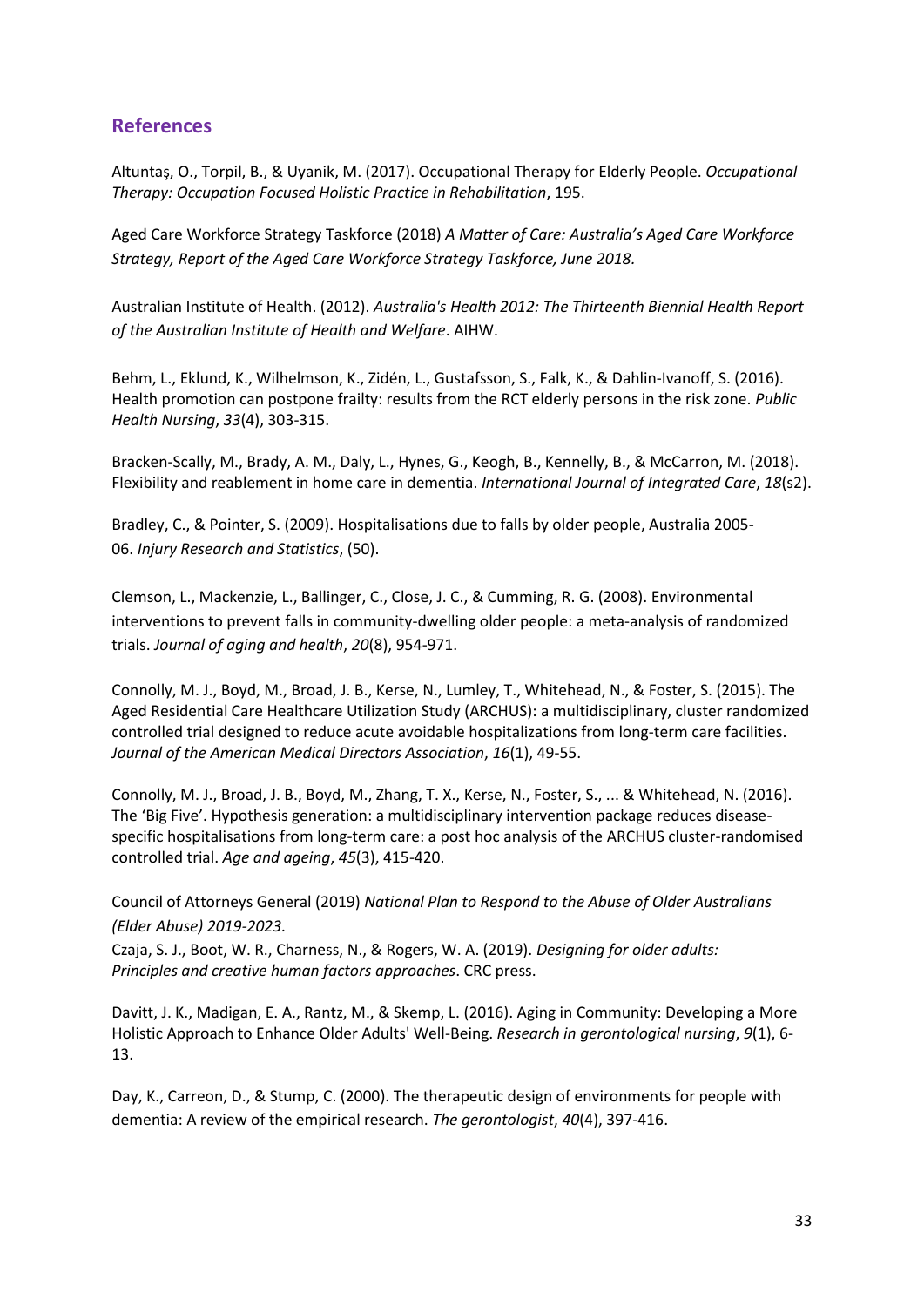# **References**

Altuntaş, O., Torpil, B., & Uyanik, M. (2017). Occupational Therapy for Elderly People. *Occupational Therapy: Occupation Focused Holistic Practice in Rehabilitation*, 195.

Aged Care Workforce Strategy Taskforce (2018) *A Matter of Care: Australia's Aged Care Workforce Strategy, Report of the Aged Care Workforce Strategy Taskforce, June 2018.*

Australian Institute of Health. (2012). *Australia's Health 2012: The Thirteenth Biennial Health Report of the Australian Institute of Health and Welfare*. AIHW.

Behm, L., Eklund, K., Wilhelmson, K., Zidén, L., Gustafsson, S., Falk, K., & Dahlin-Ivanoff, S. (2016). Health promotion can postpone frailty: results from the RCT elderly persons in the risk zone. *Public Health Nursing*, *33*(4), 303-315.

Bracken-Scally, M., Brady, A. M., Daly, L., Hynes, G., Keogh, B., Kennelly, B., & McCarron, M. (2018). Flexibility and reablement in home care in dementia. *International Journal of Integrated Care*, *18*(s2).

Bradley, C., & Pointer, S. (2009). Hospitalisations due to falls by older people, Australia 2005- 06. *Injury Research and Statistics*, (50).

Clemson, L., Mackenzie, L., Ballinger, C., Close, J. C., & Cumming, R. G. (2008). Environmental interventions to prevent falls in community-dwelling older people: a meta-analysis of randomized trials. *Journal of aging and health*, *20*(8), 954-971.

Connolly, M. J., Boyd, M., Broad, J. B., Kerse, N., Lumley, T., Whitehead, N., & Foster, S. (2015). The Aged Residential Care Healthcare Utilization Study (ARCHUS): a multidisciplinary, cluster randomized controlled trial designed to reduce acute avoidable hospitalizations from long-term care facilities. *Journal of the American Medical Directors Association*, *16*(1), 49-55.

Connolly, M. J., Broad, J. B., Boyd, M., Zhang, T. X., Kerse, N., Foster, S., ... & Whitehead, N. (2016). The 'Big Five'. Hypothesis generation: a multidisciplinary intervention package reduces diseasespecific hospitalisations from long-term care: a post hoc analysis of the ARCHUS cluster-randomised controlled trial. *Age and ageing*, *45*(3), 415-420.

Council of Attorneys General (2019) *National Plan to Respond to the Abuse of Older Australians (Elder Abuse) 2019-2023.*

Czaja, S. J., Boot, W. R., Charness, N., & Rogers, W. A. (2019). *Designing for older adults: Principles and creative human factors approaches*. CRC press.

Davitt, J. K., Madigan, E. A., Rantz, M., & Skemp, L. (2016). Aging in Community: Developing a More Holistic Approach to Enhance Older Adults' Well-Being. *Research in gerontological nursing*, *9*(1), 6- 13.

Day, K., Carreon, D., & Stump, C. (2000). The therapeutic design of environments for people with dementia: A review of the empirical research. *The gerontologist*, *40*(4), 397-416.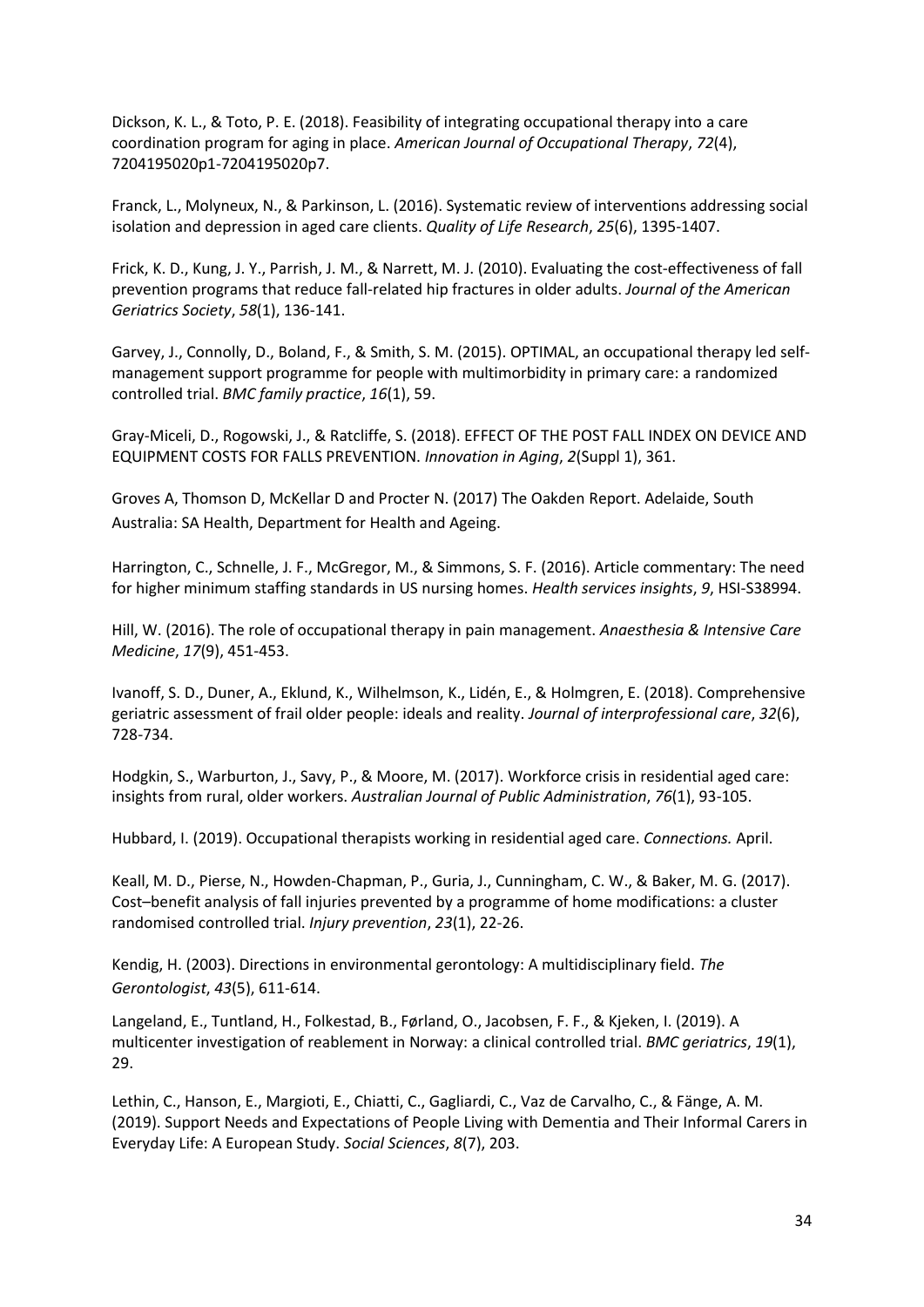Dickson, K. L., & Toto, P. E. (2018). Feasibility of integrating occupational therapy into a care coordination program for aging in place. *American Journal of Occupational Therapy*, *72*(4), 7204195020p1-7204195020p7.

Franck, L., Molyneux, N., & Parkinson, L. (2016). Systematic review of interventions addressing social isolation and depression in aged care clients. *Quality of Life Research*, *25*(6), 1395-1407.

Frick, K. D., Kung, J. Y., Parrish, J. M., & Narrett, M. J. (2010). Evaluating the cost‐effectiveness of fall prevention programs that reduce fall‐related hip fractures in older adults. *Journal of the American Geriatrics Society*, *58*(1), 136-141.

Garvey, J., Connolly, D., Boland, F., & Smith, S. M. (2015). OPTIMAL, an occupational therapy led selfmanagement support programme for people with multimorbidity in primary care: a randomized controlled trial. *BMC family practice*, *16*(1), 59.

Gray-Miceli, D., Rogowski, J., & Ratcliffe, S. (2018). EFFECT OF THE POST FALL INDEX ON DEVICE AND EQUIPMENT COSTS FOR FALLS PREVENTION. *Innovation in Aging*, *2*(Suppl 1), 361.

Groves A, Thomson D, McKellar D and Procter N. (2017) The Oakden Report. Adelaide, South Australia: SA Health, Department for Health and Ageing.

Harrington, C., Schnelle, J. F., McGregor, M., & Simmons, S. F. (2016). Article commentary: The need for higher minimum staffing standards in US nursing homes. *Health services insights*, *9*, HSI-S38994.

Hill, W. (2016). The role of occupational therapy in pain management. *Anaesthesia & Intensive Care Medicine*, *17*(9), 451-453.

Ivanoff, S. D., Duner, A., Eklund, K., Wilhelmson, K., Lidén, E., & Holmgren, E. (2018). Comprehensive geriatric assessment of frail older people: ideals and reality. *Journal of interprofessional care*, *32*(6), 728-734.

Hodgkin, S., Warburton, J., Savy, P., & Moore, M. (2017). Workforce crisis in residential aged care: insights from rural, older workers. *Australian Journal of Public Administration*, *76*(1), 93-105.

Hubbard, I. (2019). Occupational therapists working in residential aged care. *Connections.* April.

Keall, M. D., Pierse, N., Howden-Chapman, P., Guria, J., Cunningham, C. W., & Baker, M. G. (2017). Cost–benefit analysis of fall injuries prevented by a programme of home modifications: a cluster randomised controlled trial. *Injury prevention*, *23*(1), 22-26.

Kendig, H. (2003). Directions in environmental gerontology: A multidisciplinary field. *The Gerontologist*, *43*(5), 611-614.

Langeland, E., Tuntland, H., Folkestad, B., Førland, O., Jacobsen, F. F., & Kjeken, I. (2019). A multicenter investigation of reablement in Norway: a clinical controlled trial. *BMC geriatrics*, *19*(1), 29.

Lethin, C., Hanson, E., Margioti, E., Chiatti, C., Gagliardi, C., Vaz de Carvalho, C., & Fänge, A. M. (2019). Support Needs and Expectations of People Living with Dementia and Their Informal Carers in Everyday Life: A European Study. *Social Sciences*, *8*(7), 203.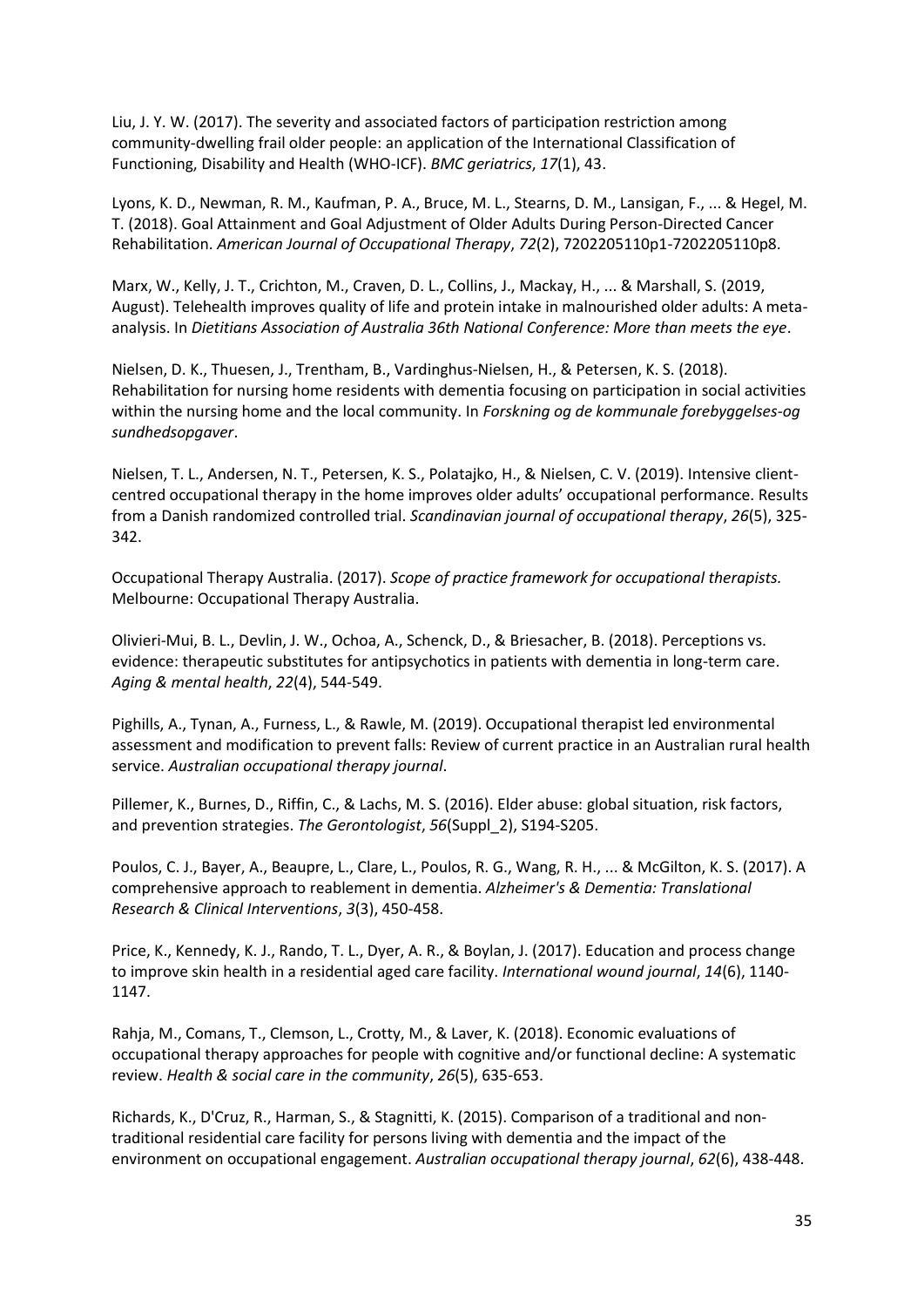Liu, J. Y. W. (2017). The severity and associated factors of participation restriction among community-dwelling frail older people: an application of the International Classification of Functioning, Disability and Health (WHO-ICF). *BMC geriatrics*, *17*(1), 43.

Lyons, K. D., Newman, R. M., Kaufman, P. A., Bruce, M. L., Stearns, D. M., Lansigan, F., ... & Hegel, M. T. (2018). Goal Attainment and Goal Adjustment of Older Adults During Person-Directed Cancer Rehabilitation. *American Journal of Occupational Therapy*, *72*(2), 7202205110p1-7202205110p8.

Marx, W., Kelly, J. T., Crichton, M., Craven, D. L., Collins, J., Mackay, H., ... & Marshall, S. (2019, August). Telehealth improves quality of life and protein intake in malnourished older adults: A metaanalysis. In *Dietitians Association of Australia 36th National Conference: More than meets the eye*.

Nielsen, D. K., Thuesen, J., Trentham, B., Vardinghus-Nielsen, H., & Petersen, K. S. (2018). Rehabilitation for nursing home residents with dementia focusing on participation in social activities within the nursing home and the local community. In *Forskning og de kommunale forebyggelses-og sundhedsopgaver*.

Nielsen, T. L., Andersen, N. T., Petersen, K. S., Polatajko, H., & Nielsen, C. V. (2019). Intensive clientcentred occupational therapy in the home improves older adults' occupational performance. Results from a Danish randomized controlled trial. *Scandinavian journal of occupational therapy*, *26*(5), 325- 342.

Occupational Therapy Australia. (2017). *Scope of practice framework for occupational therapists.*  Melbourne: Occupational Therapy Australia.

Olivieri-Mui, B. L., Devlin, J. W., Ochoa, A., Schenck, D., & Briesacher, B. (2018). Perceptions vs. evidence: therapeutic substitutes for antipsychotics in patients with dementia in long-term care. *Aging & mental health*, *22*(4), 544-549.

Pighills, A., Tynan, A., Furness, L., & Rawle, M. (2019). Occupational therapist led environmental assessment and modification to prevent falls: Review of current practice in an Australian rural health service. *Australian occupational therapy journal*.

Pillemer, K., Burnes, D., Riffin, C., & Lachs, M. S. (2016). Elder abuse: global situation, risk factors, and prevention strategies. *The Gerontologist*, *56*(Suppl\_2), S194-S205.

Poulos, C. J., Bayer, A., Beaupre, L., Clare, L., Poulos, R. G., Wang, R. H., ... & McGilton, K. S. (2017). A comprehensive approach to reablement in dementia. *Alzheimer's & Dementia: Translational Research & Clinical Interventions*, *3*(3), 450-458.

Price, K., Kennedy, K. J., Rando, T. L., Dyer, A. R., & Boylan, J. (2017). Education and process change to improve skin health in a residential aged care facility. *International wound journal*, *14*(6), 1140- 1147.

Rahja, M., Comans, T., Clemson, L., Crotty, M., & Laver, K. (2018). Economic evaluations of occupational therapy approaches for people with cognitive and/or functional decline: A systematic review. *Health & social care in the community*, *26*(5), 635-653.

Richards, K., D'Cruz, R., Harman, S., & Stagnitti, K. (2015). Comparison of a traditional and non‐ traditional residential care facility for persons living with dementia and the impact of the environment on occupational engagement. *Australian occupational therapy journal*, *62*(6), 438-448.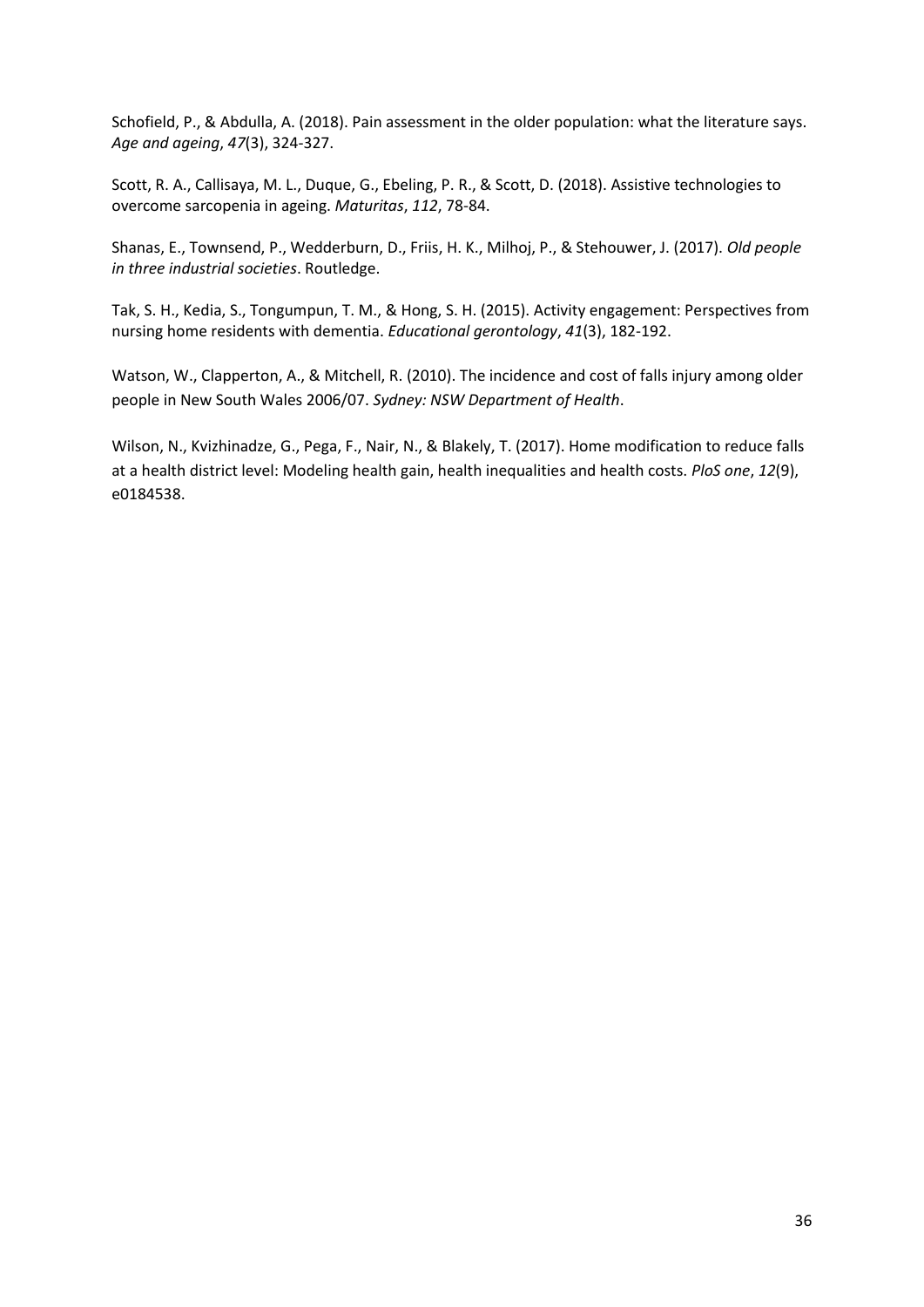Schofield, P., & Abdulla, A. (2018). Pain assessment in the older population: what the literature says. *Age and ageing*, *47*(3), 324-327.

Scott, R. A., Callisaya, M. L., Duque, G., Ebeling, P. R., & Scott, D. (2018). Assistive technologies to overcome sarcopenia in ageing. *Maturitas*, *112*, 78-84.

Shanas, E., Townsend, P., Wedderburn, D., Friis, H. K., Milhoj, P., & Stehouwer, J. (2017). *Old people in three industrial societies*. Routledge.

Tak, S. H., Kedia, S., Tongumpun, T. M., & Hong, S. H. (2015). Activity engagement: Perspectives from nursing home residents with dementia. *Educational gerontology*, *41*(3), 182-192.

Watson, W., Clapperton, A., & Mitchell, R. (2010). The incidence and cost of falls injury among older people in New South Wales 2006/07. *Sydney: NSW Department of Health*.

Wilson, N., Kvizhinadze, G., Pega, F., Nair, N., & Blakely, T. (2017). Home modification to reduce falls at a health district level: Modeling health gain, health inequalities and health costs. *PloS one*, *12*(9), e0184538.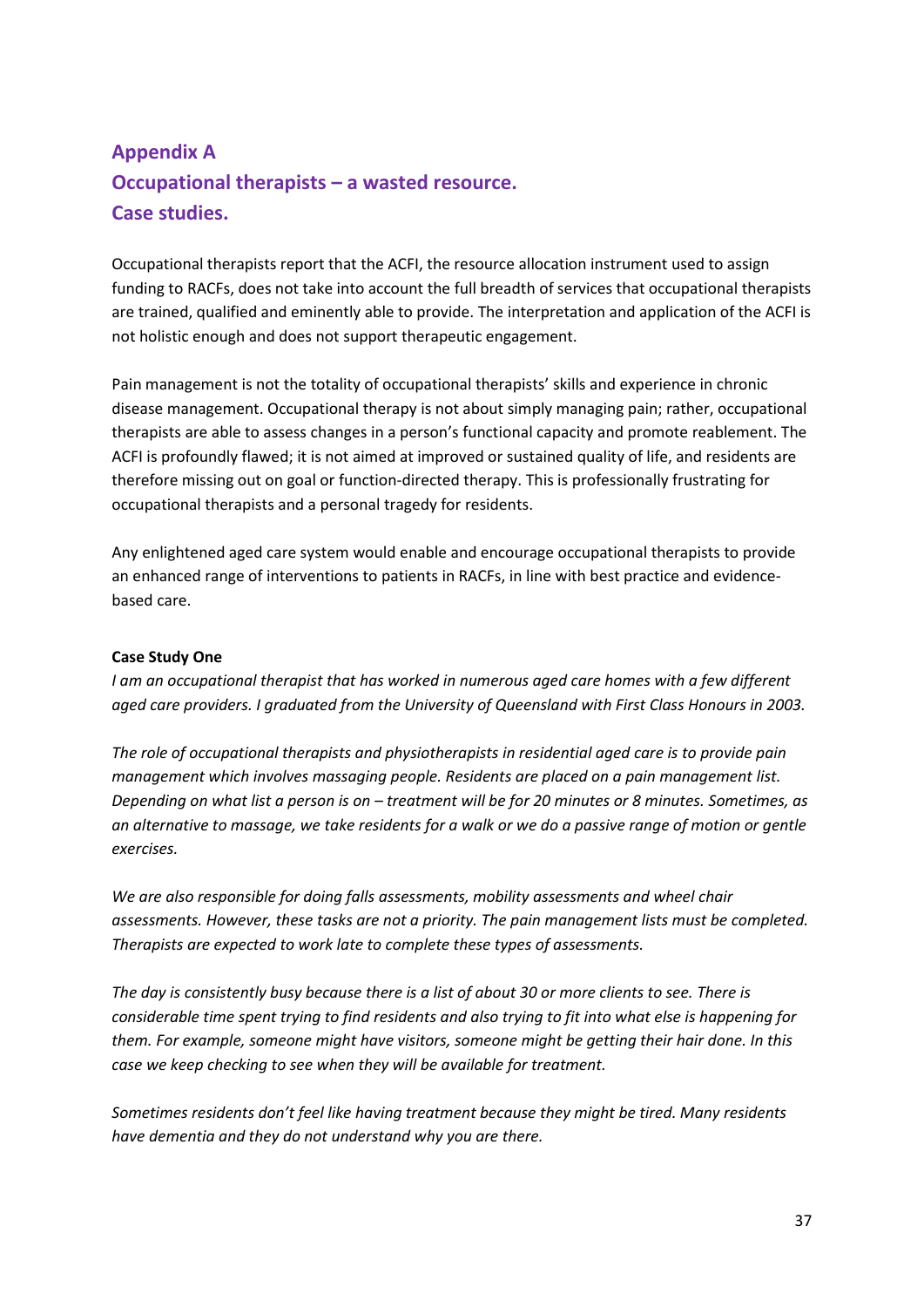# **Appendix A Occupational therapists – a wasted resource. Case studies.**

Occupational therapists report that the ACFI, the resource allocation instrument used to assign funding to RACFs, does not take into account the full breadth of services that occupational therapists are trained, qualified and eminently able to provide. The interpretation and application of the ACFI is not holistic enough and does not support therapeutic engagement.

Pain management is not the totality of occupational therapists' skills and experience in chronic disease management. Occupational therapy is not about simply managing pain; rather, occupational therapists are able to assess changes in a person's functional capacity and promote reablement. The ACFI is profoundly flawed; it is not aimed at improved or sustained quality of life, and residents are therefore missing out on goal or function-directed therapy. This is professionally frustrating for occupational therapists and a personal tragedy for residents.

Any enlightened aged care system would enable and encourage occupational therapists to provide an enhanced range of interventions to patients in RACFs, in line with best practice and evidencebased care.

#### **Case Study One**

*I am an occupational therapist that has worked in numerous aged care homes with a few different aged care providers. I graduated from the University of Queensland with First Class Honours in 2003.* 

*The role of occupational therapists and physiotherapists in residential aged care is to provide pain management which involves massaging people. Residents are placed on a pain management list. Depending on what list a person is on – treatment will be for 20 minutes or 8 minutes. Sometimes, as an alternative to massage, we take residents for a walk or we do a passive range of motion or gentle exercises.* 

*We are also responsible for doing falls assessments, mobility assessments and wheel chair assessments. However, these tasks are not a priority. The pain management lists must be completed. Therapists are expected to work late to complete these types of assessments.*

*The day is consistently busy because there is a list of about 30 or more clients to see. There is considerable time spent trying to find residents and also trying to fit into what else is happening for them. For example, someone might have visitors, someone might be getting their hair done. In this case we keep checking to see when they will be available for treatment.* 

*Sometimes residents don't feel like having treatment because they might be tired. Many residents have dementia and they do not understand why you are there.*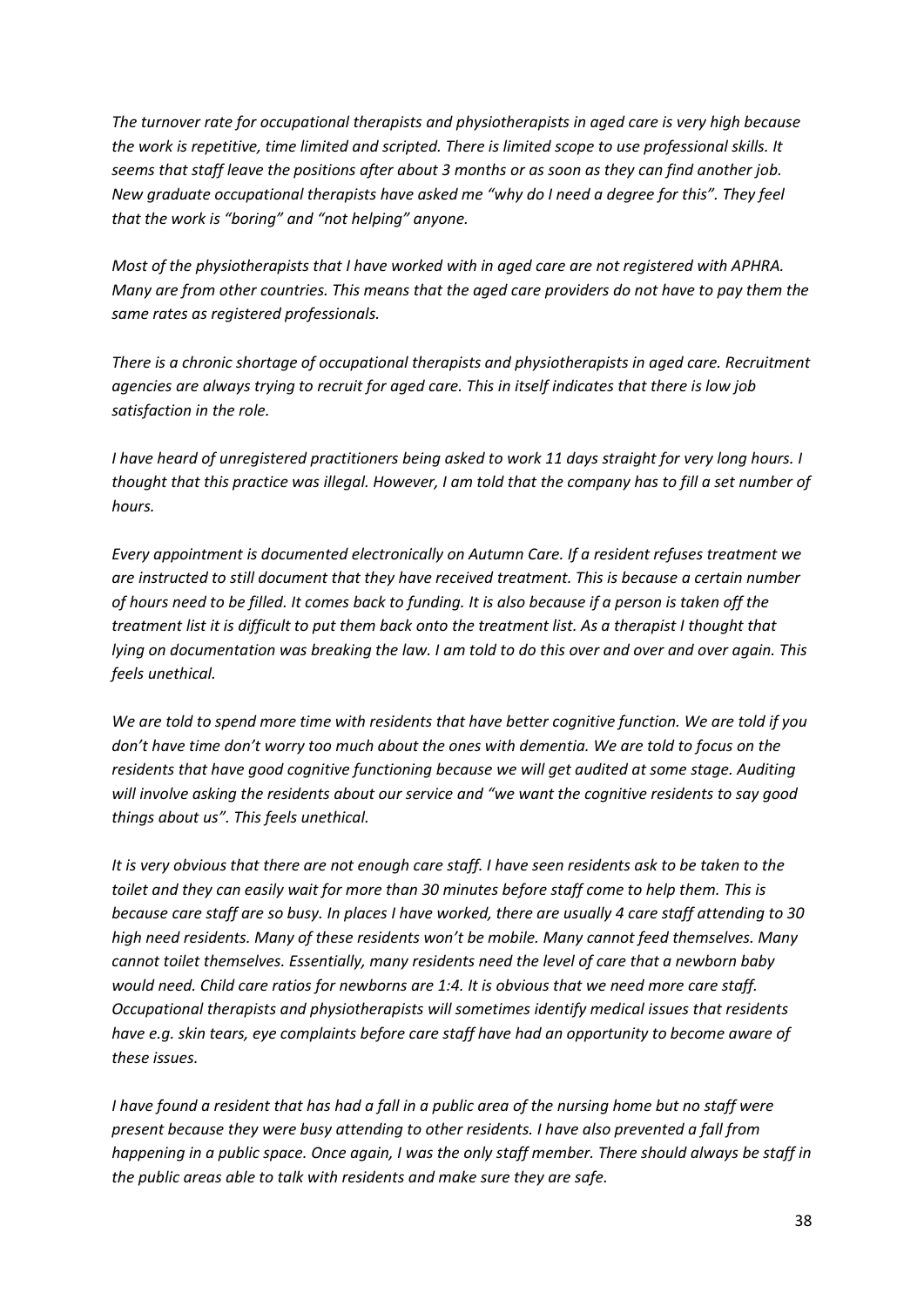*The turnover rate for occupational therapists and physiotherapists in aged care is very high because the work is repetitive, time limited and scripted. There is limited scope to use professional skills. It seems that staff leave the positions after about 3 months or as soon as they can find another job. New graduate occupational therapists have asked me "why do I need a degree for this". They feel that the work is "boring" and "not helping" anyone.*

*Most of the physiotherapists that I have worked with in aged care are not registered with APHRA. Many are from other countries. This means that the aged care providers do not have to pay them the same rates as registered professionals.* 

*There is a chronic shortage of occupational therapists and physiotherapists in aged care. Recruitment agencies are always trying to recruit for aged care. This in itself indicates that there is low job satisfaction in the role.* 

*I have heard of unregistered practitioners being asked to work 11 days straight for very long hours. I thought that this practice was illegal. However, I am told that the company has to fill a set number of hours.* 

*Every appointment is documented electronically on Autumn Care. If a resident refuses treatment we are instructed to still document that they have received treatment. This is because a certain number of hours need to be filled. It comes back to funding. It is also because if a person is taken off the treatment list it is difficult to put them back onto the treatment list. As a therapist I thought that lying on documentation was breaking the law. I am told to do this over and over and over again. This feels unethical.* 

*We are told to spend more time with residents that have better cognitive function. We are told if you don't have time don't worry too much about the ones with dementia. We are told to focus on the residents that have good cognitive functioning because we will get audited at some stage. Auditing will involve asking the residents about our service and "we want the cognitive residents to say good things about us". This feels unethical.*

*It is very obvious that there are not enough care staff. I have seen residents ask to be taken to the toilet and they can easily wait for more than 30 minutes before staff come to help them. This is because care staff are so busy. In places I have worked, there are usually 4 care staff attending to 30 high need residents. Many of these residents won't be mobile. Many cannot feed themselves. Many cannot toilet themselves. Essentially, many residents need the level of care that a newborn baby would need. Child care ratios for newborns are 1:4. It is obvious that we need more care staff. Occupational therapists and physiotherapists will sometimes identify medical issues that residents have e.g. skin tears, eye complaints before care staff have had an opportunity to become aware of these issues.* 

*I have found a resident that has had a fall in a public area of the nursing home but no staff were present because they were busy attending to other residents. I have also prevented a fall from happening in a public space. Once again, I was the only staff member. There should always be staff in the public areas able to talk with residents and make sure they are safe.*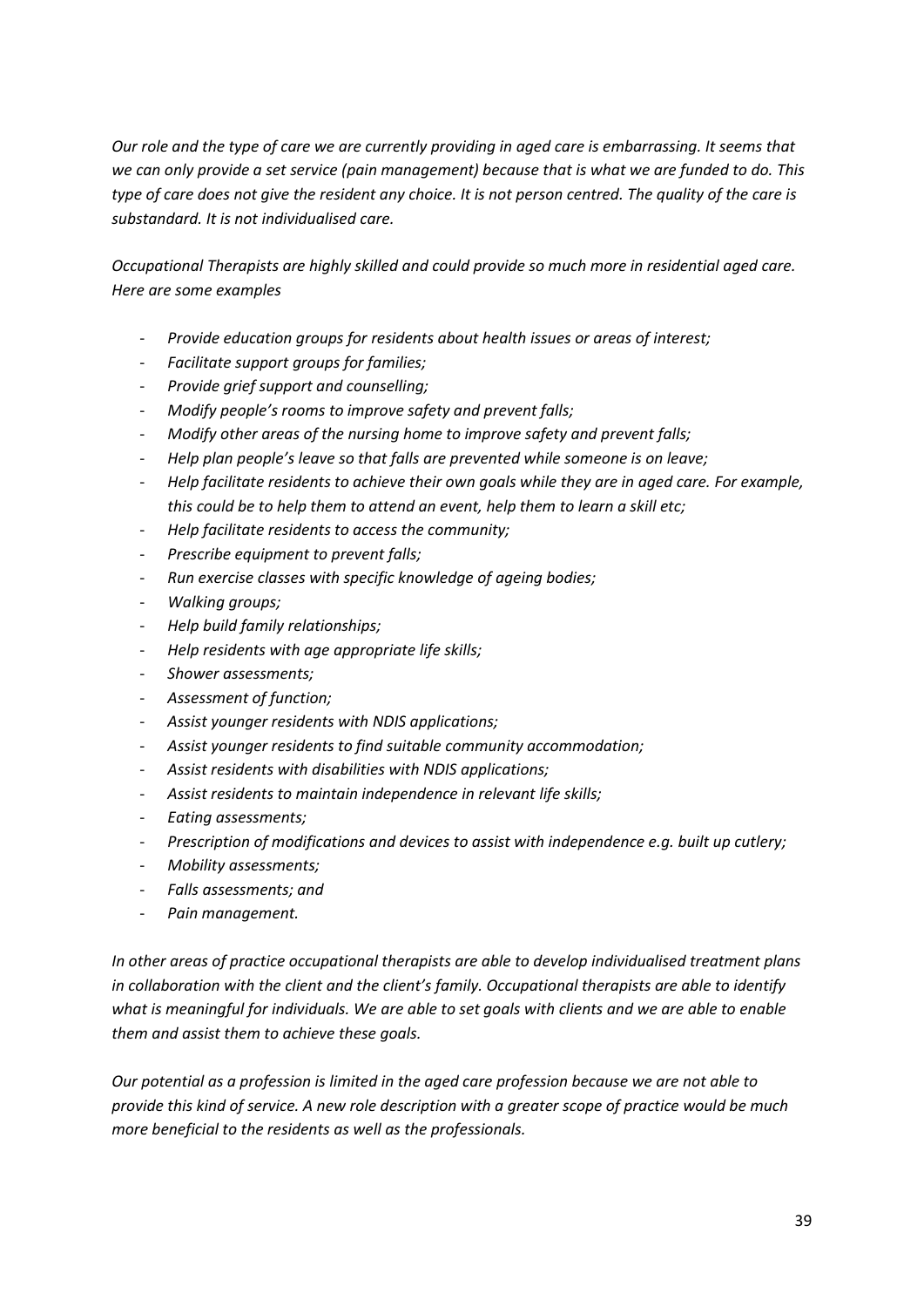*Our role and the type of care we are currently providing in aged care is embarrassing. It seems that we can only provide a set service (pain management) because that is what we are funded to do. This type of care does not give the resident any choice. It is not person centred. The quality of the care is substandard. It is not individualised care.* 

*Occupational Therapists are highly skilled and could provide so much more in residential aged care. Here are some examples*

- *Provide education groups for residents about health issues or areas of interest;*
- *Facilitate support groups for families;*
- *Provide grief support and counselling;*
- *Modify people's rooms to improve safety and prevent falls;*
- *Modify other areas of the nursing home to improve safety and prevent falls;*
- *Help plan people's leave so that falls are prevented while someone is on leave;*
- *Help facilitate residents to achieve their own goals while they are in aged care. For example, this could be to help them to attend an event, help them to learn a skill etc;*
- *Help facilitate residents to access the community;*
- *Prescribe equipment to prevent falls;*
- *Run exercise classes with specific knowledge of ageing bodies;*
- *Walking groups;*
- *Help build family relationships;*
- *Help residents with age appropriate life skills;*
- *Shower assessments;*
- *Assessment of function;*
- *Assist younger residents with NDIS applications;*
- *Assist younger residents to find suitable community accommodation;*
- *Assist residents with disabilities with NDIS applications;*
- *Assist residents to maintain independence in relevant life skills;*
- *Eating assessments;*
- *Prescription of modifications and devices to assist with independence e.g. built up cutlery;*
- *Mobility assessments;*
- *Falls assessments; and*
- *Pain management.*

*In other areas of practice occupational therapists are able to develop individualised treatment plans in collaboration with the client and the client's family. Occupational therapists are able to identify what is meaningful for individuals. We are able to set goals with clients and we are able to enable them and assist them to achieve these goals.*

*Our potential as a profession is limited in the aged care profession because we are not able to provide this kind of service. A new role description with a greater scope of practice would be much more beneficial to the residents as well as the professionals.*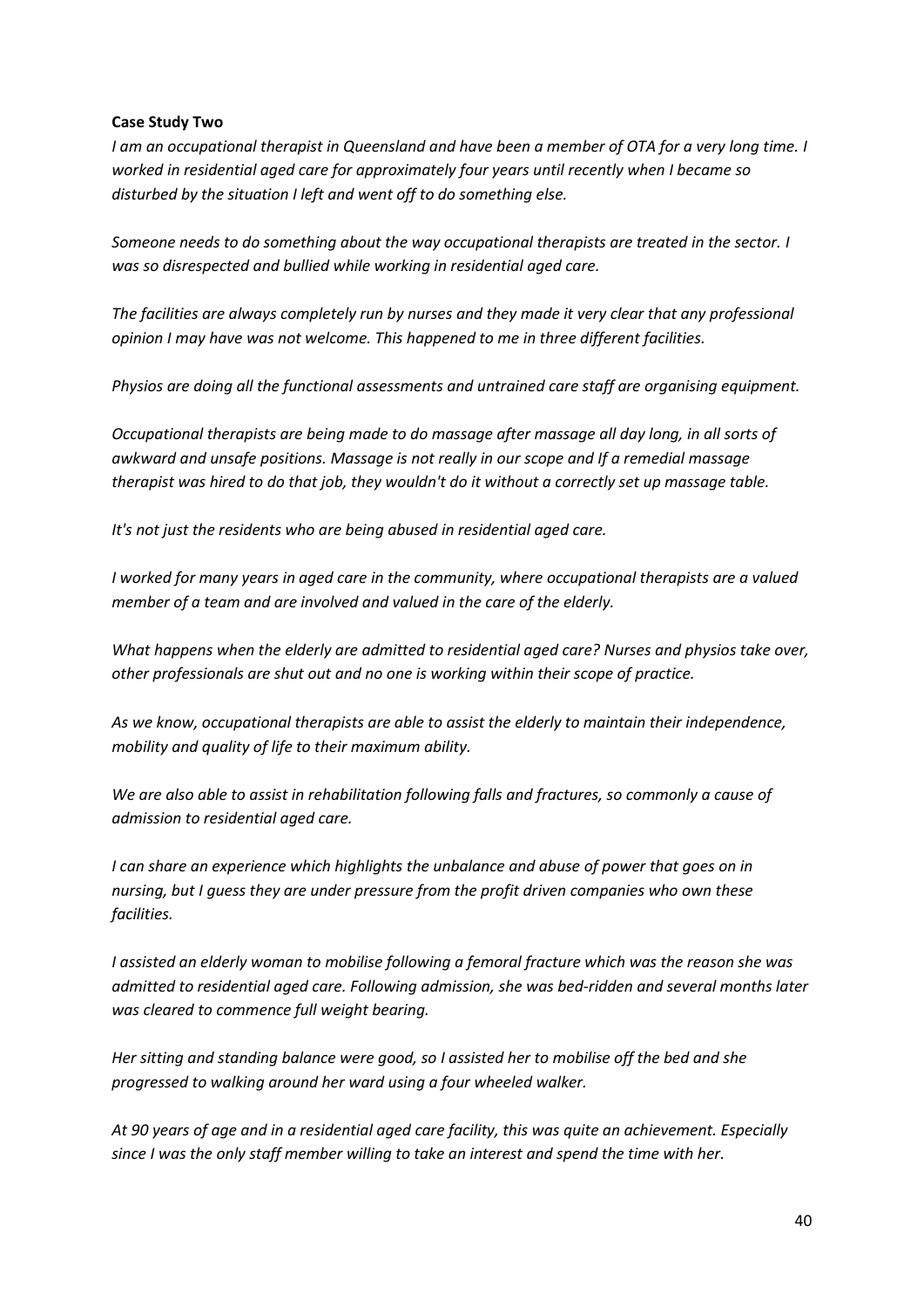#### **Case Study Two**

*[I am an occupational therapist in Queensland and have been a member of OTA for a very long time.](https://www.otaus.com.au/) [I](https://www.otaus.com.au/)  [worked in residential aged care for approximately four years until recently when I became so](https://www.otaus.com.au/)  [disturbed by the situation I left and went off to do something else.](https://www.otaus.com.au/)*

*[Someone needs to do something about the way occupational therapists are treated in the sector.](https://www.otaus.com.au/) [I](https://www.otaus.com.au/)  [was so disrespected and bullied while working in residential aged care.](https://www.otaus.com.au/)*

*[The facilities are always completely run by nurses and they made it very clear that any professional](https://www.otaus.com.au/)  opinion I may have was not welcome. [This happened to me in three different facilities.](https://www.otaus.com.au/)*

*[Physios are doing all the functional assessments and untrained care staff are organising equipment.](https://www.otaus.com.au/)*

*[Occupational therapists are being made to do massage after massage all day long, in all sorts of](https://www.otaus.com.au/)  [awkward and unsafe positions.](https://www.otaus.com.au/) [Massage is not really in our scope and If a remedial massage](https://www.otaus.com.au/)  [therapist was hired to do that job, they wouldn't do it without a correctly set up massage table.](https://www.otaus.com.au/)*

*[It's not just the residents who are being abused in residential aged care.](https://www.otaus.com.au/)*

*[I worked for many years in aged care in the community, where occupational therapists are a valued](https://www.otaus.com.au/)  [member of a team and are involved and valued in the care of the elderly.](https://www.otaus.com.au/)*

*[What happens when the elderly are admitted to residential aged care?](https://www.otaus.com.au/) [Nurses and physios take over,](https://www.otaus.com.au/)  [other professionals are shut out and no one is working within their scope of practice.](https://www.otaus.com.au/)*

*As we know, occupational therapists are able to assist the elderly to maintain their independence, mobility and quality of life to their maximum ability.*

*We are also able to assist in rehabilitation following falls and fractures, so commonly a cause of admission to residential aged care.*

*I* can share an experience which highlights the unbalance and abuse of power that goes on in *nursing, but I guess they are under pressure from the profit driven companies who own these facilities.*

*I assisted an elderly woman to mobilise following a femoral fracture which was the reason she was admitted to residential aged care. Following admission, she was bed-ridden and several months later was cleared to commence full weight bearing.*

*Her sitting and standing balance were good, so I assisted her to mobilise off the bed and she progressed to walking around her ward using a four wheeled walker.*

*At 90 years of age and in a residential aged care facility, this was quite an achievement. Especially since I was the only staff member willing to take an interest and spend the time with her.*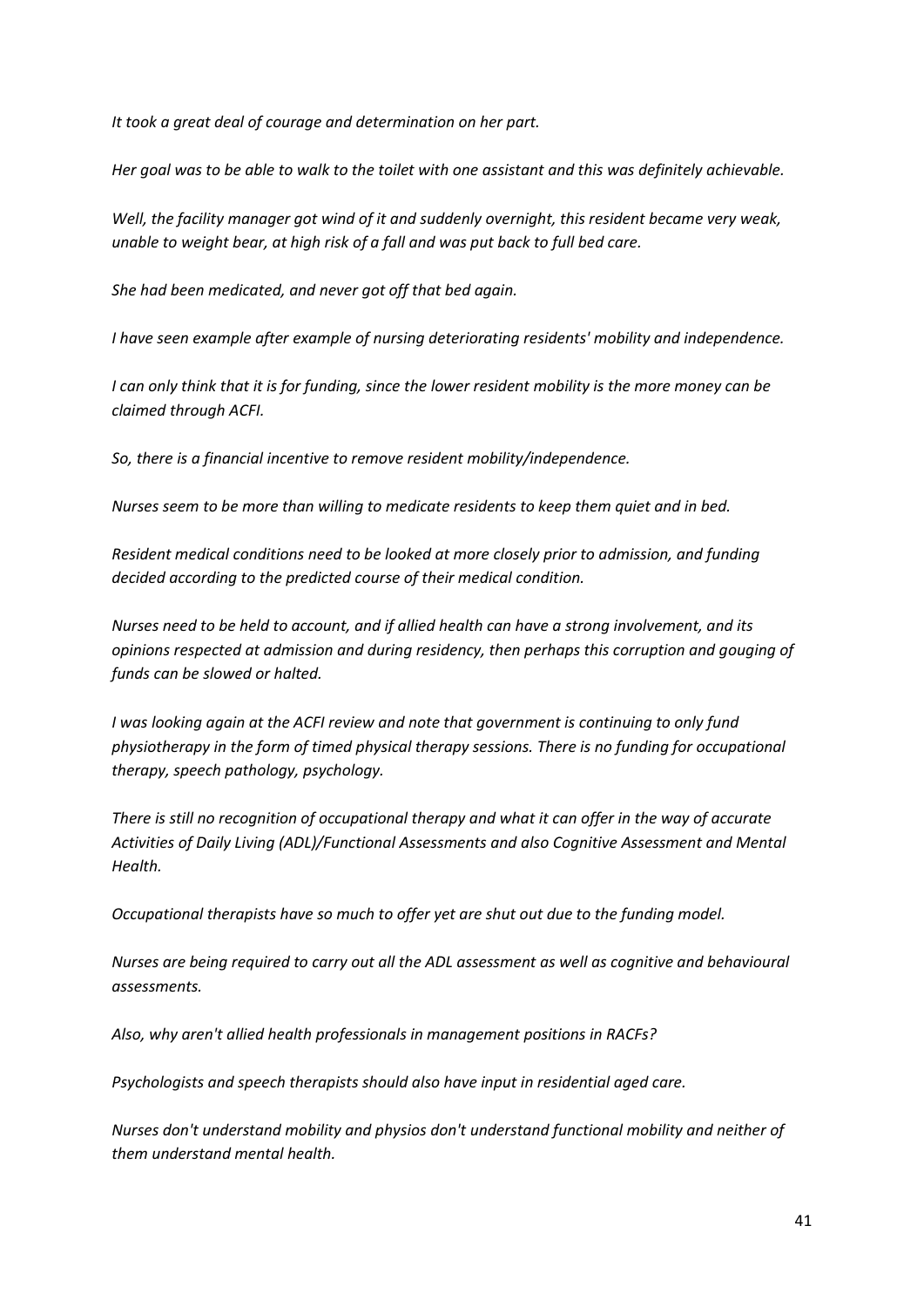*It took a great deal of courage and determination on her part.*

*Her goal was to be able to walk to the toilet with one assistant and this was definitely achievable.*

*Well, the facility manager got wind of it and suddenly overnight, this resident became very weak, unable to weight bear, at high risk of a fall and was put back to full bed care.*

*She had been medicated, and never got off that bed again.*

*I have seen example after example of nursing deteriorating residents' mobility and independence.*

*I can only think that it is for funding, since the lower resident mobility is the more money can be claimed through ACFI.*

*So, there is a financial incentive to remove resident mobility/independence.*

*Nurses seem to be more than willing to medicate residents to keep them quiet and in bed.*

*Resident medical conditions need to be looked at more closely prior to admission, and funding decided according to the predicted course of their medical condition.*

*Nurses need to be held to account, and if allied health can have a strong involvement, and its opinions respected at admission and during residency, then perhaps this corruption and gouging of funds can be slowed or halted.*

*I* was looking again at the ACFI review and note that government is continuing to only fund *physiotherapy in the form of timed physical therapy sessions. There is no funding for occupational therapy, speech pathology, psychology.*

*There is still no recognition of occupational therapy and what it can offer in the way of accurate Activities of Daily Living (ADL)/Functional Assessments and also Cognitive Assessment and Mental Health.*

*Occupational therapists have so much to offer yet are shut out due to the funding model.*

*Nurses are being required to carry out all the ADL assessment as well as cognitive and behavioural assessments.*

*Also, why aren't allied health professionals in management positions in RACFs?*

*Psychologists and speech therapists should also have input in residential aged care.*

*Nurses don't understand mobility and physios don't understand functional mobility and neither of them understand mental health.*